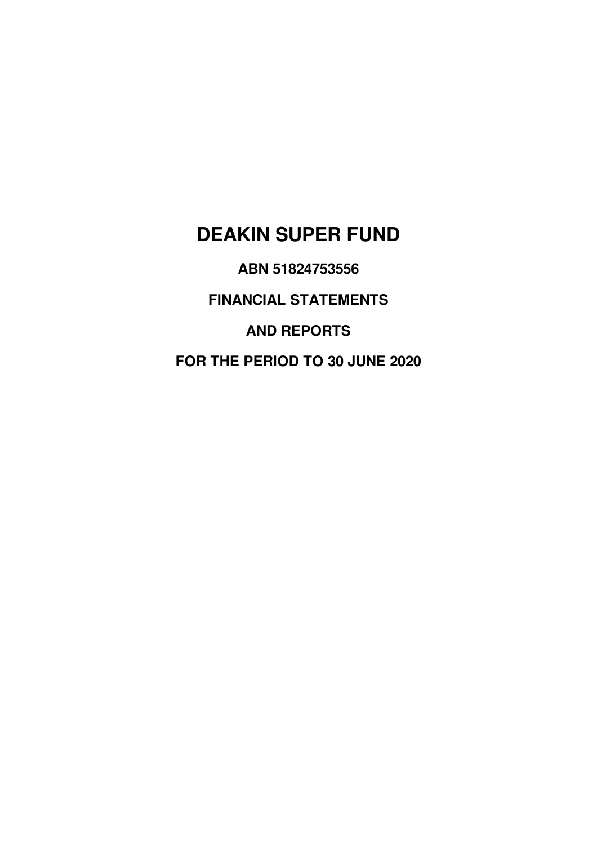# **DEAKIN SUPER FUND**

**ABN 51824753556 FINANCIAL STATEMENTS AND REPORTS FOR THE PERIOD TO 30 JUNE 2020**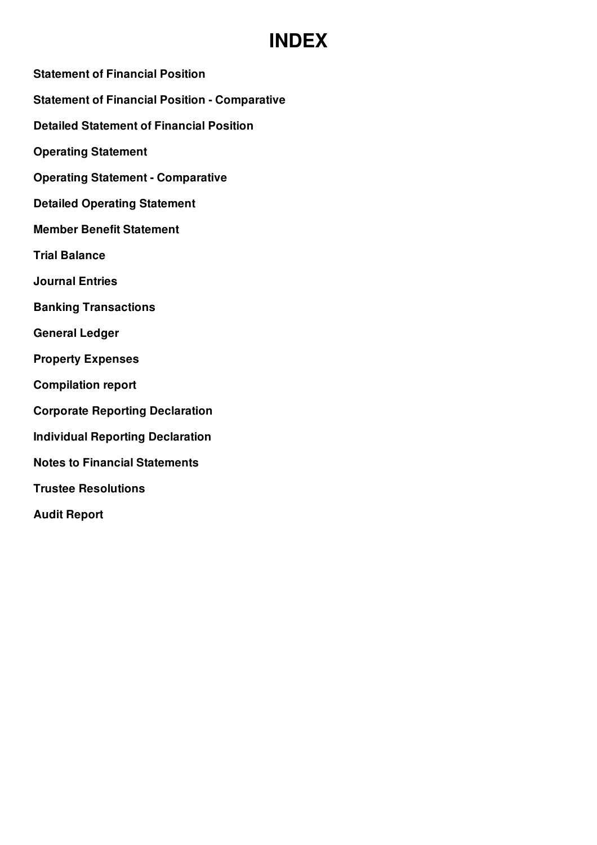# **INDEX**

**Statement of Financial Position Statement of Financial Position - Comparative Detailed Statement of Financial Position Operating Statement Operating Statement - Comparative Detailed Operating Statement Member Benefit Statement Trial Balance Journal Entries Banking Transactions General Ledger Property Expenses Compilation report Corporate Reporting Declaration Individual Reporting Declaration Notes to Financial Statements Trustee Resolutions Audit Report**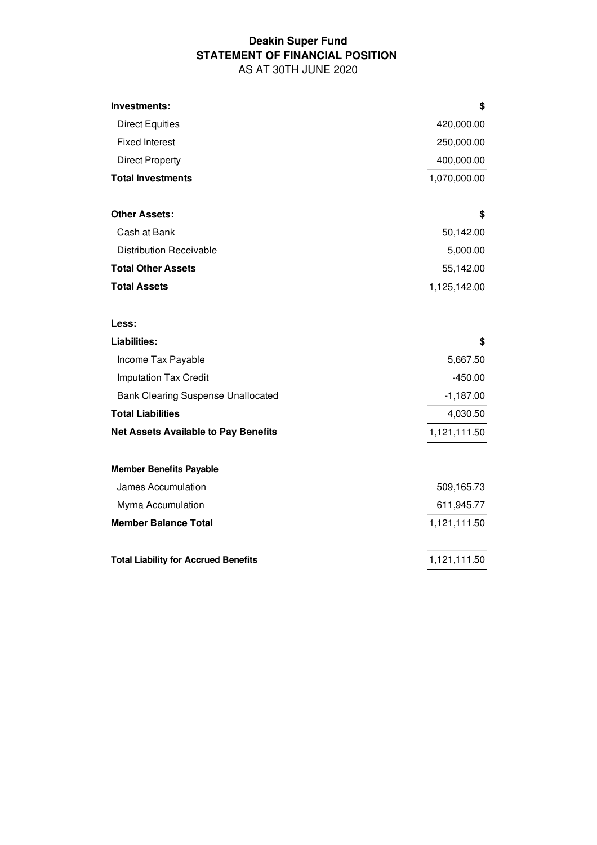## **Deakin Super Fund STATEMENT OF FINANCIAL POSITION** AS AT 30TH JUNE 2020

| Investments:                                | \$           |
|---------------------------------------------|--------------|
| <b>Direct Equities</b>                      | 420,000.00   |
| <b>Fixed Interest</b>                       | 250,000.00   |
| <b>Direct Property</b>                      | 400,000.00   |
| <b>Total Investments</b>                    | 1,070,000.00 |
| <b>Other Assets:</b>                        | S            |
| Cash at Bank                                | 50,142.00    |
| <b>Distribution Receivable</b>              | 5,000.00     |
| <b>Total Other Assets</b>                   | 55,142.00    |
| <b>Total Assets</b>                         | 1,125,142.00 |
| Less:                                       |              |
| <b>Liabilities:</b>                         | \$           |
| Income Tax Payable                          | 5,667.50     |
| <b>Imputation Tax Credit</b>                | $-450.00$    |
| <b>Bank Clearing Suspense Unallocated</b>   | $-1,187.00$  |
| <b>Total Liabilities</b>                    | 4,030.50     |
| <b>Net Assets Available to Pay Benefits</b> | 1,121,111.50 |
| <b>Member Benefits Payable</b>              |              |
| <b>James Accumulation</b>                   | 509,165.73   |
| Myrna Accumulation                          | 611,945.77   |
| <b>Member Balance Total</b>                 | 1,121,111.50 |
|                                             |              |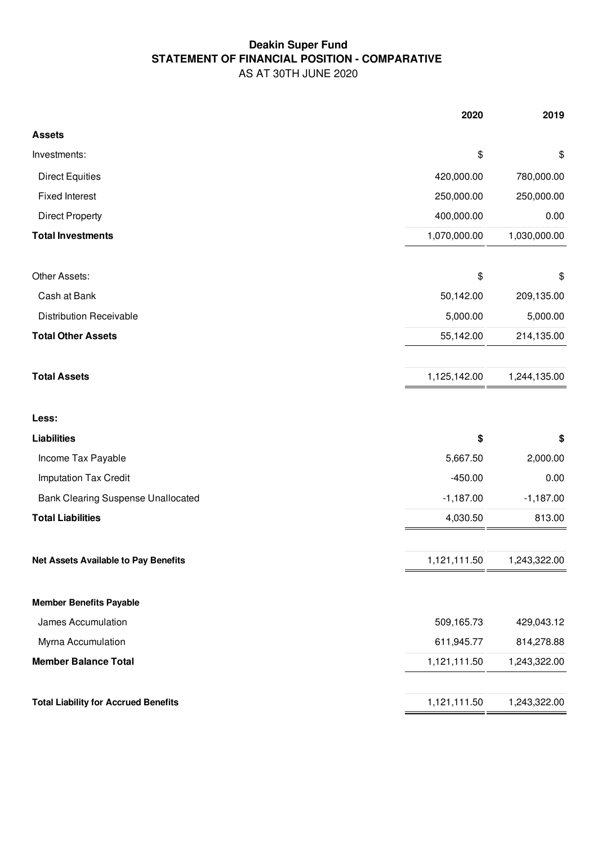# **Deakin Super Fund STATEMENT OF FINANCIAL POSITION - COMPARATIVE**

AS AT 30TH JUNE 2020

|                                           | 2020         | 2019         |
|-------------------------------------------|--------------|--------------|
| <b>Assets</b>                             |              |              |
| Investments:                              | \$           | \$           |
| <b>Direct Equities</b>                    | 420,000.00   | 780,000.00   |
| <b>Fixed Interest</b>                     | 250,000.00   | 250,000.00   |
| <b>Direct Property</b>                    | 400,000.00   | 0.00         |
| <b>Total Investments</b>                  | 1,070,000.00 | 1,030,000.00 |
|                                           |              |              |
| Other Assets:                             | \$           | \$           |
| Cash at Bank                              | 50,142.00    | 209,135.00   |
| <b>Distribution Receivable</b>            | 5,000.00     | 5,000.00     |
| <b>Total Other Assets</b>                 | 55,142.00    | 214,135.00   |
|                                           |              |              |
| <b>Total Assets</b>                       | 1,125,142.00 | 1,244,135.00 |
|                                           |              |              |
| Less:                                     |              |              |
| <b>Liabilities</b>                        | \$           | \$           |
| Income Tax Payable                        | 5,667.50     | 2,000.00     |
| <b>Imputation Tax Credit</b>              | $-450.00$    | 0.00         |
|                                           |              |              |
| <b>Bank Clearing Suspense Unallocated</b> | $-1,187.00$  | $-1,187.00$  |
| <b>Total Liabilities</b>                  | 4,030.50     | 813.00       |
|                                           |              |              |
| Net Assets Available to Pay Benefits      | 1,121,111.50 | 1,243,322.00 |
|                                           |              |              |
| <b>Member Benefits Payable</b>            |              |              |
| James Accumulation                        | 509,165.73   | 429,043.12   |
| Myrna Accumulation                        | 611,945.77   | 814,278.88   |
| <b>Member Balance Total</b>               | 1,121,111.50 | 1,243,322.00 |
|                                           |              |              |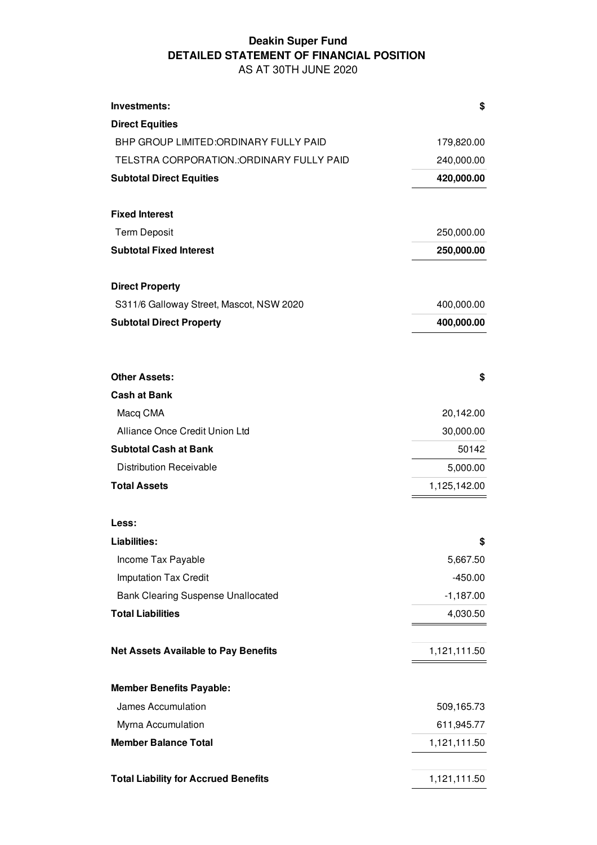# **Deakin Super Fund DETAILED STATEMENT OF FINANCIAL POSITION**

AS AT 30TH JUNE 2020

| Investments:                                    | \$           |
|-------------------------------------------------|--------------|
| <b>Direct Equities</b>                          |              |
| BHP GROUP LIMITED:ORDINARY FULLY PAID           | 179,820.00   |
| <b>TELSTRA CORPORATION.:ORDINARY FULLY PAID</b> | 240,000.00   |
| <b>Subtotal Direct Equities</b>                 | 420,000.00   |
| <b>Fixed Interest</b>                           |              |
| <b>Term Deposit</b>                             | 250,000.00   |
| <b>Subtotal Fixed Interest</b>                  | 250,000.00   |
| <b>Direct Property</b>                          |              |
| S311/6 Galloway Street, Mascot, NSW 2020        | 400,000.00   |
| <b>Subtotal Direct Property</b>                 | 400,000.00   |
| <b>Other Assets:</b>                            | \$           |
| <b>Cash at Bank</b>                             |              |
| Macq CMA                                        | 20,142.00    |
| Alliance Once Credit Union Ltd                  | 30,000.00    |
| <b>Subtotal Cash at Bank</b>                    | 50142        |
| <b>Distribution Receivable</b>                  | 5,000.00     |
| <b>Total Assets</b>                             | 1,125,142.00 |
| Less:                                           |              |
| Liabilities:                                    | \$           |
| Income Tax Payable                              | 5,667.50     |
| <b>Imputation Tax Credit</b>                    | $-450.00$    |
| <b>Bank Clearing Suspense Unallocated</b>       | $-1,187.00$  |
| <b>Total Liabilities</b>                        | 4,030.50     |
| <b>Net Assets Available to Pay Benefits</b>     | 1,121,111.50 |
| <b>Member Benefits Payable:</b>                 |              |
| James Accumulation                              | 509,165.73   |
| Myrna Accumulation                              | 611,945.77   |
| <b>Member Balance Total</b>                     | 1,121,111.50 |
| <b>Total Liability for Accrued Benefits</b>     | 1,121,111.50 |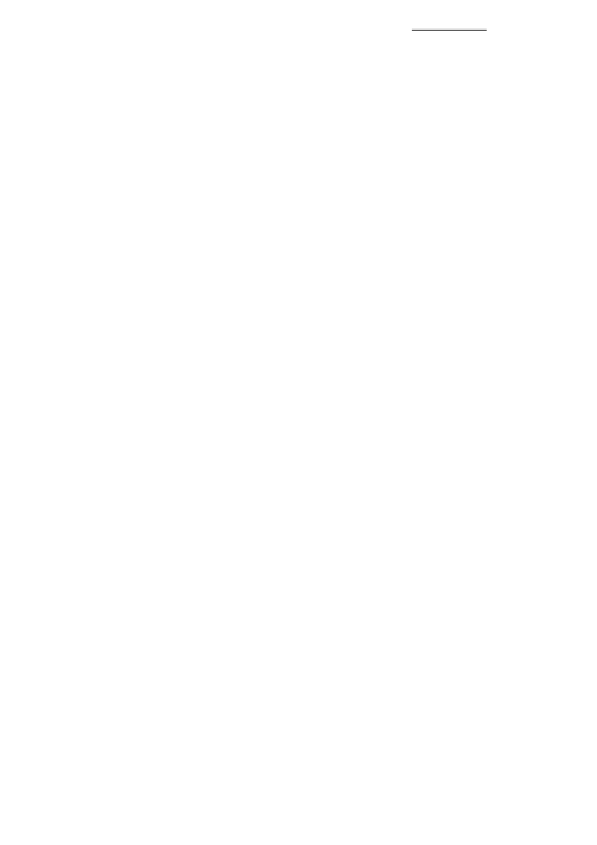=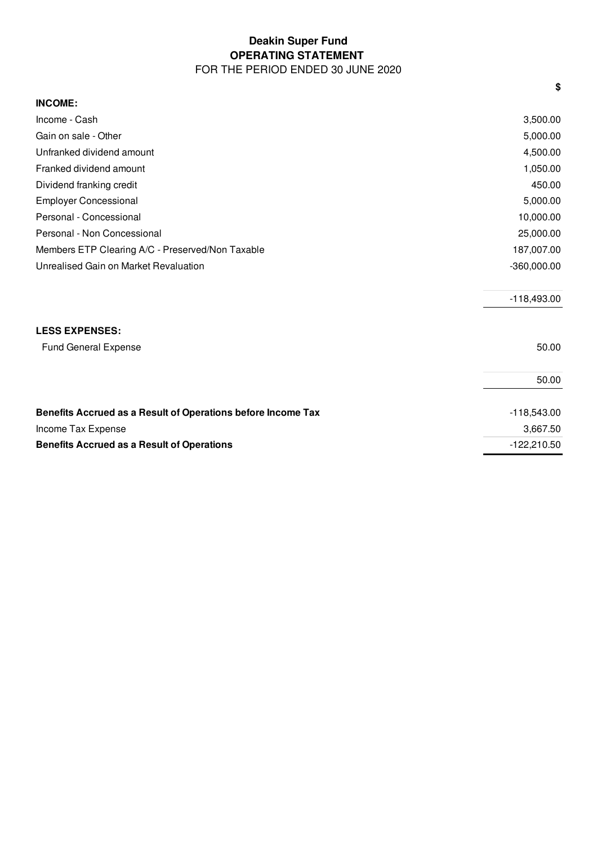## **Deakin Super Fund OPERATING STATEMENT** FOR THE PERIOD ENDED 30 JUNE 2020

| <b>INCOME:</b>                                               |               |
|--------------------------------------------------------------|---------------|
| Income - Cash                                                | 3,500.00      |
| Gain on sale - Other                                         | 5,000.00      |
| Unfranked dividend amount                                    | 4,500.00      |
| Franked dividend amount                                      | 1,050.00      |
| Dividend franking credit                                     | 450.00        |
| <b>Employer Concessional</b>                                 | 5,000.00      |
| Personal - Concessional                                      | 10,000.00     |
| Personal - Non Concessional                                  | 25,000.00     |
| Members ETP Clearing A/C - Preserved/Non Taxable             | 187,007.00    |
| Unrealised Gain on Market Revaluation                        | $-360,000.00$ |
|                                                              | $-118,493.00$ |
| <b>LESS EXPENSES:</b>                                        |               |
| <b>Fund General Expense</b>                                  | 50.00         |
|                                                              | 50.00         |
| Benefits Accrued as a Result of Operations before Income Tax | $-118,543.00$ |
| Income Tax Expense                                           | 3,667.50      |
| <b>Benefits Accrued as a Result of Operations</b>            | $-122,210.50$ |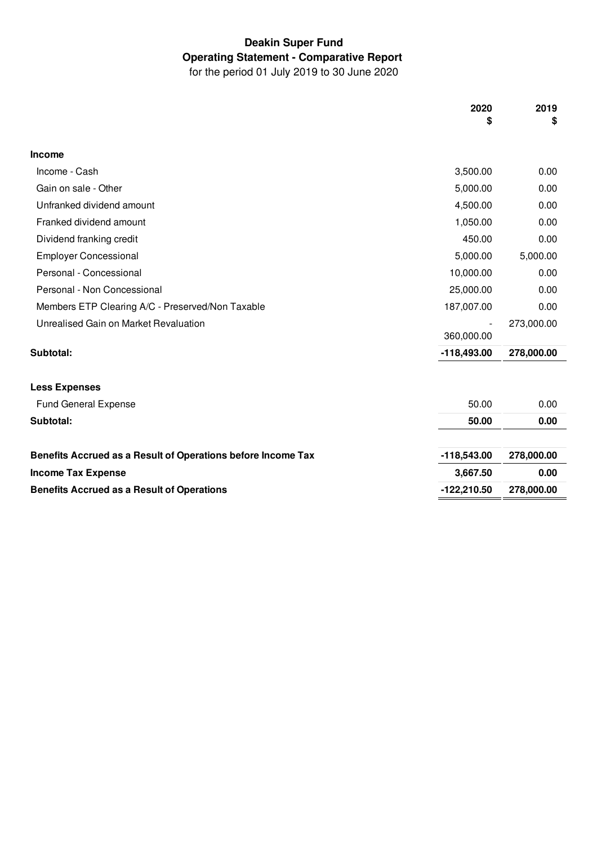# **Deakin Super Fund Operating Statement - Comparative Report**

for the period 01 July 2019 to 30 June 2020

|                                                              | 2020          | 2019       |
|--------------------------------------------------------------|---------------|------------|
|                                                              | S             | S          |
| <b>Income</b>                                                |               |            |
| Income - Cash                                                | 3,500.00      | 0.00       |
| Gain on sale - Other                                         | 5,000.00      | 0.00       |
| Unfranked dividend amount                                    | 4,500.00      | 0.00       |
| Franked dividend amount                                      | 1,050.00      | 0.00       |
| Dividend franking credit                                     | 450.00        | 0.00       |
| <b>Employer Concessional</b>                                 | 5,000.00      | 5,000.00   |
| Personal - Concessional                                      | 10,000.00     | 0.00       |
| Personal - Non Concessional                                  | 25,000.00     | 0.00       |
| Members ETP Clearing A/C - Preserved/Non Taxable             | 187,007.00    | 0.00       |
| Unrealised Gain on Market Revaluation                        |               | 273,000.00 |
|                                                              | 360,000.00    |            |
| Subtotal:                                                    | -118,493.00   | 278,000.00 |
| <b>Less Expenses</b>                                         |               |            |
| <b>Fund General Expense</b>                                  | 50.00         | 0.00       |
| Subtotal:                                                    | 50.00         | 0.00       |
| Benefits Accrued as a Result of Operations before Income Tax | $-118,543.00$ | 278,000.00 |
| <b>Income Tax Expense</b>                                    | 3,667.50      | 0.00       |
| <b>Benefits Accrued as a Result of Operations</b>            | -122,210.50   | 278,000.00 |
|                                                              |               |            |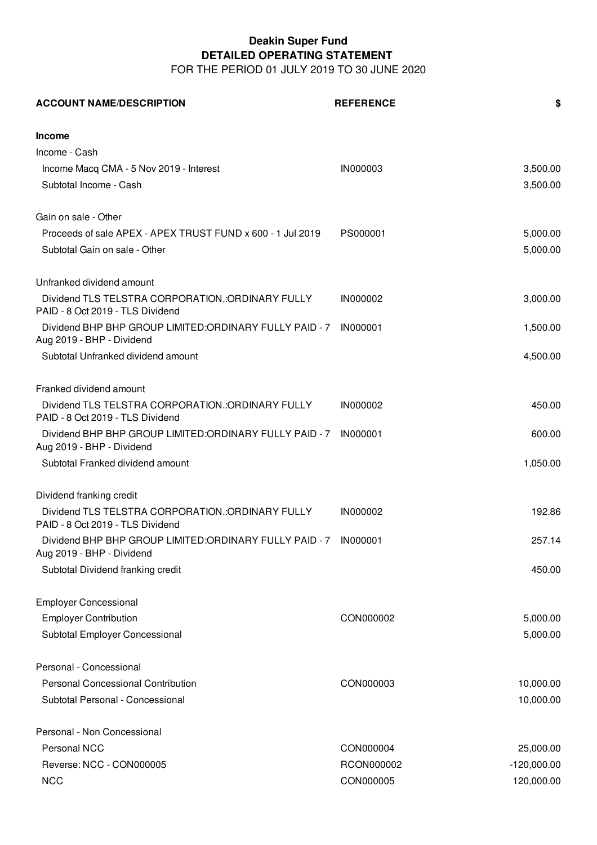## **Deakin Super Fund DETAILED OPERATING STATEMENT** FOR THE PERIOD 01 JULY 2019 TO 30 JUNE 2020

**ACCOUNT NAME/DESCRIPTION REFERENCE \$ Income** Income - Cash Income Macq CMA - 5 Nov 2019 - Interest **IN000003** IN000003 3,500.00 Subtotal Income - Cash 3,500.00 Gain on sale - Other Proceeds of sale APEX - APEX TRUST FUND x 600 - 1 Jul 2019 PS000001 5,000.00 Subtotal Gain on sale - Other 5,000.00 Unfranked dividend amount Dividend TLS TELSTRA CORPORATION.:ORDINARY FULLY PAID - 8 Oct 2019 - TLS Dividend IN000002 3,000.00 Dividend BHP BHP GROUP LIMITED:ORDINARY FULLY PAID - 7 Aug 2019 - BHP - Dividend IN000001 1,500.00 Subtotal Unfranked dividend amount 4,500.00 Franked dividend amount Dividend TLS TELSTRA CORPORATION.:ORDINARY FULLY PAID - 8 Oct 2019 - TLS Dividend IN000002 450.00 Dividend BHP BHP GROUP LIMITED:ORDINARY FULLY PAID - 7 IN000001 600.00 Aug 2019 - BHP - Dividend Subtotal Franked dividend amount 1,050.00 Dividend franking credit Dividend TLS TELSTRA CORPORATION.:ORDINARY FULLY PAID - 8 Oct 2019 - TLS Dividend IN000002 192.86 Dividend BHP BHP GROUP LIMITED:ORDINARY FULLY PAID - 7 Aug 2019 - BHP - Dividend IN000001 257.14 Subtotal Dividend franking credit 450.00 Employer Concessional Employer Contribution CON000002 5,000.00 Subtotal Employer Concessional 5,000.00 Personal - Concessional Personal Concessional Contribution CON000003 10,000.00 Subtotal Personal - Concessional 10,000.00 Personal - Non Concessional Personal NCC CON000004 25,000.00 Reverse: NCC - CON000005 RCON0000002 RCON0000002 -120,000.00 NCC CON000005 120,000.00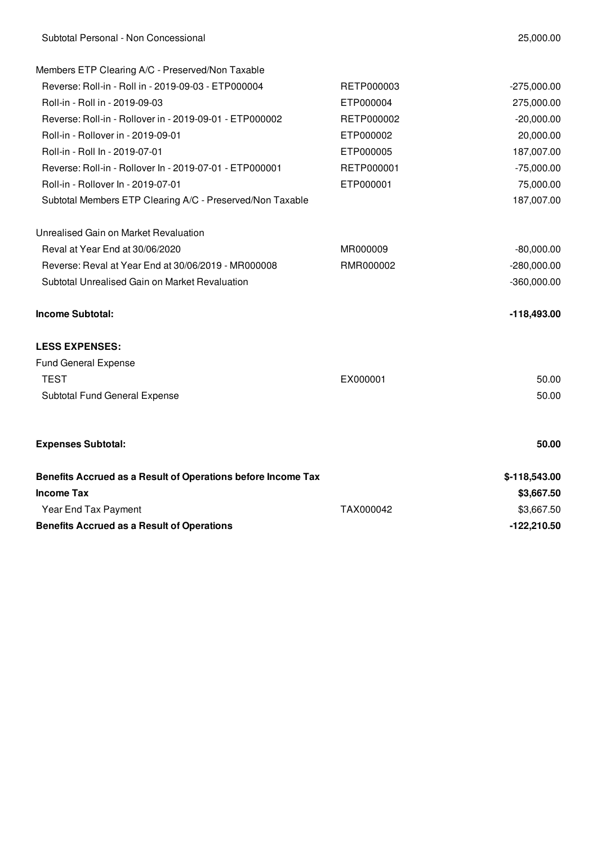| Roll-in - Rollover in - 2019-09-01                                        | ETP000002  | 20,000.00                   |
|---------------------------------------------------------------------------|------------|-----------------------------|
| Roll-in - Roll In - 2019-07-01                                            | ETP000005  | 187,007.00                  |
| Reverse: Roll-in - Rollover In - 2019-07-01 - ETP000001                   | RETP000001 | $-75,000.00$                |
| Roll-in - Rollover In - 2019-07-01                                        | ETP000001  | 75,000.00                   |
| Subtotal Members ETP Clearing A/C - Preserved/Non Taxable                 |            | 187,007.00                  |
| Unrealised Gain on Market Revaluation                                     |            |                             |
| Reval at Year End at 30/06/2020                                           | MR000009   | $-80,000.00$                |
| Reverse: Reval at Year End at 30/06/2019 - MR000008                       | RMR000002  | $-280,000.00$               |
| Subtotal Unrealised Gain on Market Revaluation                            |            | $-360,000.00$               |
| <b>Income Subtotal:</b>                                                   |            | $-118,493.00$               |
| <b>LESS EXPENSES:</b>                                                     |            |                             |
| <b>Fund General Expense</b>                                               |            |                             |
| <b>TEST</b>                                                               | EX000001   | 50.00                       |
| Subtotal Fund General Expense                                             |            | 50.00                       |
| <b>Expenses Subtotal:</b>                                                 |            | 50.00                       |
|                                                                           |            |                             |
|                                                                           |            | \$-118,543.00               |
| Benefits Accrued as a Result of Operations before Income Tax              |            |                             |
| <b>Income Tax</b>                                                         |            | \$3,667.50                  |
| Year End Tax Payment<br><b>Benefits Accrued as a Result of Operations</b> | TAX000042  | \$3,667.50<br>$-122,210.50$ |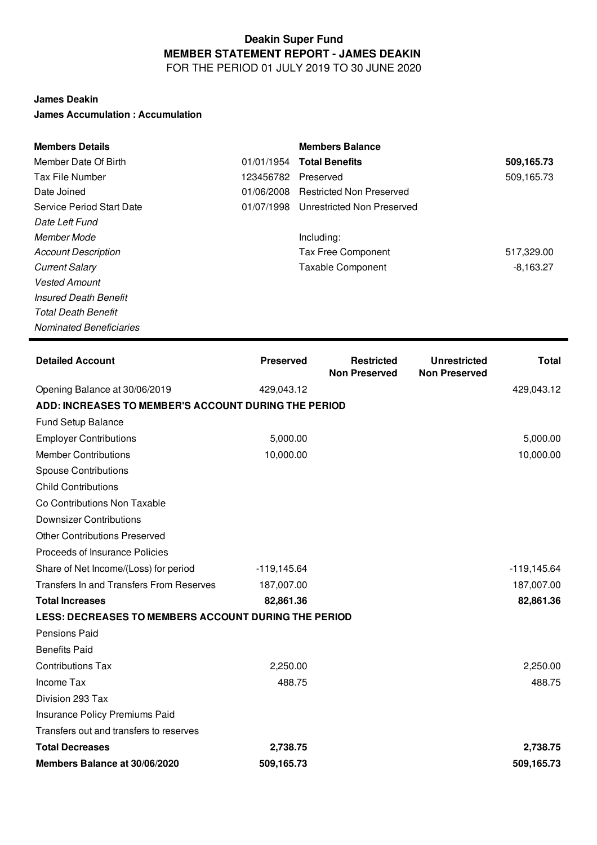# **Deakin Super Fund MEMBER STATEMENT REPORT - JAMES DEAKIN**

FOR THE PERIOD 01 JULY 2019 TO 30 JUNE 2020

## **James Deakin**

*Nominated Beneficiaries*

## **James Accumulation : Accumulation**

| <b>Members Details</b>       |            | <b>Members Balance</b>          |             |
|------------------------------|------------|---------------------------------|-------------|
| Member Date Of Birth         |            | 01/01/1954 Total Benefits       | 509,165.73  |
| Tax File Number              | 123456782  | Preserved                       | 509,165.73  |
| Date Joined                  | 01/06/2008 | <b>Restricted Non Preserved</b> |             |
| Service Period Start Date    | 01/07/1998 | Unrestricted Non Preserved      |             |
| Date Left Fund               |            |                                 |             |
| Member Mode                  |            | Including:                      |             |
| <b>Account Description</b>   |            | Tax Free Component              | 517,329.00  |
| <b>Current Salary</b>        |            | <b>Taxable Component</b>        | $-8,163.27$ |
| <b>Vested Amount</b>         |            |                                 |             |
| <b>Insured Death Benefit</b> |            |                                 |             |
| <b>Total Death Benefit</b>   |            |                                 |             |

| <b>Detailed Account</b>                              | <b>Preserved</b> | <b>Restricted</b><br><b>Non Preserved</b> | <b>Unrestricted</b><br><b>Non Preserved</b> | Total          |
|------------------------------------------------------|------------------|-------------------------------------------|---------------------------------------------|----------------|
| Opening Balance at 30/06/2019                        | 429,043.12       |                                           |                                             | 429,043.12     |
| ADD: INCREASES TO MEMBER'S ACCOUNT DURING THE PERIOD |                  |                                           |                                             |                |
| <b>Fund Setup Balance</b>                            |                  |                                           |                                             |                |
| <b>Employer Contributions</b>                        | 5,000.00         |                                           |                                             | 5,000.00       |
| <b>Member Contributions</b>                          | 10,000.00        |                                           |                                             | 10,000.00      |
| <b>Spouse Contributions</b>                          |                  |                                           |                                             |                |
| <b>Child Contributions</b>                           |                  |                                           |                                             |                |
| Co Contributions Non Taxable                         |                  |                                           |                                             |                |
| <b>Downsizer Contributions</b>                       |                  |                                           |                                             |                |
| <b>Other Contributions Preserved</b>                 |                  |                                           |                                             |                |
| Proceeds of Insurance Policies                       |                  |                                           |                                             |                |
| Share of Net Income/(Loss) for period                | $-119,145.64$    |                                           |                                             | $-119, 145.64$ |
| <b>Transfers In and Transfers From Reserves</b>      | 187,007.00       |                                           |                                             | 187,007.00     |
| <b>Total Increases</b>                               | 82,861.36        |                                           |                                             | 82,861.36      |
| LESS: DECREASES TO MEMBERS ACCOUNT DURING THE PERIOD |                  |                                           |                                             |                |
| <b>Pensions Paid</b>                                 |                  |                                           |                                             |                |
| <b>Benefits Paid</b>                                 |                  |                                           |                                             |                |
| <b>Contributions Tax</b>                             | 2,250.00         |                                           |                                             | 2,250.00       |
| Income Tax                                           | 488.75           |                                           |                                             | 488.75         |
| Division 293 Tax                                     |                  |                                           |                                             |                |
| Insurance Policy Premiums Paid                       |                  |                                           |                                             |                |
| Transfers out and transfers to reserves              |                  |                                           |                                             |                |
| <b>Total Decreases</b>                               | 2,738.75         |                                           |                                             | 2,738.75       |
| Members Balance at 30/06/2020                        | 509,165.73       |                                           |                                             | 509,165.73     |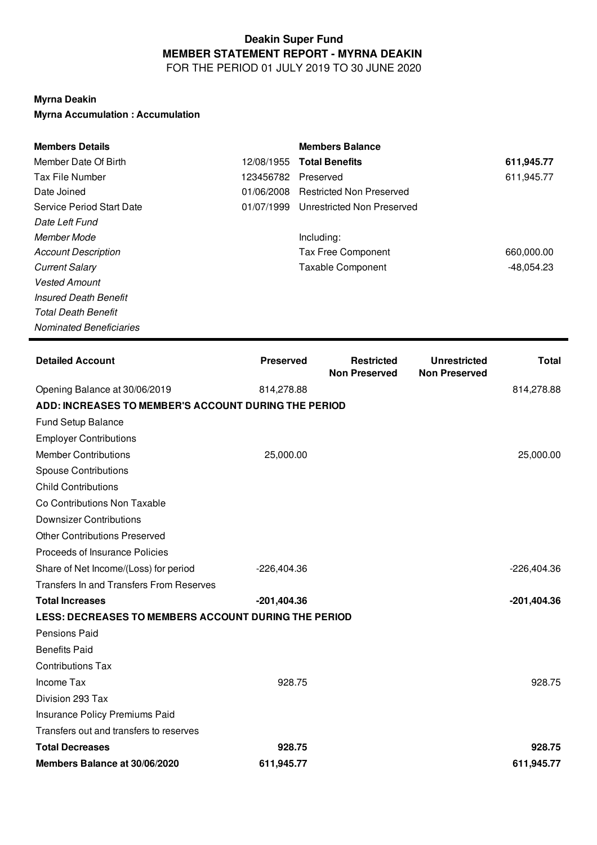# **Deakin Super Fund MEMBER STATEMENT REPORT - MYRNA DEAKIN**

FOR THE PERIOD 01 JULY 2019 TO 30 JUNE 2020

## **Myrna Deakin**

**Myrna Accumulation : Accumulation**

| <b>Members Details</b>         |            | <b>Members Balance</b>          |              |
|--------------------------------|------------|---------------------------------|--------------|
| Member Date Of Birth           | 12/08/1955 | <b>Total Benefits</b>           | 611,945.77   |
| Tax File Number                | 123456782  | Preserved                       | 611,945.77   |
| Date Joined                    | 01/06/2008 | <b>Restricted Non Preserved</b> |              |
| Service Period Start Date      | 01/07/1999 | Unrestricted Non Preserved      |              |
| Date Left Fund                 |            |                                 |              |
| Member Mode                    |            | Including:                      |              |
| <b>Account Description</b>     |            | Tax Free Component              | 660,000.00   |
| <b>Current Salary</b>          |            | Taxable Component               | $-48,054.23$ |
| <b>Vested Amount</b>           |            |                                 |              |
| <b>Insured Death Benefit</b>   |            |                                 |              |
| <b>Total Death Benefit</b>     |            |                                 |              |
| <b>Nominated Beneficiaries</b> |            |                                 |              |

| <b>Detailed Account</b>                                     | <b>Preserved</b> | <b>Restricted</b><br><b>Non Preserved</b> | <b>Unrestricted</b><br><b>Non Preserved</b> | Total         |
|-------------------------------------------------------------|------------------|-------------------------------------------|---------------------------------------------|---------------|
| Opening Balance at 30/06/2019                               | 814,278.88       |                                           |                                             | 814,278.88    |
| ADD: INCREASES TO MEMBER'S ACCOUNT DURING THE PERIOD        |                  |                                           |                                             |               |
| <b>Fund Setup Balance</b>                                   |                  |                                           |                                             |               |
| <b>Employer Contributions</b>                               |                  |                                           |                                             |               |
| <b>Member Contributions</b>                                 | 25,000.00        |                                           |                                             | 25,000.00     |
| <b>Spouse Contributions</b>                                 |                  |                                           |                                             |               |
| <b>Child Contributions</b>                                  |                  |                                           |                                             |               |
| Co Contributions Non Taxable                                |                  |                                           |                                             |               |
| <b>Downsizer Contributions</b>                              |                  |                                           |                                             |               |
| <b>Other Contributions Preserved</b>                        |                  |                                           |                                             |               |
| Proceeds of Insurance Policies                              |                  |                                           |                                             |               |
| Share of Net Income/(Loss) for period                       | $-226,404.36$    |                                           |                                             | $-226,404.36$ |
| <b>Transfers In and Transfers From Reserves</b>             |                  |                                           |                                             |               |
| <b>Total Increases</b>                                      | -201,404.36      |                                           |                                             | $-201,404.36$ |
| <b>LESS: DECREASES TO MEMBERS ACCOUNT DURING THE PERIOD</b> |                  |                                           |                                             |               |
| <b>Pensions Paid</b>                                        |                  |                                           |                                             |               |
| <b>Benefits Paid</b>                                        |                  |                                           |                                             |               |
| <b>Contributions Tax</b>                                    |                  |                                           |                                             |               |
| Income Tax                                                  | 928.75           |                                           |                                             | 928.75        |
| Division 293 Tax                                            |                  |                                           |                                             |               |
| Insurance Policy Premiums Paid                              |                  |                                           |                                             |               |
| Transfers out and transfers to reserves                     |                  |                                           |                                             |               |
| <b>Total Decreases</b>                                      | 928.75           |                                           |                                             | 928.75        |
| Members Balance at 30/06/2020                               | 611,945.77       |                                           |                                             | 611,945.77    |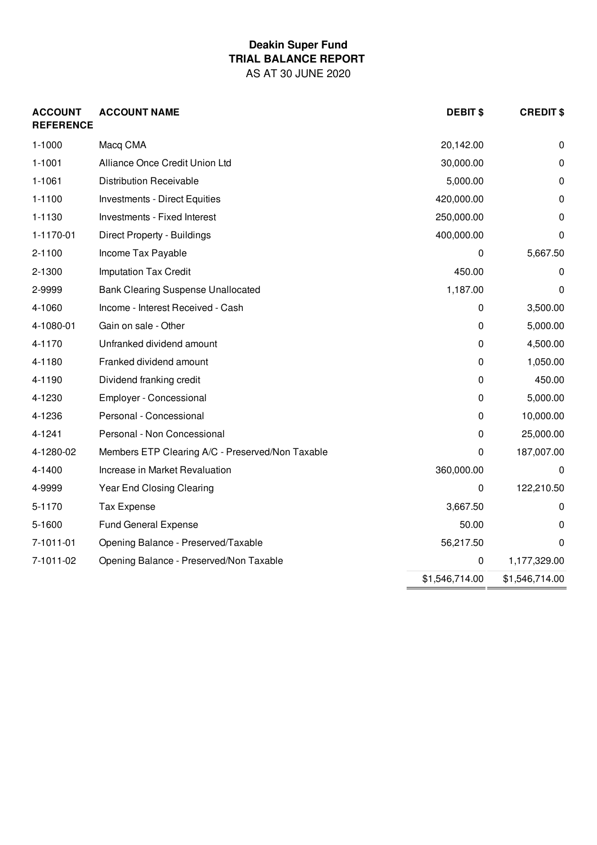## **Deakin Super Fund TRIAL BALANCE REPORT** AS AT 30 JUNE 2020

| <b>ACCOUNT</b><br><b>REFERENCE</b> | <b>ACCOUNT NAME</b>                              | <b>DEBIT \$</b> | <b>CREDIT \$</b> |
|------------------------------------|--------------------------------------------------|-----------------|------------------|
| $1 - 1000$                         | Macq CMA                                         | 20,142.00       | $\mathbf 0$      |
| $1 - 1001$                         | Alliance Once Credit Union Ltd                   | 30,000.00       | 0                |
| 1-1061                             | <b>Distribution Receivable</b>                   | 5,000.00        | 0                |
| $1 - 1100$                         | Investments - Direct Equities                    | 420,000.00      | 0                |
| $1 - 1130$                         | Investments - Fixed Interest                     | 250,000.00      | 0                |
| 1-1170-01                          | Direct Property - Buildings                      | 400,000.00      | 0                |
| 2-1100                             | Income Tax Payable                               | 0               | 5,667.50         |
| 2-1300                             | <b>Imputation Tax Credit</b>                     | 450.00          | 0                |
| 2-9999                             | <b>Bank Clearing Suspense Unallocated</b>        | 1,187.00        | $\Omega$         |
| 4-1060                             | Income - Interest Received - Cash                | 0               | 3,500.00         |
| 4-1080-01                          | Gain on sale - Other                             | 0               | 5,000.00         |
| 4-1170                             | Unfranked dividend amount                        | 0               | 4,500.00         |
| 4-1180                             | Franked dividend amount                          | 0               | 1,050.00         |
| 4-1190                             | Dividend franking credit                         | 0               | 450.00           |
| 4-1230                             | Employer - Concessional                          | 0               | 5,000.00         |
| 4-1236                             | Personal - Concessional                          | 0               | 10,000.00        |
| 4-1241                             | Personal - Non Concessional                      | 0               | 25,000.00        |
| 4-1280-02                          | Members ETP Clearing A/C - Preserved/Non Taxable | 0               | 187,007.00       |
| 4-1400                             | Increase in Market Revaluation                   | 360,000.00      | 0                |
| 4-9999                             | Year End Closing Clearing                        | 0               | 122,210.50       |
| 5-1170                             | <b>Tax Expense</b>                               | 3,667.50        | 0                |
| 5-1600                             | <b>Fund General Expense</b>                      | 50.00           | 0                |
| 7-1011-01                          | Opening Balance - Preserved/Taxable              | 56,217.50       | 0                |
| 7-1011-02                          | Opening Balance - Preserved/Non Taxable          | 0               | 1,177,329.00     |
|                                    |                                                  | \$1,546,714.00  | \$1,546,714.00   |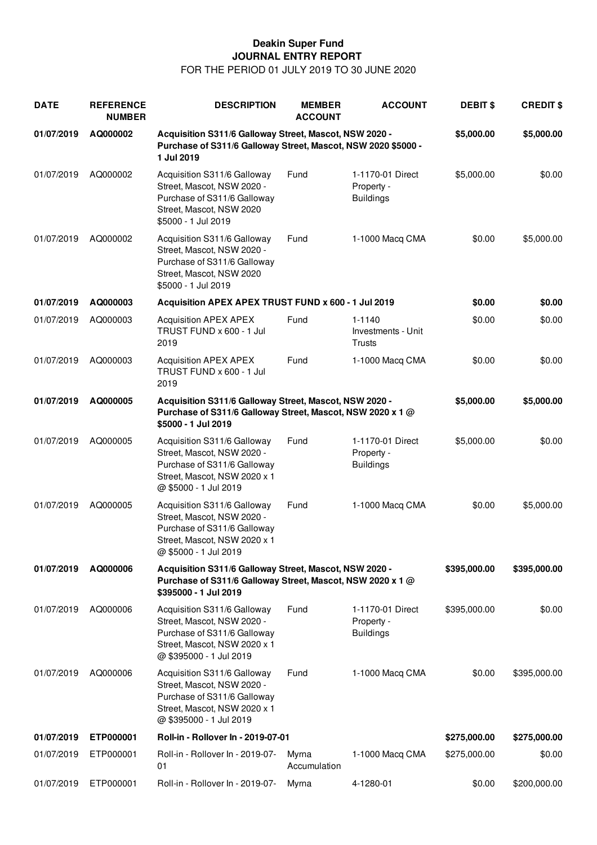## **Deakin Super Fund JOURNAL ENTRY REPORT** FOR THE PERIOD 01 JULY 2019 TO 30 JUNE 2020

| <b>DATE</b> | <b>REFERENCE</b><br><b>NUMBER</b> | <b>DESCRIPTION</b>                                                                                                                                 | <b>MEMBER</b><br><b>ACCOUNT</b> | <b>ACCOUNT</b>                                     | <b>DEBIT \$</b> | <b>CREDIT \$</b> |
|-------------|-----------------------------------|----------------------------------------------------------------------------------------------------------------------------------------------------|---------------------------------|----------------------------------------------------|-----------------|------------------|
| 01/07/2019  | AQ000002                          | Acquisition S311/6 Galloway Street, Mascot, NSW 2020 -<br>Purchase of S311/6 Galloway Street, Mascot, NSW 2020 \$5000 -<br>1 Jul 2019              |                                 |                                                    | \$5,000.00      | \$5,000.00       |
| 01/07/2019  | AQ000002                          | Acquisition S311/6 Galloway<br>Street, Mascot, NSW 2020 -<br>Purchase of S311/6 Galloway<br>Street, Mascot, NSW 2020<br>\$5000 - 1 Jul 2019        | Fund                            | 1-1170-01 Direct<br>Property -<br><b>Buildings</b> | \$5,000.00      | \$0.00           |
| 01/07/2019  | AQ000002                          | Acquisition S311/6 Galloway<br>Street, Mascot, NSW 2020 -<br>Purchase of S311/6 Galloway<br>Street, Mascot, NSW 2020<br>\$5000 - 1 Jul 2019        | Fund                            | 1-1000 Macq CMA                                    | \$0.00          | \$5,000.00       |
| 01/07/2019  | AQ000003                          | Acquisition APEX APEX TRUST FUND x 600 - 1 Jul 2019                                                                                                |                                 |                                                    | \$0.00          | \$0.00           |
| 01/07/2019  | AQ000003                          | <b>Acquisition APEX APEX</b><br>TRUST FUND x 600 - 1 Jul<br>2019                                                                                   | Fund                            | 1-1140<br>Investments - Unit<br>Trusts             | \$0.00          | \$0.00           |
| 01/07/2019  | AQ000003                          | <b>Acquisition APEX APEX</b><br>TRUST FUND x 600 - 1 Jul<br>2019                                                                                   | Fund                            | 1-1000 Macq CMA                                    | \$0.00          | \$0.00           |
| 01/07/2019  | AQ000005                          | Acquisition S311/6 Galloway Street, Mascot, NSW 2020 -<br>Purchase of S311/6 Galloway Street, Mascot, NSW 2020 x 1 @<br>\$5000 - 1 Jul 2019        |                                 |                                                    | \$5,000.00      | \$5,000.00       |
| 01/07/2019  | AQ000005                          | Acquisition S311/6 Galloway<br>Street, Mascot, NSW 2020 -<br>Purchase of S311/6 Galloway<br>Street, Mascot, NSW 2020 x 1<br>@\$5000 - 1 Jul 2019   | Fund                            | 1-1170-01 Direct<br>Property -<br><b>Buildings</b> | \$5,000.00      | \$0.00           |
| 01/07/2019  | AQ000005                          | Acquisition S311/6 Galloway<br>Street, Mascot, NSW 2020 -<br>Purchase of S311/6 Galloway<br>Street, Mascot, NSW 2020 x 1<br>@\$5000 - 1 Jul 2019   | Fund                            | 1-1000 Macq CMA                                    | \$0.00          | \$5,000.00       |
| 01/07/2019  | AQ000006                          | Acquisition S311/6 Galloway Street, Mascot, NSW 2020 -<br>Purchase of S311/6 Galloway Street, Mascot, NSW 2020 x 1 @<br>\$395000 - 1 Jul 2019      |                                 |                                                    | \$395,000.00    | \$395,000.00     |
| 01/07/2019  | AQ000006                          | Acquisition S311/6 Galloway<br>Street, Mascot, NSW 2020 -<br>Purchase of S311/6 Galloway<br>Street, Mascot, NSW 2020 x 1<br>@\$395000 - 1 Jul 2019 | Fund                            | 1-1170-01 Direct<br>Property -<br><b>Buildings</b> | \$395,000.00    | \$0.00           |
| 01/07/2019  | AQ000006                          | Acquisition S311/6 Galloway<br>Street, Mascot, NSW 2020 -<br>Purchase of S311/6 Galloway<br>Street, Mascot, NSW 2020 x 1<br>@\$395000 - 1 Jul 2019 | Fund                            | 1-1000 Macq CMA                                    | \$0.00          | \$395,000.00     |
| 01/07/2019  | ETP000001                         | Roll-in - Rollover In - 2019-07-01                                                                                                                 |                                 |                                                    | \$275,000.00    | \$275,000.00     |
| 01/07/2019  | ETP000001                         | Roll-in - Rollover In - 2019-07-<br>01                                                                                                             | Myrna<br>Accumulation           | 1-1000 Macq CMA                                    | \$275,000.00    | \$0.00           |
| 01/07/2019  | ETP000001                         | Roll-in - Rollover In - 2019-07-                                                                                                                   | Myrna                           | 4-1280-01                                          | \$0.00          | \$200,000.00     |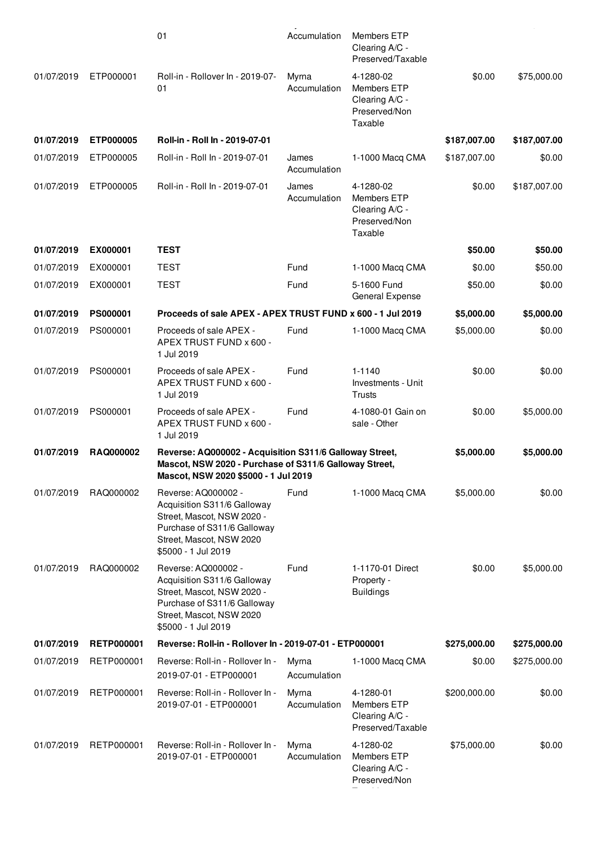|            |                   | 01                                                                                                                                                                 | Accumulation          | Members ETP<br>Clearing A/C -<br>Preserved/Taxable                     |              |              |
|------------|-------------------|--------------------------------------------------------------------------------------------------------------------------------------------------------------------|-----------------------|------------------------------------------------------------------------|--------------|--------------|
| 01/07/2019 | ETP000001         | Roll-in - Rollover In - 2019-07-<br>01                                                                                                                             | Myrna<br>Accumulation | 4-1280-02<br>Members ETP<br>Clearing A/C -<br>Preserved/Non<br>Taxable | \$0.00       | \$75,000.00  |
| 01/07/2019 | ETP000005         | Roll-in - Roll In - 2019-07-01                                                                                                                                     |                       |                                                                        | \$187,007.00 | \$187,007.00 |
| 01/07/2019 | ETP000005         | Roll-in - Roll In - 2019-07-01                                                                                                                                     | James<br>Accumulation | 1-1000 Macq CMA                                                        | \$187,007.00 | \$0.00       |
| 01/07/2019 | ETP000005         | Roll-in - Roll In - 2019-07-01                                                                                                                                     | James<br>Accumulation | 4-1280-02<br>Members ETP<br>Clearing A/C -<br>Preserved/Non<br>Taxable | \$0.00       | \$187,007.00 |
| 01/07/2019 | EX000001          | <b>TEST</b>                                                                                                                                                        |                       |                                                                        | \$50.00      | \$50.00      |
| 01/07/2019 | EX000001          | <b>TEST</b>                                                                                                                                                        | Fund                  | 1-1000 Macq CMA                                                        | \$0.00       | \$50.00      |
| 01/07/2019 | EX000001          | <b>TEST</b>                                                                                                                                                        | Fund                  | 5-1600 Fund<br>General Expense                                         | \$50.00      | \$0.00       |
| 01/07/2019 | PS000001          | Proceeds of sale APEX - APEX TRUST FUND x 600 - 1 Jul 2019                                                                                                         |                       |                                                                        | \$5,000.00   | \$5,000.00   |
| 01/07/2019 | PS000001          | Proceeds of sale APEX -<br>APEX TRUST FUND x 600 -<br>1 Jul 2019                                                                                                   | Fund                  | 1-1000 Macq CMA                                                        | \$5,000.00   | \$0.00       |
| 01/07/2019 | PS000001          | Proceeds of sale APEX -<br>APEX TRUST FUND x 600 -<br>1 Jul 2019                                                                                                   | Fund                  | 1-1140<br>Investments - Unit<br>Trusts                                 | \$0.00       | \$0.00       |
| 01/07/2019 | PS000001          | Proceeds of sale APEX -<br>APEX TRUST FUND x 600 -<br>1 Jul 2019                                                                                                   | Fund                  | 4-1080-01 Gain on<br>sale - Other                                      | \$0.00       | \$5,000.00   |
| 01/07/2019 | RAQ000002         | Reverse: AQ000002 - Acquisition S311/6 Galloway Street,<br>Mascot, NSW 2020 - Purchase of S311/6 Galloway Street,<br>Mascot, NSW 2020 \$5000 - 1 Jul 2019          |                       |                                                                        | \$5,000.00   | \$5,000.00   |
| 01/07/2019 | RAQ000002         | Reverse: AQ000002 -<br>Acquisition S311/6 Galloway<br>Street, Mascot, NSW 2020 -<br>Purchase of S311/6 Galloway<br>Street, Mascot, NSW 2020<br>\$5000 - 1 Jul 2019 | Fund                  | 1-1000 Macq CMA                                                        | \$5,000.00   | \$0.00       |
| 01/07/2019 | RAQ000002         | Reverse: AQ000002 -<br>Acquisition S311/6 Galloway<br>Street, Mascot, NSW 2020 -<br>Purchase of S311/6 Galloway<br>Street, Mascot, NSW 2020<br>\$5000 - 1 Jul 2019 | Fund                  | 1-1170-01 Direct<br>Property -<br><b>Buildings</b>                     | \$0.00       | \$5,000.00   |
| 01/07/2019 | <b>RETP000001</b> | Reverse: Roll-in - Rollover In - 2019-07-01 - ETP000001                                                                                                            |                       |                                                                        | \$275,000.00 | \$275,000.00 |
| 01/07/2019 | RETP000001        | Reverse: Roll-in - Rollover In -<br>2019-07-01 - ETP000001                                                                                                         | Myrna<br>Accumulation | 1-1000 Macq CMA                                                        | \$0.00       | \$275,000.00 |
| 01/07/2019 | RETP000001        | Reverse: Roll-in - Rollover In -<br>2019-07-01 - ETP000001                                                                                                         | Myrna<br>Accumulation | 4-1280-01<br>Members ETP<br>Clearing A/C -<br>Preserved/Taxable        | \$200,000.00 | \$0.00       |
| 01/07/2019 | RETP000001        | Reverse: Roll-in - Rollover In -<br>2019-07-01 - ETP000001                                                                                                         | Myrna<br>Accumulation | 4-1280-02<br>Members ETP<br>Clearing A/C -<br>Preserved/Non            | \$75,000.00  | \$0.00       |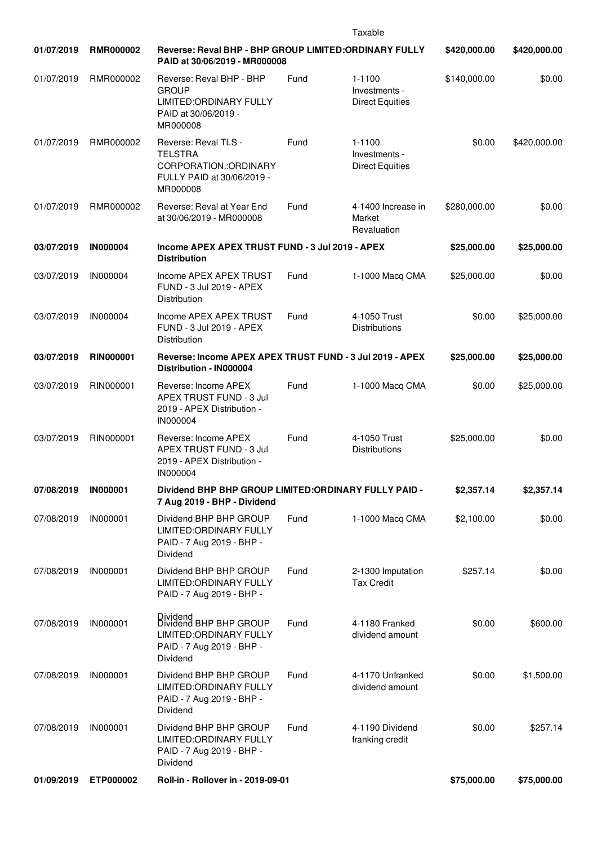Taxable

| 01/07/2019 | <b>RMR000002</b> | Reverse: Reval BHP - BHP GROUP LIMITED:ORDINARY FULLY<br>PAID at 30/06/2019 - MR000008                     |             |                                                   | \$420,000.00 | \$420,000.00 |
|------------|------------------|------------------------------------------------------------------------------------------------------------|-------------|---------------------------------------------------|--------------|--------------|
| 01/07/2019 | RMR000002        | Reverse: Reval BHP - BHP<br><b>GROUP</b><br>LIMITED:ORDINARY FULLY<br>PAID at 30/06/2019 -<br>MR000008     | Fund        | 1-1100<br>Investments -<br><b>Direct Equities</b> | \$140,000.00 | \$0.00       |
| 01/07/2019 | RMR000002        | Reverse: Reval TLS -<br><b>TELSTRA</b><br>CORPORATION.: ORDINARY<br>FULLY PAID at 30/06/2019 -<br>MR000008 | Fund        | 1-1100<br>Investments -<br><b>Direct Equities</b> | \$0.00       | \$420,000.00 |
| 01/07/2019 | RMR000002        | Reverse: Reval at Year End<br>at 30/06/2019 - MR000008                                                     | Fund        | 4-1400 Increase in<br>Market<br>Revaluation       | \$280,000.00 | \$0.00       |
| 03/07/2019 | <b>IN000004</b>  | Income APEX APEX TRUST FUND - 3 Jul 2019 - APEX<br><b>Distribution</b>                                     |             |                                                   | \$25,000.00  | \$25,000.00  |
| 03/07/2019 | <b>IN000004</b>  | Income APEX APEX TRUST<br>FUND - 3 Jul 2019 - APEX<br>Distribution                                         | Fund        | 1-1000 Macq CMA                                   | \$25,000.00  | \$0.00       |
| 03/07/2019 | <b>IN000004</b>  | Income APEX APEX TRUST<br>FUND - 3 Jul 2019 - APEX<br>Distribution                                         | Fund        | 4-1050 Trust<br><b>Distributions</b>              | \$0.00       | \$25,000.00  |
| 03/07/2019 | <b>RIN000001</b> | Reverse: Income APEX APEX TRUST FUND - 3 Jul 2019 - APEX<br>Distribution - IN000004                        | \$25,000.00 | \$25,000.00                                       |              |              |
| 03/07/2019 | RIN000001        | Reverse: Income APEX<br>APEX TRUST FUND - 3 Jul<br>2019 - APEX Distribution -<br><b>IN000004</b>           | Fund        | 1-1000 Macq CMA                                   | \$0.00       | \$25,000.00  |
| 03/07/2019 | RIN000001        | Reverse: Income APEX<br>APEX TRUST FUND - 3 Jul<br>2019 - APEX Distribution -<br><b>IN000004</b>           | Fund        | 4-1050 Trust<br><b>Distributions</b>              | \$25,000.00  | \$0.00       |
| 07/08/2019 | <b>IN000001</b>  | Dividend BHP BHP GROUP LIMITED: ORDINARY FULLY PAID -<br>7 Aug 2019 - BHP - Dividend                       |             |                                                   | \$2,357.14   | \$2,357.14   |
| 07/08/2019 | <b>IN000001</b>  | Dividend BHP BHP GROUP<br>LIMITED:ORDINARY FULLY<br>PAID - 7 Aug 2019 - BHP -<br>Dividend                  | Fund        | 1-1000 Macq CMA                                   | \$2,100.00   | \$0.00       |
| 07/08/2019 | <b>IN000001</b>  | Dividend BHP BHP GROUP<br>LIMITED:ORDINARY FULLY<br>PAID - 7 Aug 2019 - BHP -                              | Fund        | 2-1300 Imputation<br><b>Tax Credit</b>            | \$257.14     | \$0.00       |
| 07/08/2019 | <b>IN000001</b>  | Dividend<br>Dividend BHP BHP GROUP<br>LIMITED:ORDINARY FULLY<br>PAID - 7 Aug 2019 - BHP -<br>Dividend      | Fund        | 4-1180 Franked<br>dividend amount                 | \$0.00       | \$600.00     |
| 07/08/2019 | <b>IN000001</b>  | Dividend BHP BHP GROUP<br>LIMITED:ORDINARY FULLY<br>PAID - 7 Aug 2019 - BHP -<br>Dividend                  | Fund        | 4-1170 Unfranked<br>dividend amount               | \$0.00       | \$1,500.00   |
| 07/08/2019 | <b>IN000001</b>  | Dividend BHP BHP GROUP<br>LIMITED:ORDINARY FULLY<br>PAID - 7 Aug 2019 - BHP -<br>Dividend                  | Fund        | 4-1190 Dividend<br>franking credit                | \$0.00       | \$257.14     |
| 01/09/2019 | ETP000002        | Roll-in - Rollover in - 2019-09-01                                                                         |             |                                                   | \$75,000.00  | \$75,000.00  |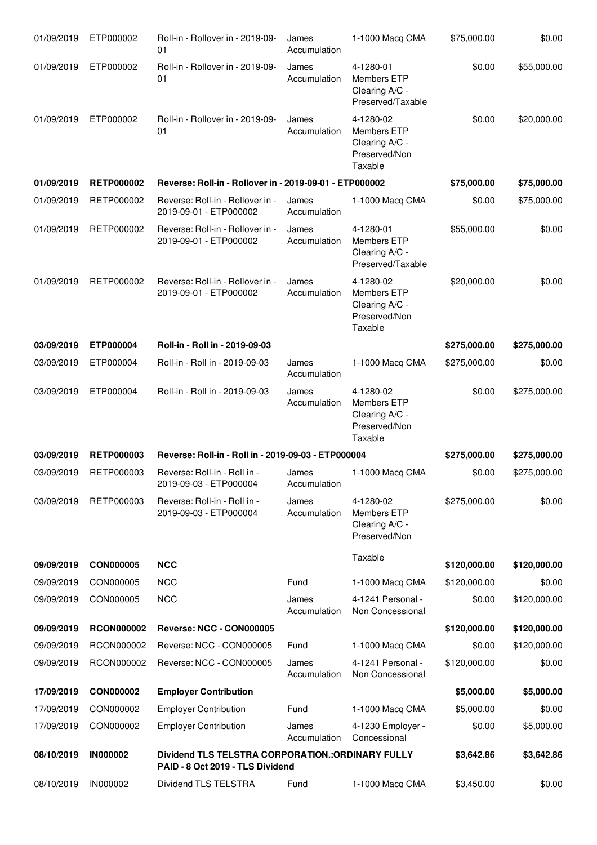| 17/09/2019<br>08/10/2019 | CON000002<br><b>IN000002</b> | Dividend TLS TELSTRA CORPORATION.: ORDINARY FULLY<br>PAID - 8 Oct 2019 - TLS Dividend | Accumulation          | Concessional                                                           | \$3,642.86   | \$3,642.86   |
|--------------------------|------------------------------|---------------------------------------------------------------------------------------|-----------------------|------------------------------------------------------------------------|--------------|--------------|
|                          |                              |                                                                                       |                       |                                                                        |              |              |
|                          |                              |                                                                                       |                       |                                                                        |              |              |
|                          |                              | <b>Employer Contribution</b>                                                          | James                 | 4-1230 Employer -                                                      | \$0.00       | \$5,000.00   |
| 17/09/2019               | CON000002                    | <b>Employer Contribution</b>                                                          | Fund                  | 1-1000 Macq CMA                                                        | \$5,000.00   | \$0.00       |
| 17/09/2019               | CON000002                    | <b>Employer Contribution</b>                                                          | Accumulation          | Non Concessional                                                       | \$5,000.00   | \$5,000.00   |
| 09/09/2019               | RCON000002                   | Reverse: NCC - CON000005                                                              | James                 | 4-1241 Personal -                                                      | \$120,000.00 | \$0.00       |
| 09/09/2019               | RCON000002                   | Reverse: NCC - CON000005                                                              | Fund                  | 1-1000 Macq CMA                                                        | \$0.00       | \$120,000.00 |
| 09/09/2019               | <b>RCON000002</b>            | <b>Reverse: NCC - CON000005</b>                                                       |                       |                                                                        | \$120,000.00 | \$120,000.00 |
| 09/09/2019               | CON000005                    | <b>NCC</b>                                                                            | James<br>Accumulation | 4-1241 Personal -<br>Non Concessional                                  | \$0.00       | \$120,000.00 |
| 09/09/2019               | CON000005                    | <b>NCC</b>                                                                            | Fund                  | 1-1000 Macq CMA                                                        | \$120,000.00 | \$0.00       |
| 09/09/2019               | <b>CON000005</b>             | <b>NCC</b>                                                                            |                       |                                                                        | \$120,000.00 | \$120,000.00 |
|                          |                              |                                                                                       |                       | Preserved/Non<br>Taxable                                               |              |              |
| 03/09/2019               | RETP000003                   | Reverse: Roll-in - Roll in -<br>2019-09-03 - ETP000004                                | James<br>Accumulation | 4-1280-02<br>Members ETP<br>Clearing A/C -                             | \$275,000.00 | \$0.00       |
| 03/09/2019               | RETP000003                   | Reverse: Roll-in - Roll in -<br>2019-09-03 - ETP000004                                | James<br>Accumulation | 1-1000 Macq CMA                                                        | \$0.00       | \$275,000.00 |
| 03/09/2019               | <b>RETP000003</b>            | Reverse: Roll-in - Roll in - 2019-09-03 - ETP000004                                   |                       |                                                                        | \$275,000.00 | \$275,000.00 |
|                          |                              |                                                                                       |                       | Taxable                                                                |              |              |
| 03/09/2019               | ETP000004                    | Roll-in - Roll in - 2019-09-03                                                        | James<br>Accumulation | 4-1280-02<br>Members ETP<br>Clearing A/C -<br>Preserved/Non            | \$0.00       | \$275,000.00 |
| 03/09/2019               | ETP000004                    | Roll-in - Roll in - 2019-09-03                                                        | James<br>Accumulation | 1-1000 Macq CMA                                                        | \$275,000.00 | \$0.00       |
| 03/09/2019               | ETP000004                    | Roll-in - Roll in - 2019-09-03                                                        |                       |                                                                        | \$275,000.00 | \$275,000.00 |
| 01/09/2019               | RETP000002                   | Reverse: Roll-in - Rollover in -<br>2019-09-01 - ETP000002                            | James<br>Accumulation | 4-1280-02<br>Members ETP<br>Clearing A/C -<br>Preserved/Non<br>Taxable | \$20,000.00  | \$0.00       |
| 01/09/2019               | RETP000002                   | Reverse: Roll-in - Rollover in -<br>2019-09-01 - ETP000002                            | James<br>Accumulation | 4-1280-01<br>Members ETP<br>Clearing A/C -<br>Preserved/Taxable        | \$55,000.00  | \$0.00       |
|                          |                              | 2019-09-01 - ETP000002                                                                | Accumulation          |                                                                        |              |              |
| 01/09/2019               | RETP000002                   | Reverse: Roll-in - Rollover in -                                                      | James                 | 1-1000 Macq CMA                                                        | \$0.00       | \$75,000.00  |
| 01/09/2019               | <b>RETP000002</b>            | Reverse: Roll-in - Rollover in - 2019-09-01 - ETP000002                               |                       | Clearing A/C -<br>Preserved/Non<br>Taxable                             | \$75,000.00  | \$75,000.00  |
| 01/09/2019               | ETP000002                    | Roll-in - Rollover in - 2019-09-<br>01                                                | James<br>Accumulation | 4-1280-02<br>Members ETP                                               | \$0.00       | \$20,000.00  |
| 01/09/2019               | ETP000002                    | Roll-in - Rollover in - 2019-09-<br>01                                                | James<br>Accumulation | 4-1280-01<br>Members ETP<br>Clearing A/C -<br>Preserved/Taxable        | \$0.00       | \$55,000.00  |
|                          |                              | 01                                                                                    | Accumulation          |                                                                        |              |              |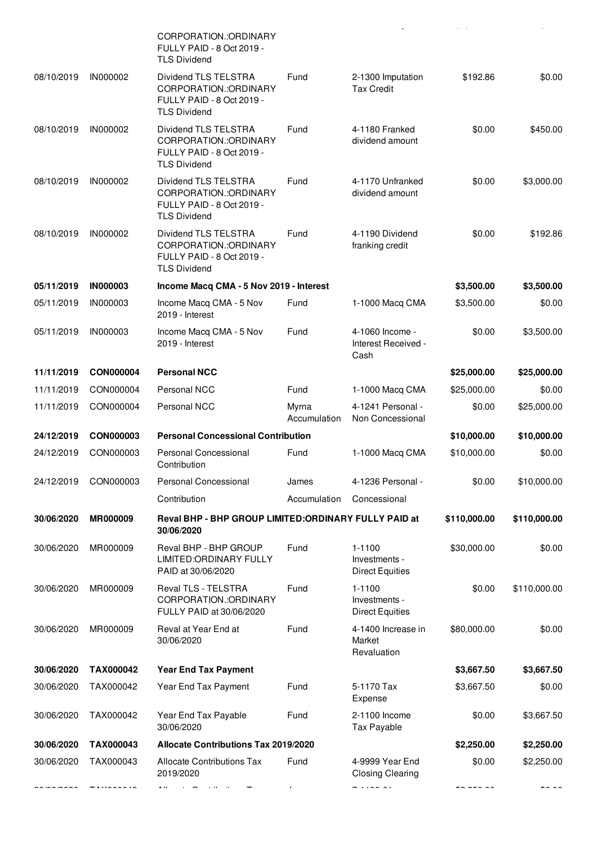|            |                  | CORPORATION.: ORDINARY<br>FULLY PAID - 8 Oct 2019 -                                                |                       |                                                       |              |              |
|------------|------------------|----------------------------------------------------------------------------------------------------|-----------------------|-------------------------------------------------------|--------------|--------------|
| 08/10/2019 | <b>IN000002</b>  | <b>TLS Dividend</b><br>Dividend TLS TELSTRA                                                        | Fund                  | 2-1300 Imputation                                     | \$192.86     | \$0.00       |
|            |                  | CORPORATION.: ORDINARY<br>FULLY PAID - 8 Oct 2019 -<br><b>TLS Dividend</b>                         |                       | <b>Tax Credit</b>                                     |              |              |
| 08/10/2019 | <b>IN000002</b>  | Dividend TLS TELSTRA<br>CORPORATION.: ORDINARY<br>FULLY PAID - 8 Oct 2019 -<br><b>TLS Dividend</b> | Fund                  | 4-1180 Franked<br>dividend amount                     | \$0.00       | \$450.00     |
| 08/10/2019 | <b>IN000002</b>  | Dividend TLS TELSTRA<br>CORPORATION.: ORDINARY<br>FULLY PAID - 8 Oct 2019 -<br><b>TLS Dividend</b> | Fund                  | 4-1170 Unfranked<br>dividend amount                   | \$0.00       | \$3,000.00   |
| 08/10/2019 | <b>IN000002</b>  | Dividend TLS TELSTRA<br>CORPORATION.: ORDINARY<br>FULLY PAID - 8 Oct 2019 -<br><b>TLS Dividend</b> | Fund                  | 4-1190 Dividend<br>franking credit                    | \$0.00       | \$192.86     |
| 05/11/2019 | <b>IN000003</b>  | Income Macq CMA - 5 Nov 2019 - Interest                                                            |                       |                                                       | \$3,500.00   | \$3,500.00   |
| 05/11/2019 | <b>IN000003</b>  | Income Macq CMA - 5 Nov<br>2019 - Interest                                                         | Fund                  | 1-1000 Macq CMA                                       | \$3,500.00   | \$0.00       |
| 05/11/2019 | <b>IN000003</b>  | Income Macq CMA - 5 Nov<br>2019 - Interest                                                         | Fund                  | 4-1060 Income -<br>Interest Received -<br>Cash        | \$0.00       | \$3,500.00   |
| 11/11/2019 | <b>CON000004</b> | <b>Personal NCC</b>                                                                                | \$25,000.00           | \$25,000.00                                           |              |              |
| 11/11/2019 | CON000004        | Personal NCC                                                                                       | Fund                  | 1-1000 Macq CMA                                       | \$25,000.00  | \$0.00       |
| 11/11/2019 | CON000004        | Personal NCC                                                                                       | Myrna<br>Accumulation | 4-1241 Personal -<br>Non Concessional                 | \$0.00       | \$25,000.00  |
| 24/12/2019 | CON000003        | <b>Personal Concessional Contribution</b>                                                          | \$10,000.00           | \$10,000.00                                           |              |              |
| 24/12/2019 | CON000003        | Personal Concessional<br>Contribution                                                              | Fund                  | 1-1000 Macq CMA                                       | \$10,000.00  | \$0.00       |
| 24/12/2019 | CON000003        | Personal Concessional                                                                              | James                 | 4-1236 Personal -                                     | \$0.00       | \$10,000.00  |
|            |                  | Contribution                                                                                       | Accumulation          | Concessional                                          |              |              |
| 30/06/2020 | <b>MR000009</b>  | Reval BHP - BHP GROUP LIMITED: ORDINARY FULLY PAID at<br>30/06/2020                                |                       |                                                       | \$110,000.00 | \$110,000.00 |
| 30/06/2020 | MR000009         | Reval BHP - BHP GROUP<br>LIMITED:ORDINARY FULLY<br>PAID at 30/06/2020                              | Fund                  | $1 - 1100$<br>Investments -<br><b>Direct Equities</b> | \$30,000.00  | \$0.00       |
| 30/06/2020 | MR000009         | Reval TLS - TELSTRA<br>CORPORATION.: ORDINARY<br>FULLY PAID at 30/06/2020                          | Fund                  | $1 - 1100$<br>Investments -<br><b>Direct Equities</b> | \$0.00       | \$110,000.00 |
| 30/06/2020 | MR000009         | Reval at Year End at<br>30/06/2020                                                                 | Fund                  | 4-1400 Increase in<br>Market<br>Revaluation           | \$80,000.00  | \$0.00       |
| 30/06/2020 | TAX000042        | <b>Year End Tax Payment</b>                                                                        |                       |                                                       | \$3,667.50   | \$3,667.50   |
| 30/06/2020 | TAX000042        | Year End Tax Payment                                                                               | Fund                  | 5-1170 Tax<br>Expense                                 | \$3,667.50   | \$0.00       |
| 30/06/2020 | TAX000042        | Year End Tax Payable<br>30/06/2020                                                                 | Fund                  | 2-1100 Income<br>Tax Payable                          | \$0.00       | \$3,667.50   |
| 30/06/2020 | TAX000043        | <b>Allocate Contributions Tax 2019/2020</b>                                                        |                       |                                                       | \$2,250.00   | \$2,250.00   |
| 30/06/2020 | TAX000043        | Allocate Contributions Tax<br>2019/2020                                                            | Fund                  | 4-9999 Year End<br><b>Closing Clearing</b>            | \$0.00       | \$2,250.00   |
|            |                  |                                                                                                    |                       | - 11 - 11 - 11                                        |              | $\bullet$    |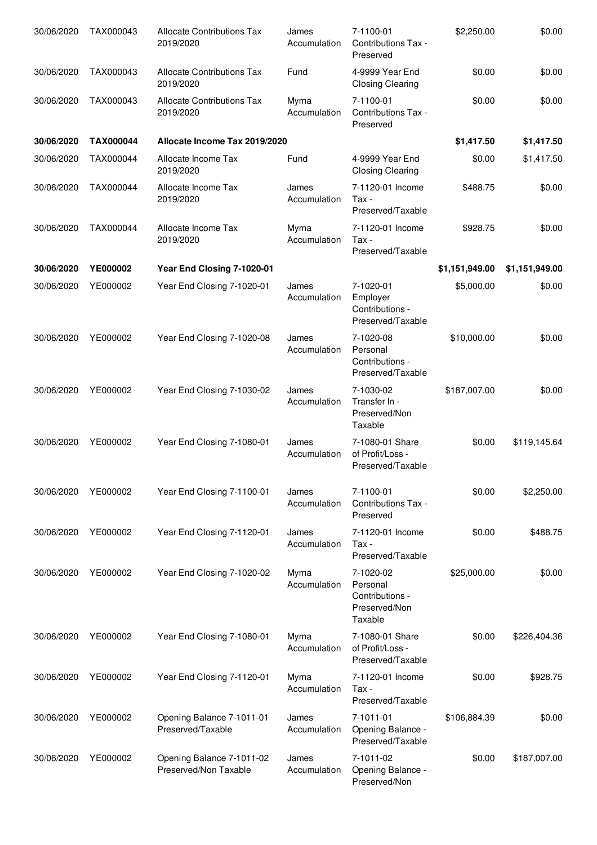| 30/06/2020 | TAX000043 | Allocate Contributions Tax<br>2019/2020            | James<br>Accumulation | 7-1100-01<br>Contributions Tax -<br>Preserved                        | \$2,250.00     | \$0.00         |
|------------|-----------|----------------------------------------------------|-----------------------|----------------------------------------------------------------------|----------------|----------------|
| 30/06/2020 | TAX000043 | <b>Allocate Contributions Tax</b><br>2019/2020     | Fund                  | 4-9999 Year End<br><b>Closing Clearing</b>                           | \$0.00         | \$0.00         |
| 30/06/2020 | TAX000043 | <b>Allocate Contributions Tax</b><br>2019/2020     | Myrna<br>Accumulation | 7-1100-01<br>Contributions Tax -<br>Preserved                        | \$0.00         | \$0.00         |
| 30/06/2020 | TAX000044 | Allocate Income Tax 2019/2020                      |                       |                                                                      | \$1,417.50     | \$1,417.50     |
| 30/06/2020 | TAX000044 | Allocate Income Tax<br>2019/2020                   | Fund                  | 4-9999 Year End<br><b>Closing Clearing</b>                           | \$0.00         | \$1,417.50     |
| 30/06/2020 | TAX000044 | Allocate Income Tax<br>2019/2020                   | James<br>Accumulation | 7-1120-01 Income<br>Tax -<br>Preserved/Taxable                       | \$488.75       | \$0.00         |
| 30/06/2020 | TAX000044 | Allocate Income Tax<br>2019/2020                   | Myrna<br>Accumulation | 7-1120-01 Income<br>Tax -<br>Preserved/Taxable                       | \$928.75       | \$0.00         |
| 30/06/2020 | YE000002  | Year End Closing 7-1020-01                         |                       |                                                                      | \$1,151,949.00 | \$1,151,949.00 |
| 30/06/2020 | YE000002  | Year End Closing 7-1020-01                         | James<br>Accumulation | 7-1020-01<br>Employer<br>Contributions -<br>Preserved/Taxable        | \$5,000.00     | \$0.00         |
| 30/06/2020 | YE000002  | Year End Closing 7-1020-08                         | James<br>Accumulation | 7-1020-08<br>Personal<br>Contributions -<br>Preserved/Taxable        | \$10,000.00    | \$0.00         |
| 30/06/2020 | YE000002  | Year End Closing 7-1030-02                         | James<br>Accumulation | 7-1030-02<br>Transfer In -<br>Preserved/Non<br>Taxable               | \$187,007.00   | \$0.00         |
| 30/06/2020 | YE000002  | Year End Closing 7-1080-01                         | James<br>Accumulation | 7-1080-01 Share<br>of Profit/Loss -<br>Preserved/Taxable             | \$0.00         | \$119,145.64   |
| 30/06/2020 | YE000002  | Year End Closing 7-1100-01                         | James<br>Accumulation | 7-1100-01<br>Contributions Tax -<br>Preserved                        | \$0.00         | \$2,250.00     |
| 30/06/2020 | YE000002  | Year End Closing 7-1120-01                         | James<br>Accumulation | 7-1120-01 Income<br>Tax -<br>Preserved/Taxable                       | \$0.00         | \$488.75       |
| 30/06/2020 | YE000002  | Year End Closing 7-1020-02                         | Myrna<br>Accumulation | 7-1020-02<br>Personal<br>Contributions -<br>Preserved/Non<br>Taxable | \$25,000.00    | \$0.00         |
| 30/06/2020 | YE000002  | Year End Closing 7-1080-01                         | Myrna<br>Accumulation | 7-1080-01 Share<br>of Profit/Loss -<br>Preserved/Taxable             | \$0.00         | \$226,404.36   |
| 30/06/2020 | YE000002  | Year End Closing 7-1120-01                         | Myrna<br>Accumulation | 7-1120-01 Income<br>Tax -<br>Preserved/Taxable                       | \$0.00         | \$928.75       |
| 30/06/2020 | YE000002  | Opening Balance 7-1011-01<br>Preserved/Taxable     | James<br>Accumulation | 7-1011-01<br>Opening Balance -<br>Preserved/Taxable                  | \$106,884.39   | \$0.00         |
| 30/06/2020 | YE000002  | Opening Balance 7-1011-02<br>Preserved/Non Taxable | James<br>Accumulation | 7-1011-02<br>Opening Balance -<br>Preserved/Non                      | \$0.00         | \$187,007.00   |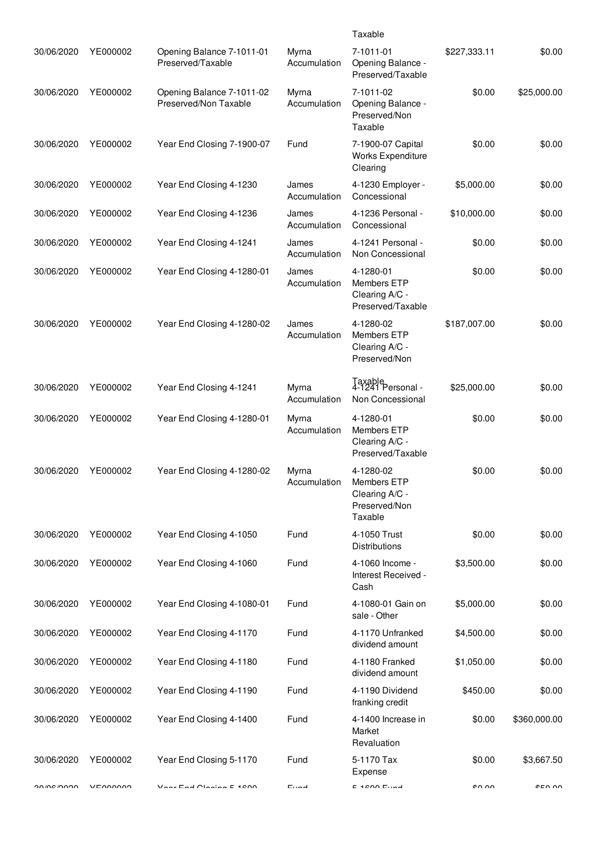|              |                                         |                                                    |                       | Taxable                                                                |              |              |
|--------------|-----------------------------------------|----------------------------------------------------|-----------------------|------------------------------------------------------------------------|--------------|--------------|
| 30/06/2020   | YE000002                                | Opening Balance 7-1011-01<br>Preserved/Taxable     | Myrna<br>Accumulation | 7-1011-01<br>Opening Balance -<br>Preserved/Taxable                    | \$227,333.11 | \$0.00       |
| 30/06/2020   | YE000002                                | Opening Balance 7-1011-02<br>Preserved/Non Taxable | Myrna<br>Accumulation | 7-1011-02<br>Opening Balance -<br>Preserved/Non<br>Taxable             | \$0.00       | \$25,000.00  |
| 30/06/2020   | YE000002                                | Year End Closing 7-1900-07                         | Fund                  | 7-1900-07 Capital<br><b>Works Expenditure</b><br>Clearing              | \$0.00       | \$0.00       |
| 30/06/2020   | YE000002                                | Year End Closing 4-1230                            | James<br>Accumulation | 4-1230 Employer -<br>Concessional                                      | \$5,000.00   | \$0.00       |
| 30/06/2020   | YE000002                                | Year End Closing 4-1236                            | James<br>Accumulation | 4-1236 Personal -<br>Concessional                                      | \$10,000.00  | \$0.00       |
| 30/06/2020   | YE000002                                | Year End Closing 4-1241                            | James<br>Accumulation | 4-1241 Personal -<br>Non Concessional                                  | \$0.00       | \$0.00       |
| 30/06/2020   | YE000002                                | Year End Closing 4-1280-01                         | James<br>Accumulation | 4-1280-01<br>Members ETP<br>Clearing A/C -<br>Preserved/Taxable        | \$0.00       | \$0.00       |
| 30/06/2020   | YE000002                                | Year End Closing 4-1280-02                         | James<br>Accumulation | 4-1280-02<br>Members ETP<br>Clearing A/C -<br>Preserved/Non            | \$187,007.00 | \$0.00       |
| 30/06/2020   | YE000002                                | Year End Closing 4-1241                            | Myrna<br>Accumulation | Taxable<br>4-1241 Personal -<br>Non Concessional                       | \$25,000.00  | \$0.00       |
| 30/06/2020   | YE000002                                | Year End Closing 4-1280-01                         | Myrna<br>Accumulation | 4-1280-01<br>Members ETP<br>Clearing A/C -<br>Preserved/Taxable        | \$0.00       | \$0.00       |
| 30/06/2020   | YE000002                                | Year End Closing 4-1280-02                         | Myrna<br>Accumulation | 4-1280-02<br>Members ETP<br>Clearing A/C -<br>Preserved/Non<br>Taxable | \$0.00       | \$0.00       |
| 30/06/2020   | YE000002                                | Year End Closing 4-1050                            | Fund                  | 4-1050 Trust<br>Distributions                                          | \$0.00       | \$0.00       |
| 30/06/2020   | YE000002                                | Year End Closing 4-1060                            | Fund                  | 4-1060 Income -<br>Interest Received -<br>Cash                         | \$3,500.00   | \$0.00       |
| 30/06/2020   | YE000002                                | Year End Closing 4-1080-01                         | Fund                  | 4-1080-01 Gain on<br>sale - Other                                      | \$5,000.00   | \$0.00       |
| 30/06/2020   | YE000002                                | Year End Closing 4-1170                            | Fund                  | 4-1170 Unfranked<br>dividend amount                                    | \$4,500.00   | \$0.00       |
| 30/06/2020   | YE000002                                | Year End Closing 4-1180                            | Fund                  | 4-1180 Franked<br>dividend amount                                      | \$1,050.00   | \$0.00       |
| 30/06/2020   | YE000002                                | Year End Closing 4-1190                            | Fund                  | 4-1190 Dividend<br>franking credit                                     | \$450.00     | \$0.00       |
| 30/06/2020   | YE000002                                | Year End Closing 4-1400                            | Fund                  | 4-1400 Increase in<br>Market<br>Revaluation                            | \$0.00       | \$360,000.00 |
| 30/06/2020   | YE000002                                | Year End Closing 5-1170                            | Fund                  | 5-1170 Tax<br>Expense                                                  | \$0.00       | \$3,667.50   |
| na ing innan | $V$ $\Gamma$ $\Omega$ $\Omega$ $\Omega$ | Vescrisa Alesbar 1000                              |                       | $F$ $A$ $P$ $O$ $O$ $F$ $H$ $H$ $H$                                    | ሐስ ስስ        | ATA          |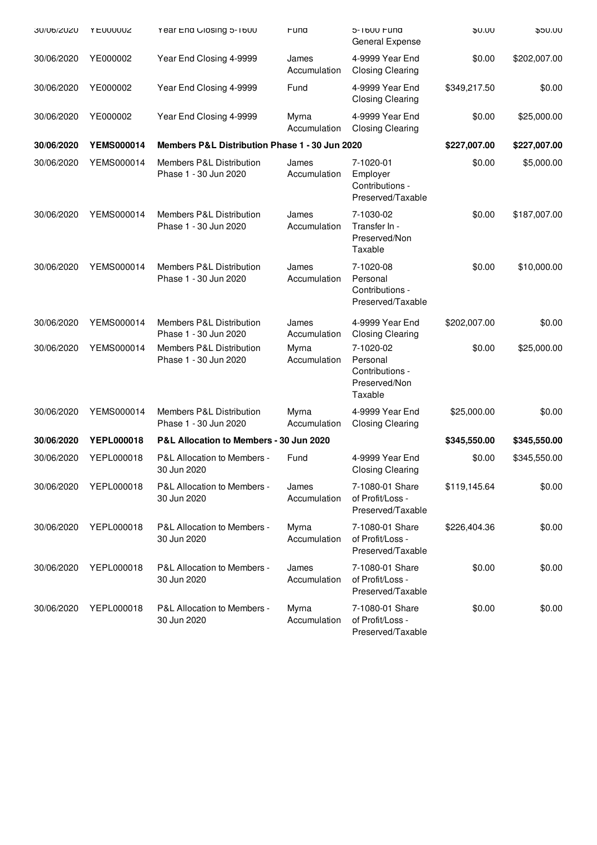| 30/06/2020 | Y LUUUUUZ         | Year End Glosing 5-1600                                      | runa                  | 5-1600 runa<br>General Expense                                       | <b>DU.UG</b> | <b>UU.UC¢</b> |
|------------|-------------------|--------------------------------------------------------------|-----------------------|----------------------------------------------------------------------|--------------|---------------|
| 30/06/2020 | YE000002          | Year End Closing 4-9999                                      | James<br>Accumulation | 4-9999 Year End<br><b>Closing Clearing</b>                           | \$0.00       | \$202,007.00  |
| 30/06/2020 | YE000002          | Year End Closing 4-9999                                      | Fund                  | 4-9999 Year End<br><b>Closing Clearing</b>                           | \$349,217.50 | \$0.00        |
| 30/06/2020 | YE000002          | Year End Closing 4-9999                                      | Myrna<br>Accumulation | 4-9999 Year End<br><b>Closing Clearing</b>                           | \$0.00       | \$25,000.00   |
| 30/06/2020 | <b>YEMS000014</b> | Members P&L Distribution Phase 1 - 30 Jun 2020               |                       |                                                                      | \$227,007.00 | \$227,007.00  |
| 30/06/2020 | YEMS000014        | Members P&L Distribution<br>Phase 1 - 30 Jun 2020            | James<br>Accumulation | 7-1020-01<br>Employer<br>Contributions -<br>Preserved/Taxable        | \$0.00       | \$5,000.00    |
| 30/06/2020 | YEMS000014        | <b>Members P&amp;L Distribution</b><br>Phase 1 - 30 Jun 2020 | James<br>Accumulation | 7-1030-02<br>Transfer In -<br>Preserved/Non<br>Taxable               | \$0.00       | \$187,007.00  |
| 30/06/2020 | <b>YEMS000014</b> | <b>Members P&amp;L Distribution</b><br>Phase 1 - 30 Jun 2020 | James<br>Accumulation | 7-1020-08<br>Personal<br>Contributions -<br>Preserved/Taxable        | \$0.00       | \$10,000.00   |
| 30/06/2020 | YEMS000014        | Members P&L Distribution<br>Phase 1 - 30 Jun 2020            | James<br>Accumulation | 4-9999 Year End<br><b>Closing Clearing</b>                           | \$202,007.00 | \$0.00        |
| 30/06/2020 | YEMS000014        | Members P&L Distribution<br>Phase 1 - 30 Jun 2020            | Myrna<br>Accumulation | 7-1020-02<br>Personal<br>Contributions -<br>Preserved/Non<br>Taxable | \$0.00       | \$25,000.00   |
| 30/06/2020 | YEMS000014        | Members P&L Distribution<br>Phase 1 - 30 Jun 2020            | Myrna<br>Accumulation | 4-9999 Year End<br><b>Closing Clearing</b>                           | \$25,000.00  | \$0.00        |
| 30/06/2020 | YEPL000018        | P&L Allocation to Members - 30 Jun 2020                      |                       |                                                                      | \$345,550.00 | \$345,550.00  |
| 30/06/2020 | YEPL000018        | P&L Allocation to Members -<br>30 Jun 2020                   | Fund                  | 4-9999 Year End<br><b>Closing Clearing</b>                           | \$0.00       | \$345,550.00  |
| 30/06/2020 | YEPL000018        | P&L Allocation to Members -<br>30 Jun 2020                   | James<br>Accumulation | 7-1080-01 Share<br>of Profit/Loss -<br>Preserved/Taxable             | \$119,145.64 | \$0.00        |
| 30/06/2020 | YEPL000018        | <b>P&amp;L Allocation to Members -</b><br>30 Jun 2020        | Myrna<br>Accumulation | 7-1080-01 Share<br>of Profit/Loss -<br>Preserved/Taxable             | \$226,404.36 | \$0.00        |
| 30/06/2020 | YEPL000018        | P&L Allocation to Members -<br>30 Jun 2020                   | James<br>Accumulation | 7-1080-01 Share<br>of Profit/Loss -<br>Preserved/Taxable             | \$0.00       | \$0.00        |
| 30/06/2020 | YEPL000018        | <b>P&amp;L Allocation to Members -</b><br>30 Jun 2020        | Myrna<br>Accumulation | 7-1080-01 Share<br>of Profit/Loss -<br>Preserved/Taxable             | \$0.00       | \$0.00        |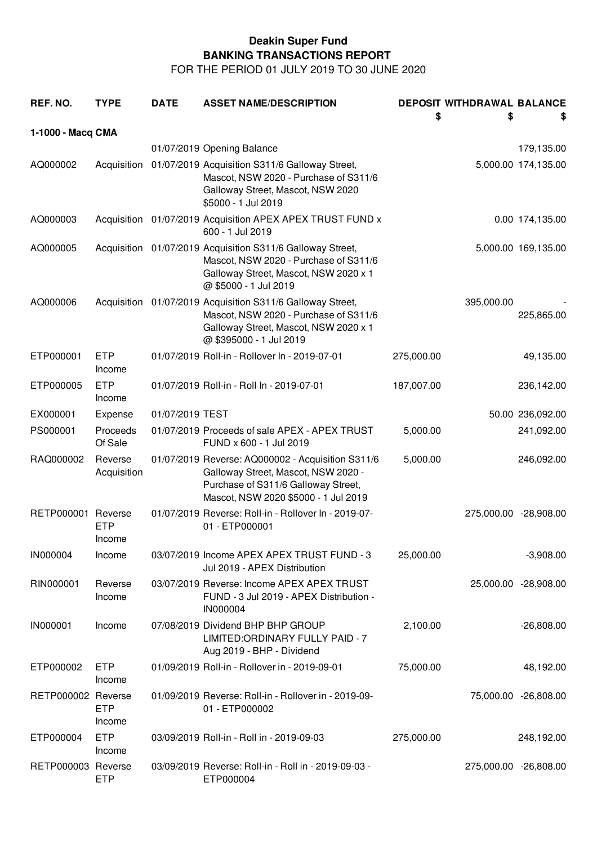# **Deakin Super Fund BANKING TRANSACTIONS REPORT**

FOR THE PERIOD 01 JULY 2019 TO 30 JUNE 2020

| REF. NO.           | <b>TYPE</b>            | <b>DATE</b>     | <b>ASSET NAME/DESCRIPTION</b>                                                                                                                                           | \$         | <b>DEPOSIT WITHDRAWAL BALANCE</b><br>\$ |                      |
|--------------------|------------------------|-----------------|-------------------------------------------------------------------------------------------------------------------------------------------------------------------------|------------|-----------------------------------------|----------------------|
| 1-1000 - Macq CMA  |                        |                 |                                                                                                                                                                         |            |                                         |                      |
|                    |                        |                 | 01/07/2019 Opening Balance                                                                                                                                              |            |                                         | 179,135.00           |
| AQ000002           |                        |                 | Acquisition 01/07/2019 Acquisition S311/6 Galloway Street,<br>Mascot, NSW 2020 - Purchase of S311/6<br>Galloway Street, Mascot, NSW 2020<br>\$5000 - 1 Jul 2019         |            |                                         | 5,000.00 174,135.00  |
| AQ000003           |                        |                 | Acquisition 01/07/2019 Acquisition APEX APEX TRUST FUND x<br>600 - 1 Jul 2019                                                                                           |            |                                         | 0.00 174,135.00      |
| AQ000005           |                        |                 | Acquisition 01/07/2019 Acquisition S311/6 Galloway Street,<br>Mascot, NSW 2020 - Purchase of S311/6<br>Galloway Street, Mascot, NSW 2020 x 1<br>@\$5000 - 1 Jul 2019    |            |                                         | 5,000.00 169,135.00  |
| AQ000006           |                        |                 | Acquisition 01/07/2019 Acquisition S311/6 Galloway Street,<br>Mascot, NSW 2020 - Purchase of S311/6<br>Galloway Street, Mascot, NSW 2020 x 1<br>@ \$395000 - 1 Jul 2019 |            | 395,000.00                              | 225,865.00           |
| ETP000001          | <b>ETP</b><br>Income   |                 | 01/07/2019 Roll-in - Rollover In - 2019-07-01                                                                                                                           | 275,000.00 |                                         | 49,135.00            |
| ETP000005          | <b>ETP</b><br>Income   |                 | 01/07/2019 Roll-in - Roll In - 2019-07-01                                                                                                                               | 187,007.00 |                                         | 236,142.00           |
| EX000001           | Expense                | 01/07/2019 TEST |                                                                                                                                                                         |            |                                         | 50.00 236,092.00     |
| PS000001           | Proceeds<br>Of Sale    |                 | 01/07/2019 Proceeds of sale APEX - APEX TRUST<br>FUND x 600 - 1 Jul 2019                                                                                                | 5,000.00   |                                         | 241,092.00           |
| RAQ000002          | Reverse<br>Acquisition |                 | 01/07/2019 Reverse: AQ000002 - Acquisition S311/6<br>Galloway Street, Mascot, NSW 2020 -<br>Purchase of S311/6 Galloway Street,<br>Mascot, NSW 2020 \$5000 - 1 Jul 2019 | 5,000.00   |                                         | 246,092.00           |
| RETP000001 Reverse | <b>ETP</b><br>Income   |                 | 01/07/2019 Reverse: Roll-in - Rollover In - 2019-07-<br>01 - ETP000001                                                                                                  |            | 275,000.00 -28,908.00                   |                      |
| <b>IN000004</b>    | Income                 |                 | 03/07/2019 Income APEX APEX TRUST FUND - 3<br>Jul 2019 - APEX Distribution                                                                                              | 25,000.00  |                                         | $-3,908.00$          |
| RIN000001          | Reverse<br>Income      |                 | 03/07/2019 Reverse: Income APEX APEX TRUST<br>FUND - 3 Jul 2019 - APEX Distribution -<br><b>IN000004</b>                                                                |            |                                         | 25,000.00 -28,908.00 |
| <b>IN000001</b>    | Income                 |                 | 07/08/2019 Dividend BHP BHP GROUP<br>LIMITED:ORDINARY FULLY PAID - 7<br>Aug 2019 - BHP - Dividend                                                                       | 2,100.00   |                                         | $-26,808.00$         |
| ETP000002          | ETP<br>Income          |                 | 01/09/2019 Roll-in - Rollover in - 2019-09-01                                                                                                                           | 75,000.00  |                                         | 48,192.00            |
| RETP000002 Reverse | <b>ETP</b><br>Income   |                 | 01/09/2019 Reverse: Roll-in - Rollover in - 2019-09-<br>01 - ETP000002                                                                                                  |            |                                         | 75,000.00 -26,808.00 |
| ETP000004          | <b>ETP</b><br>Income   |                 | 03/09/2019 Roll-in - Roll in - 2019-09-03                                                                                                                               | 275,000.00 |                                         | 248,192.00           |
| RETP000003 Reverse | <b>ETP</b>             |                 | 03/09/2019 Reverse: Roll-in - Roll in - 2019-09-03 -<br>ETP000004                                                                                                       |            | 275,000.00 -26,808.00                   |                      |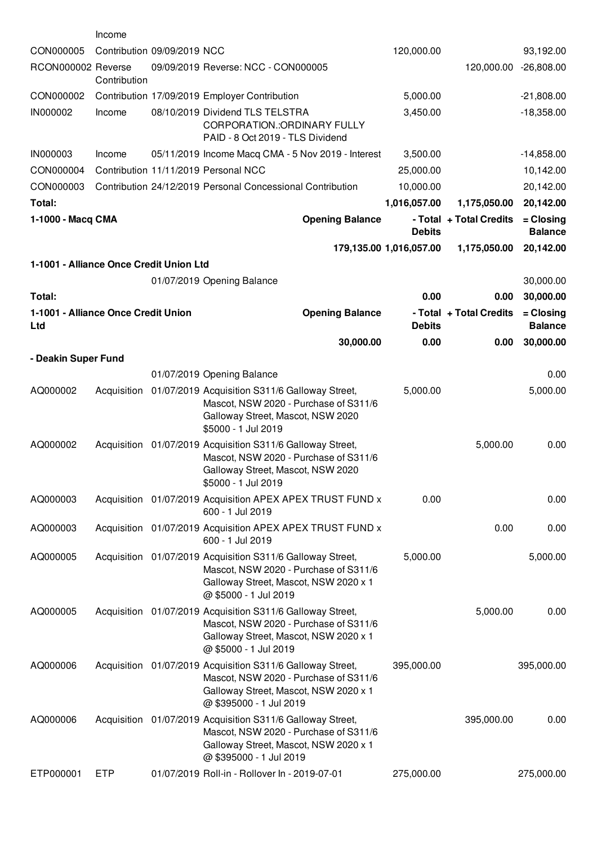|                                            | Income                      |                                                                                                                                                                        |                         |                         |                               |
|--------------------------------------------|-----------------------------|------------------------------------------------------------------------------------------------------------------------------------------------------------------------|-------------------------|-------------------------|-------------------------------|
| CON000005                                  | Contribution 09/09/2019 NCC |                                                                                                                                                                        | 120,000.00              |                         | 93,192.00                     |
| RCON000002 Reverse                         | Contribution                | 09/09/2019 Reverse: NCC - CON000005                                                                                                                                    |                         | 120,000.00 -26,808.00   |                               |
| CON000002                                  |                             | Contribution 17/09/2019 Employer Contribution                                                                                                                          | 5,000.00                |                         | $-21,808.00$                  |
| IN000002                                   | Income                      | 08/10/2019 Dividend TLS TELSTRA<br><b>CORPORATION.: ORDINARY FULLY</b><br>PAID - 8 Oct 2019 - TLS Dividend                                                             | 3,450.00                |                         | $-18,358.00$                  |
| <b>IN000003</b>                            | Income                      | 05/11/2019 Income Macq CMA - 5 Nov 2019 - Interest                                                                                                                     | 3,500.00                |                         | $-14,858.00$                  |
| CON000004                                  |                             | Contribution 11/11/2019 Personal NCC                                                                                                                                   | 25,000.00               |                         | 10,142.00                     |
| CON000003                                  |                             | Contribution 24/12/2019 Personal Concessional Contribution                                                                                                             | 10,000.00               |                         | 20,142.00                     |
| Total:                                     |                             |                                                                                                                                                                        | 1,016,057.00            | 1,175,050.00            | 20,142.00                     |
| 1-1000 - Macq CMA                          |                             | <b>Opening Balance</b>                                                                                                                                                 | <b>Debits</b>           | - Total + Total Credits | $=$ Closing<br><b>Balance</b> |
|                                            |                             |                                                                                                                                                                        | 179,135.00 1,016,057.00 | 1,175,050.00            | 20,142.00                     |
| 1-1001 - Alliance Once Credit Union Ltd    |                             |                                                                                                                                                                        |                         |                         |                               |
|                                            |                             | 01/07/2019 Opening Balance                                                                                                                                             |                         |                         | 30,000.00                     |
| Total:                                     |                             |                                                                                                                                                                        | 0.00                    | 0.00                    | 30,000.00                     |
| 1-1001 - Alliance Once Credit Union<br>Ltd |                             | <b>Opening Balance</b>                                                                                                                                                 | <b>Debits</b>           | - Total + Total Credits | $=$ Closing<br><b>Balance</b> |
|                                            |                             | 30,000.00                                                                                                                                                              | 0.00                    | 0.00                    | 30,000.00                     |
| - Deakin Super Fund                        |                             |                                                                                                                                                                        |                         |                         |                               |
|                                            |                             | 01/07/2019 Opening Balance                                                                                                                                             |                         |                         | 0.00                          |
| AQ000002                                   | Acquisition                 | 01/07/2019 Acquisition S311/6 Galloway Street,<br>Mascot, NSW 2020 - Purchase of S311/6<br>Galloway Street, Mascot, NSW 2020<br>\$5000 - 1 Jul 2019                    | 5,000.00                |                         | 5,000.00                      |
| AQ000002                                   |                             | Acquisition 01/07/2019 Acquisition S311/6 Galloway Street,<br>Mascot, NSW 2020 - Purchase of S311/6<br>Galloway Street, Mascot, NSW 2020<br>\$5000 - 1 Jul 2019        |                         | 5,000.00                | 0.00                          |
| AQ000003                                   |                             | Acquisition 01/07/2019 Acquisition APEX APEX TRUST FUND x<br>600 - 1 Jul 2019                                                                                          | 0.00                    |                         | 0.00                          |
| AQ000003                                   |                             | Acquisition 01/07/2019 Acquisition APEX APEX TRUST FUND x<br>600 - 1 Jul 2019                                                                                          |                         | 0.00                    | 0.00                          |
| AQ000005                                   |                             | Acquisition 01/07/2019 Acquisition S311/6 Galloway Street,<br>Mascot, NSW 2020 - Purchase of S311/6<br>Galloway Street, Mascot, NSW 2020 x 1<br>@\$5000 - 1 Jul 2019   | 5,000.00                |                         | 5,000.00                      |
| AQ000005                                   |                             | Acquisition 01/07/2019 Acquisition S311/6 Galloway Street,<br>Mascot, NSW 2020 - Purchase of S311/6<br>Galloway Street, Mascot, NSW 2020 x 1<br>@\$5000 - 1 Jul 2019   |                         | 5,000.00                | 0.00                          |
| AQ000006                                   |                             | Acquisition 01/07/2019 Acquisition S311/6 Galloway Street,<br>Mascot, NSW 2020 - Purchase of S311/6<br>Galloway Street, Mascot, NSW 2020 x 1<br>@\$395000 - 1 Jul 2019 | 395,000.00              |                         | 395,000.00                    |
| AQ000006                                   |                             | Acquisition 01/07/2019 Acquisition S311/6 Galloway Street,<br>Mascot, NSW 2020 - Purchase of S311/6<br>Galloway Street, Mascot, NSW 2020 x 1<br>@\$395000 - 1 Jul 2019 |                         | 395,000.00              | 0.00                          |
| ETP000001                                  | <b>ETP</b>                  | 01/07/2019 Roll-in - Rollover In - 2019-07-01                                                                                                                          | 275,000.00              |                         | 275,000.00                    |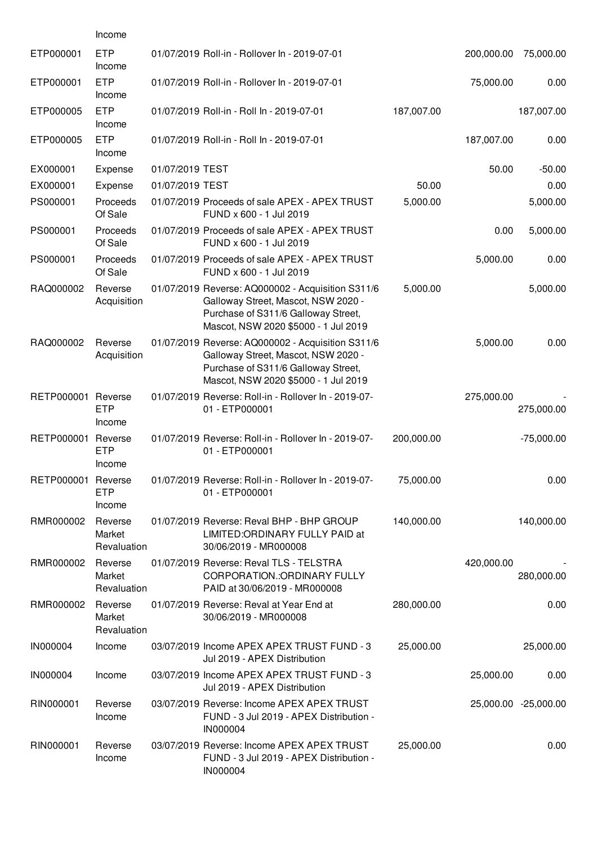|                    | Income                           |                 |                                                                                                                                                                         |            |            |                      |
|--------------------|----------------------------------|-----------------|-------------------------------------------------------------------------------------------------------------------------------------------------------------------------|------------|------------|----------------------|
| ETP000001          | <b>ETP</b><br>Income             |                 | 01/07/2019 Roll-in - Rollover In - 2019-07-01                                                                                                                           |            | 200,000.00 | 75,000.00            |
| ETP000001          | <b>ETP</b><br>Income             |                 | 01/07/2019 Roll-in - Rollover In - 2019-07-01                                                                                                                           |            | 75,000.00  | 0.00                 |
| ETP000005          | <b>ETP</b><br>Income             |                 | 01/07/2019 Roll-in - Roll In - 2019-07-01                                                                                                                               | 187,007.00 |            | 187,007.00           |
| ETP000005          | <b>ETP</b><br>Income             |                 | 01/07/2019 Roll-in - Roll In - 2019-07-01                                                                                                                               |            | 187,007.00 | 0.00                 |
| EX000001           | Expense                          | 01/07/2019 TEST |                                                                                                                                                                         |            | 50.00      | $-50.00$             |
| EX000001           | Expense                          | 01/07/2019 TEST |                                                                                                                                                                         | 50.00      |            | 0.00                 |
| PS000001           | Proceeds<br>Of Sale              |                 | 01/07/2019 Proceeds of sale APEX - APEX TRUST<br>FUND x 600 - 1 Jul 2019                                                                                                | 5,000.00   |            | 5,000.00             |
| PS000001           | Proceeds<br>Of Sale              |                 | 01/07/2019 Proceeds of sale APEX - APEX TRUST<br>FUND x 600 - 1 Jul 2019                                                                                                |            | 0.00       | 5,000.00             |
| PS000001           | Proceeds<br>Of Sale              |                 | 01/07/2019 Proceeds of sale APEX - APEX TRUST<br>FUND x 600 - 1 Jul 2019                                                                                                |            | 5,000.00   | 0.00                 |
| RAQ000002          | Reverse<br>Acquisition           |                 | 01/07/2019 Reverse: AQ000002 - Acquisition S311/6<br>Galloway Street, Mascot, NSW 2020 -<br>Purchase of S311/6 Galloway Street,<br>Mascot, NSW 2020 \$5000 - 1 Jul 2019 | 5,000.00   |            | 5,000.00             |
| RAQ000002          | Reverse<br>Acquisition           |                 | 01/07/2019 Reverse: AQ000002 - Acquisition S311/6<br>Galloway Street, Mascot, NSW 2020 -<br>Purchase of S311/6 Galloway Street,<br>Mascot, NSW 2020 \$5000 - 1 Jul 2019 |            | 5,000.00   | 0.00                 |
| RETP000001 Reverse | <b>ETP</b><br>Income             |                 | 01/07/2019 Reverse: Roll-in - Rollover In - 2019-07-<br>01 - ETP000001                                                                                                  |            | 275,000.00 | 275,000.00           |
| RETP000001 Reverse | <b>ETP</b><br>Income             |                 | 01/07/2019 Reverse: Roll-in - Rollover In - 2019-07-<br>01 - ETP000001                                                                                                  | 200,000.00 |            | $-75,000.00$         |
| RETP000001 Reverse | <b>ETP</b><br>Income             |                 | 01/07/2019 Reverse: Roll-in - Rollover In - 2019-07-<br>01 - ETP000001                                                                                                  | 75,000.00  |            | 0.00                 |
| RMR000002          | Reverse<br>Market<br>Revaluation |                 | 01/07/2019 Reverse: Reval BHP - BHP GROUP<br>LIMITED:ORDINARY FULLY PAID at<br>30/06/2019 - MR000008                                                                    | 140,000.00 |            | 140,000.00           |
| RMR000002          | Reverse<br>Market<br>Revaluation |                 | 01/07/2019 Reverse: Reval TLS - TELSTRA<br><b>CORPORATION.: ORDINARY FULLY</b><br>PAID at 30/06/2019 - MR000008                                                         |            | 420,000.00 | 280,000.00           |
| RMR000002          | Reverse<br>Market<br>Revaluation |                 | 01/07/2019 Reverse: Reval at Year End at<br>30/06/2019 - MR000008                                                                                                       | 280,000.00 |            | 0.00                 |
| <b>IN000004</b>    | Income                           |                 | 03/07/2019 Income APEX APEX TRUST FUND - 3<br>Jul 2019 - APEX Distribution                                                                                              | 25,000.00  |            | 25,000.00            |
| IN000004           | Income                           |                 | 03/07/2019 Income APEX APEX TRUST FUND - 3<br>Jul 2019 - APEX Distribution                                                                                              |            | 25,000.00  | 0.00                 |
| RIN000001          | Reverse<br>Income                |                 | 03/07/2019 Reverse: Income APEX APEX TRUST<br>FUND - 3 Jul 2019 - APEX Distribution -<br><b>IN000004</b>                                                                |            |            | 25,000.00 -25,000.00 |
| RIN000001          | Reverse<br>Income                |                 | 03/07/2019 Reverse: Income APEX APEX TRUST<br>FUND - 3 Jul 2019 - APEX Distribution -<br><b>IN000004</b>                                                                | 25,000.00  |            | 0.00                 |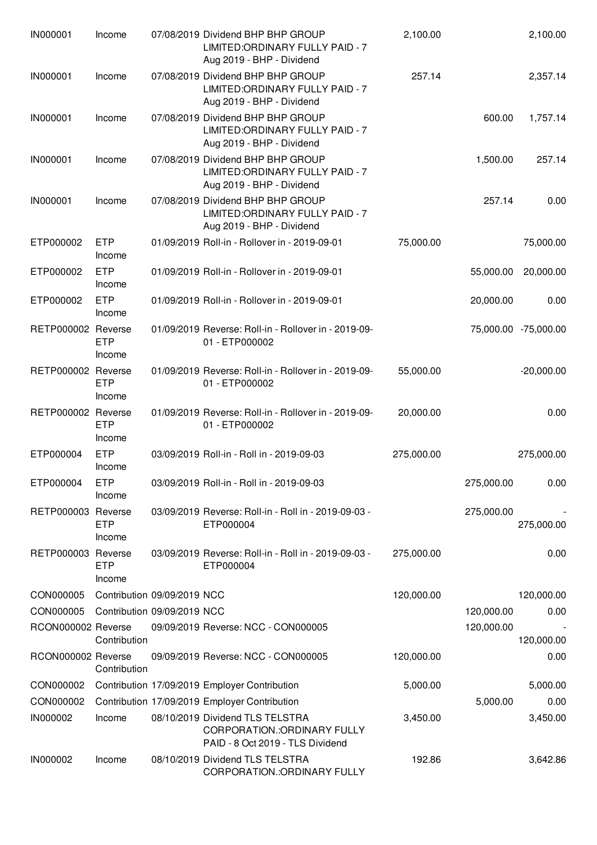| <b>IN000001</b>    | Income                      | 07/08/2019 Dividend BHP BHP GROUP<br>LIMITED:ORDINARY FULLY PAID - 7<br>Aug 2019 - BHP - Dividend          | 2,100.00   |            | 2,100.00             |
|--------------------|-----------------------------|------------------------------------------------------------------------------------------------------------|------------|------------|----------------------|
| <b>IN000001</b>    | Income                      | 07/08/2019 Dividend BHP BHP GROUP<br>LIMITED:ORDINARY FULLY PAID - 7<br>Aug 2019 - BHP - Dividend          | 257.14     |            | 2,357.14             |
| <b>IN000001</b>    | Income                      | 07/08/2019 Dividend BHP BHP GROUP<br>LIMITED:ORDINARY FULLY PAID - 7<br>Aug 2019 - BHP - Dividend          |            | 600.00     | 1,757.14             |
| <b>IN000001</b>    | Income                      | 07/08/2019 Dividend BHP BHP GROUP<br>LIMITED:ORDINARY FULLY PAID - 7<br>Aug 2019 - BHP - Dividend          |            | 1,500.00   | 257.14               |
| IN000001           | Income                      | 07/08/2019 Dividend BHP BHP GROUP<br>LIMITED:ORDINARY FULLY PAID - 7<br>Aug 2019 - BHP - Dividend          |            | 257.14     | 0.00                 |
| ETP000002          | ETP<br>Income               | 01/09/2019 Roll-in - Rollover in - 2019-09-01                                                              | 75,000.00  |            | 75,000.00            |
| ETP000002          | <b>ETP</b><br>Income        | 01/09/2019 Roll-in - Rollover in - 2019-09-01                                                              |            | 55,000.00  | 20,000.00            |
| ETP000002          | <b>ETP</b><br>Income        | 01/09/2019 Roll-in - Rollover in - 2019-09-01                                                              |            | 20,000.00  | 0.00                 |
| RETP000002 Reverse | <b>ETP</b><br>Income        | 01/09/2019 Reverse: Roll-in - Rollover in - 2019-09-<br>01 - ETP000002                                     |            |            | 75,000.00 -75,000.00 |
| RETP000002 Reverse | <b>ETP</b><br>Income        | 01/09/2019 Reverse: Roll-in - Rollover in - 2019-09-<br>01 - ETP000002                                     | 55,000.00  |            | $-20,000.00$         |
| RETP000002 Reverse | <b>ETP</b><br>Income        | 01/09/2019 Reverse: Roll-in - Rollover in - 2019-09-<br>01 - ETP000002                                     | 20,000.00  |            | 0.00                 |
| ETP000004          | <b>ETP</b><br>Income        | 03/09/2019 Roll-in - Roll in - 2019-09-03                                                                  | 275,000.00 |            | 275,000.00           |
| ETP000004          | ETP<br>Income               | 03/09/2019 Roll-in - Roll in - 2019-09-03                                                                  |            | 275,000.00 | 0.00                 |
| RETP000003 Reverse | <b>ETP</b><br>Income        | 03/09/2019 Reverse: Roll-in - Roll in - 2019-09-03 -<br>ETP000004                                          |            | 275,000.00 | 275,000.00           |
| RETP000003 Reverse | <b>ETP</b><br>Income        | 03/09/2019 Reverse: Roll-in - Roll in - 2019-09-03 -<br>ETP000004                                          | 275,000.00 |            | 0.00                 |
| CON000005          | Contribution 09/09/2019 NCC |                                                                                                            | 120,000.00 |            | 120,000.00           |
| CON000005          | Contribution 09/09/2019 NCC |                                                                                                            |            | 120,000.00 | 0.00                 |
| RCON000002 Reverse | Contribution                | 09/09/2019 Reverse: NCC - CON000005                                                                        |            | 120,000.00 | 120,000.00           |
| RCON000002 Reverse | Contribution                | 09/09/2019 Reverse: NCC - CON000005                                                                        | 120,000.00 |            | 0.00                 |
| CON000002          |                             | Contribution 17/09/2019 Employer Contribution                                                              | 5,000.00   |            | 5,000.00             |
| CON000002          |                             | Contribution 17/09/2019 Employer Contribution                                                              |            | 5,000.00   | 0.00                 |
| IN000002           | Income                      | 08/10/2019 Dividend TLS TELSTRA<br><b>CORPORATION.: ORDINARY FULLY</b><br>PAID - 8 Oct 2019 - TLS Dividend | 3,450.00   |            | 3,450.00             |
| IN000002           | Income                      | 08/10/2019 Dividend TLS TELSTRA<br>CORPORATION.: ORDINARY FULLY                                            | 192.86     |            | 3,642.86             |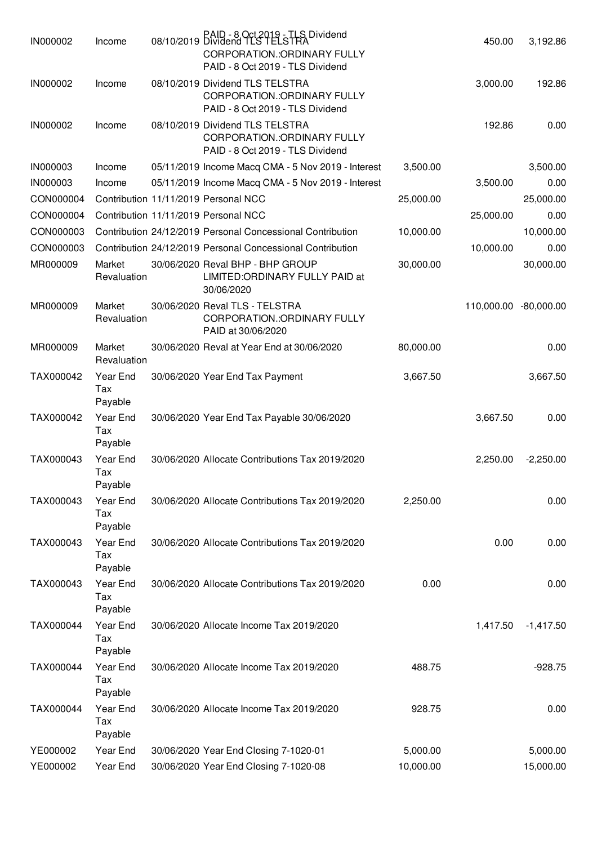| <b>IN000002</b> | Income                     | 08/10/2019 PAID - 8 Oct 2019 - TLS Dividend<br>CORPORATION.: ORDINARY FULLY<br>PAID - 8 Oct 2019 - TLS Dividend |           | 450.00                | 3,192.86    |
|-----------------|----------------------------|-----------------------------------------------------------------------------------------------------------------|-----------|-----------------------|-------------|
| IN000002        | Income                     | 08/10/2019 Dividend TLS TELSTRA<br><b>CORPORATION.: ORDINARY FULLY</b><br>PAID - 8 Oct 2019 - TLS Dividend      |           | 3,000.00              | 192.86      |
| <b>IN000002</b> | Income                     | 08/10/2019 Dividend TLS TELSTRA<br><b>CORPORATION.: ORDINARY FULLY</b><br>PAID - 8 Oct 2019 - TLS Dividend      |           | 192.86                | 0.00        |
| <b>IN000003</b> | Income                     | 05/11/2019 Income Macq CMA - 5 Nov 2019 - Interest                                                              | 3,500.00  |                       | 3,500.00    |
| <b>IN000003</b> | Income                     | 05/11/2019 Income Macq CMA - 5 Nov 2019 - Interest                                                              |           | 3,500.00              | 0.00        |
| CON000004       |                            | Contribution 11/11/2019 Personal NCC                                                                            | 25,000.00 |                       | 25,000.00   |
| CON000004       |                            | Contribution 11/11/2019 Personal NCC                                                                            |           | 25,000.00             | 0.00        |
| CON000003       |                            | Contribution 24/12/2019 Personal Concessional Contribution                                                      | 10,000.00 |                       | 10,000.00   |
| CON000003       |                            | Contribution 24/12/2019 Personal Concessional Contribution                                                      |           | 10,000.00             | 0.00        |
| MR000009        | Market<br>Revaluation      | 30/06/2020 Reval BHP - BHP GROUP<br>LIMITED:ORDINARY FULLY PAID at<br>30/06/2020                                | 30,000.00 |                       | 30,000.00   |
| MR000009        | Market<br>Revaluation      | 30/06/2020 Reval TLS - TELSTRA<br><b>CORPORATION.: ORDINARY FULLY</b><br>PAID at 30/06/2020                     |           | 110,000.00 -80,000.00 |             |
| MR000009        | Market<br>Revaluation      | 30/06/2020 Reval at Year End at 30/06/2020                                                                      | 80,000.00 |                       | 0.00        |
| TAX000042       | Year End<br>Tax<br>Payable | 30/06/2020 Year End Tax Payment                                                                                 | 3,667.50  |                       | 3,667.50    |
| TAX000042       | Year End<br>Tax<br>Payable | 30/06/2020 Year End Tax Payable 30/06/2020                                                                      |           | 3,667.50              | 0.00        |
| TAX000043       | Year End<br>Tax<br>Payable | 30/06/2020 Allocate Contributions Tax 2019/2020                                                                 |           | 2,250.00              | $-2,250.00$ |
| TAX000043       | Year End<br>Tax<br>Payable | 30/06/2020 Allocate Contributions Tax 2019/2020                                                                 | 2,250.00  |                       | 0.00        |
| TAX000043       | Year End<br>Tax<br>Payable | 30/06/2020 Allocate Contributions Tax 2019/2020                                                                 |           | 0.00                  | 0.00        |
| TAX000043       | Year End<br>Tax<br>Payable | 30/06/2020 Allocate Contributions Tax 2019/2020                                                                 | 0.00      |                       | 0.00        |
| TAX000044       | Year End<br>Tax<br>Payable | 30/06/2020 Allocate Income Tax 2019/2020                                                                        |           | 1,417.50              | $-1,417.50$ |
| TAX000044       | Year End<br>Tax<br>Payable | 30/06/2020 Allocate Income Tax 2019/2020                                                                        | 488.75    |                       | $-928.75$   |
| TAX000044       | Year End<br>Tax<br>Payable | 30/06/2020 Allocate Income Tax 2019/2020                                                                        | 928.75    |                       | 0.00        |
| YE000002        | Year End                   | 30/06/2020 Year End Closing 7-1020-01                                                                           | 5,000.00  |                       | 5,000.00    |
| YE000002        | Year End                   | 30/06/2020 Year End Closing 7-1020-08                                                                           | 10,000.00 |                       | 15,000.00   |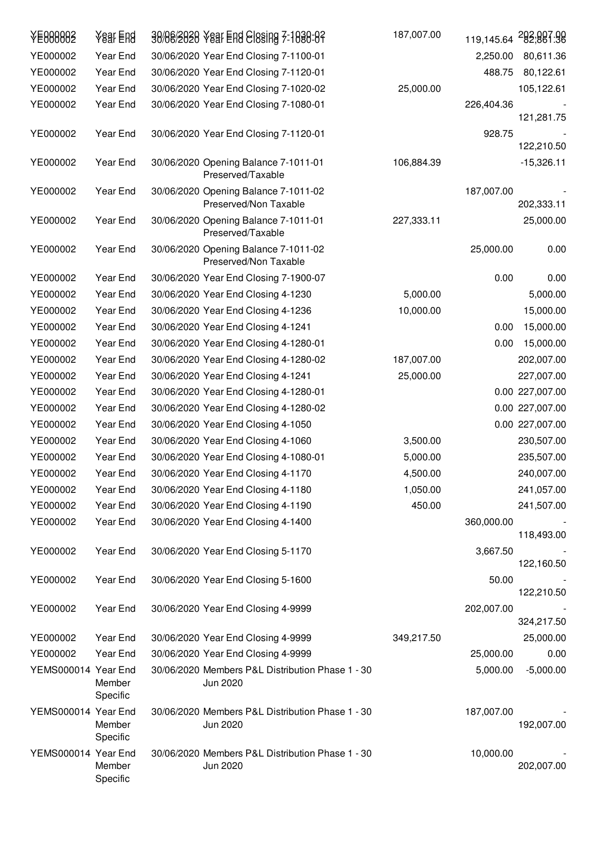|                 | 119,145.64 <sup>2</sup> 82,881.98 | 187,007.00 | $30/06/2020$ Year End Elosing 7-1030-07                       | A§§t EH8           | YE000002            |
|-----------------|-----------------------------------|------------|---------------------------------------------------------------|--------------------|---------------------|
| 80,611.36       | 2,250.00                          |            | 30/06/2020 Year End Closing 7-1100-01                         | Year End           | YE000002            |
| 80,122.61       | 488.75                            |            | 30/06/2020 Year End Closing 7-1120-01                         | Year End           | YE000002            |
| 105,122.61      |                                   | 25,000.00  | 30/06/2020 Year End Closing 7-1020-02                         | Year End           | YE000002            |
| 121,281.75      | 226,404.36                        |            | 30/06/2020 Year End Closing 7-1080-01                         | Year End           | YE000002            |
| 122,210.50      | 928.75                            |            | 30/06/2020 Year End Closing 7-1120-01                         | Year End           | YE000002            |
| $-15,326.11$    |                                   | 106,884.39 | 30/06/2020 Opening Balance 7-1011-01<br>Preserved/Taxable     | Year End           | YE000002            |
| 202,333.11      | 187,007.00                        |            | 30/06/2020 Opening Balance 7-1011-02<br>Preserved/Non Taxable | Year End           | YE000002            |
| 25,000.00       |                                   | 227,333.11 | 30/06/2020 Opening Balance 7-1011-01<br>Preserved/Taxable     | Year End           | YE000002            |
| 0.00            | 25,000.00                         |            | 30/06/2020 Opening Balance 7-1011-02<br>Preserved/Non Taxable | Year End           | YE000002            |
| 0.00            | 0.00                              |            | 30/06/2020 Year End Closing 7-1900-07                         | Year End           | YE000002            |
| 5,000.00        |                                   | 5,000.00   | 30/06/2020 Year End Closing 4-1230                            | Year End           | YE000002            |
| 15,000.00       |                                   | 10,000.00  | 30/06/2020 Year End Closing 4-1236                            | Year End           | YE000002            |
| 15,000.00       | 0.00                              |            | 30/06/2020 Year End Closing 4-1241                            | Year End           | YE000002            |
| 15,000.00       | 0.00                              |            | 30/06/2020 Year End Closing 4-1280-01                         | Year End           | YE000002            |
| 202,007.00      |                                   | 187,007.00 | 30/06/2020 Year End Closing 4-1280-02                         | Year End           | YE000002            |
| 227,007.00      |                                   | 25,000.00  | 30/06/2020 Year End Closing 4-1241                            | Year End           | YE000002            |
| 0.00 227,007.00 |                                   |            | 30/06/2020 Year End Closing 4-1280-01                         | Year End           | YE000002            |
| 0.00 227,007.00 |                                   |            | 30/06/2020 Year End Closing 4-1280-02                         | Year End           | YE000002            |
| 0.00 227,007.00 |                                   |            | 30/06/2020 Year End Closing 4-1050                            | Year End           | YE000002            |
| 230,507.00      |                                   | 3,500.00   | 30/06/2020 Year End Closing 4-1060                            | Year End           | YE000002            |
| 235,507.00      |                                   | 5,000.00   | 30/06/2020 Year End Closing 4-1080-01                         | Year End           | YE000002            |
| 240,007.00      |                                   | 4,500.00   | 30/06/2020 Year End Closing 4-1170                            | Year End           | YE000002            |
| 241,057.00      |                                   | 1,050.00   | 30/06/2020 Year End Closing 4-1180                            | Year End           | YE000002            |
| 241,507.00      |                                   | 450.00     | 30/06/2020 Year End Closing 4-1190                            | Year End           | YE000002            |
| 118,493.00      | 360,000.00                        |            | 30/06/2020 Year End Closing 4-1400                            | Year End           | YE000002            |
| 122,160.50      | 3,667.50                          |            | 30/06/2020 Year End Closing 5-1170                            | Year End           | YE000002            |
| 122,210.50      | 50.00                             |            | 30/06/2020 Year End Closing 5-1600                            | Year End           | YE000002            |
| 324,217.50      | 202,007.00                        |            | 30/06/2020 Year End Closing 4-9999                            | Year End           | YE000002            |
| 25,000.00       |                                   | 349,217.50 | 30/06/2020 Year End Closing 4-9999                            | Year End           | YE000002            |
| 0.00            | 25,000.00                         |            | 30/06/2020 Year End Closing 4-9999                            | Year End           | YE000002            |
| $-5,000.00$     | 5,000.00                          |            | 30/06/2020 Members P&L Distribution Phase 1 - 30<br>Jun 2020  | Member<br>Specific | YEMS000014 Year End |
| 192,007.00      | 187,007.00                        |            | 30/06/2020 Members P&L Distribution Phase 1 - 30<br>Jun 2020  | Member<br>Specific | YEMS000014 Year End |
| 202,007.00      | 10,000.00                         |            | 30/06/2020 Members P&L Distribution Phase 1 - 30<br>Jun 2020  | Member<br>Specific | YEMS000014 Year End |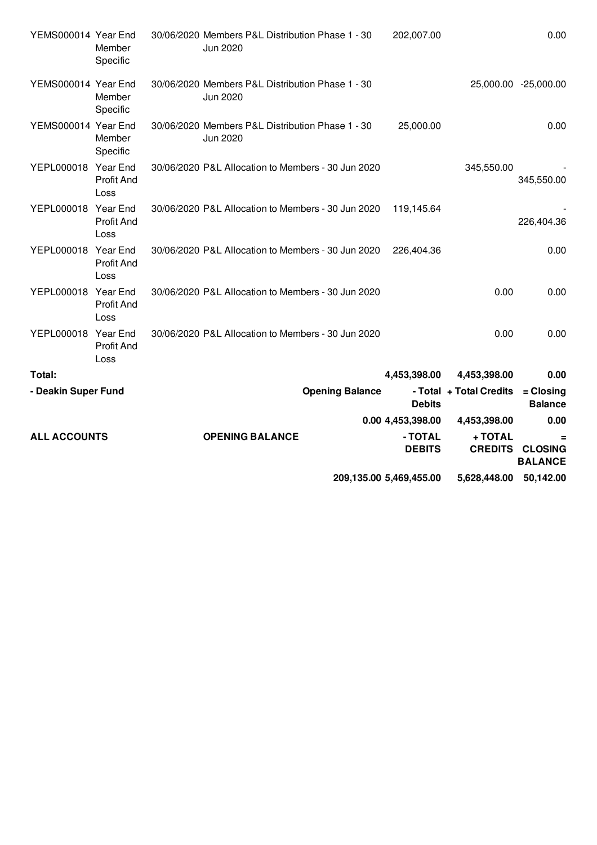| YEMS000014 Year End | Member<br>Specific | 30/06/2020 Members P&L Distribution Phase 1 - 30<br>Jun 2020 | 202,007.00               |                                   | 0.00                                     |
|---------------------|--------------------|--------------------------------------------------------------|--------------------------|-----------------------------------|------------------------------------------|
| YEMS000014 Year End | Member<br>Specific | 30/06/2020 Members P&L Distribution Phase 1 - 30<br>Jun 2020 |                          |                                   | 25,000.00 -25,000.00                     |
| YEMS000014 Year End | Member<br>Specific | 30/06/2020 Members P&L Distribution Phase 1 - 30<br>Jun 2020 | 25,000.00                |                                   | 0.00                                     |
| YEPL000018 Year End | Profit And<br>Loss | 30/06/2020 P&L Allocation to Members - 30 Jun 2020           |                          | 345,550.00                        | 345,550.00                               |
| YEPL000018 Year End | Profit And<br>Loss | 30/06/2020 P&L Allocation to Members - 30 Jun 2020           | 119,145.64               |                                   | 226,404.36                               |
| YEPL000018 Year End | Profit And<br>Loss | 30/06/2020 P&L Allocation to Members - 30 Jun 2020           | 226,404.36               |                                   | 0.00                                     |
| YEPL000018 Year End | Profit And<br>Loss | 30/06/2020 P&L Allocation to Members - 30 Jun 2020           |                          | 0.00                              | 0.00                                     |
| YEPL000018 Year End | Profit And<br>Loss | 30/06/2020 P&L Allocation to Members - 30 Jun 2020           |                          | 0.00                              | 0.00                                     |
| Total:              |                    |                                                              | 4,453,398.00             | 4,453,398.00                      | 0.00                                     |
| - Deakin Super Fund |                    | <b>Opening Balance</b>                                       | <b>Debits</b>            | - Total + Total Credits = Closing | <b>Balance</b>                           |
|                     |                    |                                                              | 0.00 4,453,398.00        | 4,453,398.00                      | 0.00                                     |
| <b>ALL ACCOUNTS</b> |                    | <b>OPENING BALANCE</b>                                       | - TOTAL<br><b>DEBITS</b> | + TOTAL                           | <b>CREDITS CLOSING</b><br><b>BALANCE</b> |
|                     |                    |                                                              | 209,135.00 5,469,455.00  | 5,628,448.00                      | 50,142.00                                |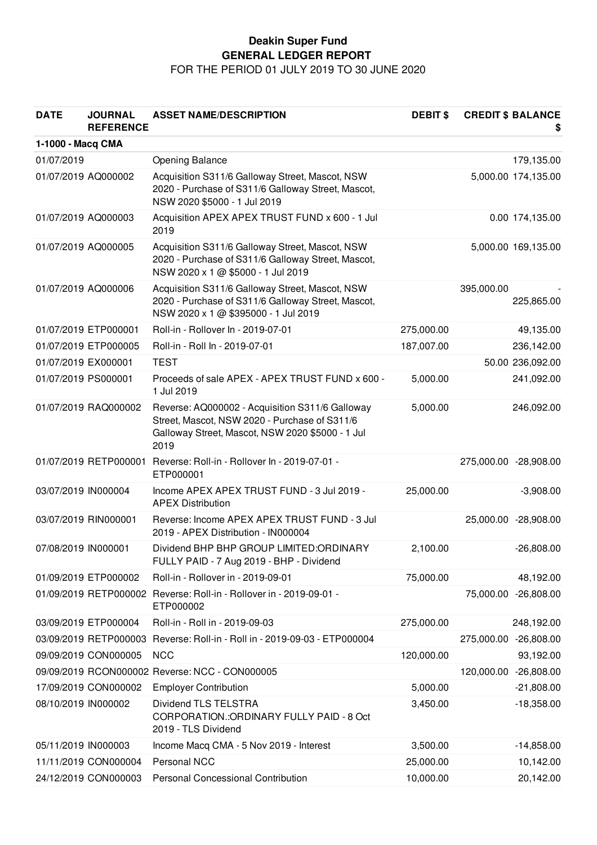## **Deakin Super Fund GENERAL LEDGER REPORT** FOR THE PERIOD 01 JULY 2019 TO 30 JUNE 2020

**DATE JOURNAL REFERENCE ASSET NAME/DESCRIPTION DEBIT \$ CREDIT \$ BALANCE \$ 1-1000 - Macq CMA** 01/07/2019 Opening Balance 179,135.00 01/07/2019 AQ000002 Acquisition S311/6 Galloway Street, Mascot, NSW 2020 - Purchase of S311/6 Galloway Street, Mascot, NSW 2020 \$5000 - 1 Jul 2019 5,000.00 174,135.00 01/07/2019 AQ000003 Acquisition APEX APEX TRUST FUND x 600 - 1 Jul 2019 0.00 174,135.00 01/07/2019 AQ000005 Acquisition S311/6 Galloway Street, Mascot, NSW 2020 - Purchase of S311/6 Galloway Street, Mascot, NSW 2020 x 1 @ \$5000 - 1 Jul 2019 5,000.00 169,135.00 01/07/2019 AQ000006 Acquisition S311/6 Galloway Street, Mascot, NSW 2020 - Purchase of S311/6 Galloway Street, Mascot, NSW 2020 x 1 @ \$395000 - 1 Jul 2019 395,000.00 225,865.00 01/07/2019 ETP000001 Roll-in - Rollover In - 2019-07-01 275,000.00 49,135.00 01/07/2019 ETP000005 Roll-in - Roll In - 2019-07-01 187,007.00 236,142.00 01/07/2019 EX000001 TEST 50.00 236,092.00 01/07/2019 PS000001 Proceeds of sale APEX - APEX TRUST FUND x 600 - 1 Jul 2019 5,000.00 241,092.00 01/07/2019 RAQ000002 Reverse: AQ000002 - Acquisition S311/6 Galloway Street, Mascot, NSW 2020 - Purchase of S311/6 Galloway Street, Mascot, NSW 2020 \$5000 - 1 Jul 2019 5,000.00 246,092.00 01/07/2019 RETP000001 Reverse: Roll-in - Rollover In - 2019-07-01 - ETP000001 275,000.00 -28,908.00 03/07/2019 IN000004 Income APEX APEX TRUST FUND - 3 Jul 2019 - APEX Distribution 25,000.00 -3,908.00 03/07/2019 RIN000001 Reverse: Income APEX APEX TRUST FUND - 3 Jul 2019 - APEX Distribution - IN000004 25,000.00 -28,908.00 07/08/2019 IN000001 Dividend BHP BHP GROUP LIMITED:ORDINARY FULLY PAID - 7 Aug 2019 - BHP - Dividend 2,100.00 -26,808.00 01/09/2019 ETP000002 Roll-in - Rollover in - 2019-09-01 75,000.00 48,192.00 01/09/2019 RETP000002 Reverse: Roll-in - Rollover in - 2019-09-01 - ETP000002 75,000.00 -26,808.00 03/09/2019 ETP000004 Roll-in - Roll in - 2019-09-03 275,000.00 248,192.00 03/09/2019 RETP000003 Reverse: Roll-in - Roll in - 2019-09-03 - ETP000004 275,000.00 -26,808.00 09/09/2019 CON000005 NCC 09/09/2019 120,000.00 93,192.00 09/09/2019 RCON000002 Reverse: NCC - CON000005 120,000.00 -26,808.00 17/09/2019 CON000002 Employer Contribution 5,000.00 -21,808.00 08/10/2019 IN000002 Dividend TLS TELSTRA CORPORATION.:ORDINARY FULLY PAID - 8 Oct 2019 - TLS Dividend 3,450.00 -18,358.00 05/11/2019 IN000003 Income Macq CMA - 5 Nov 2019 - Interest 3,500.00 -14,858.00 11/11/2019 CON000004 Personal NCC 25,000.00 10,142.00 24/12/2019 CON000003 Personal Concessional Contribution 10,000.00 20,142.00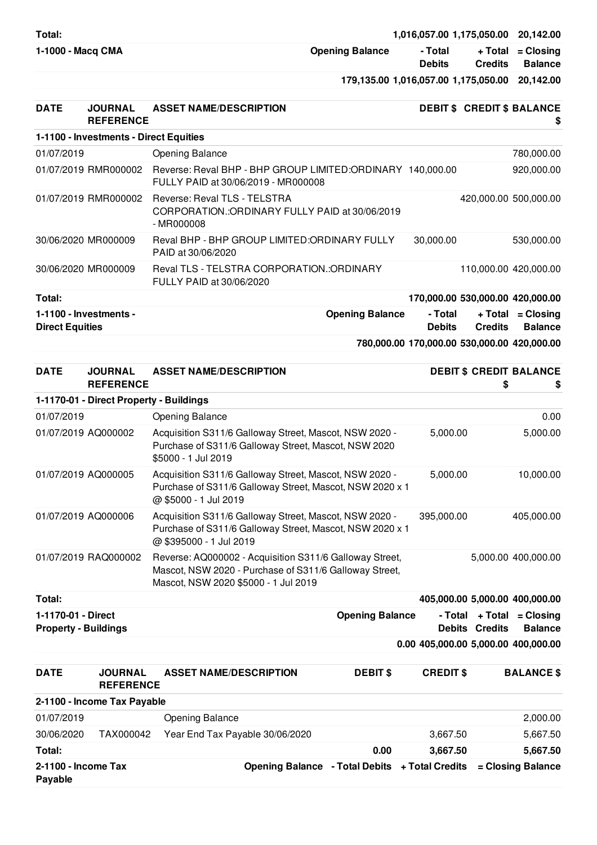**Total: 1,016,057.00 1,175,050.00 20,142.00**

**Balance**

**1-1000 - Macq CMA Opening Balance - Total Debits + Total = Closing Credits**

**179,135.00 1,016,057.00 1,175,050.00 20,142.00**

| <b>DATE</b>            | <b>JOURNAL</b><br><b>REFERENCE</b>     | <b>ASSET NAME/DESCRIPTION</b>                                                                     |                                  | <b>DEBIT \$ CREDIT \$ BALANCE</b> | \$                             |
|------------------------|----------------------------------------|---------------------------------------------------------------------------------------------------|----------------------------------|-----------------------------------|--------------------------------|
|                        | 1-1100 - Investments - Direct Equities |                                                                                                   |                                  |                                   |                                |
| 01/07/2019             |                                        | <b>Opening Balance</b>                                                                            |                                  |                                   | 780,000.00                     |
|                        | 01/07/2019 RMR000002                   | Reverse: Reval BHP - BHP GROUP LIMITED:ORDINARY 140,000.00<br>FULLY PAID at 30/06/2019 - MR000008 |                                  |                                   | 920,000.00                     |
|                        | 01/07/2019 RMR000002                   | Reverse: Reval TLS - TELSTRA<br>CORPORATION.:ORDINARY FULLY PAID at 30/06/2019<br>- MR000008      |                                  |                                   | 420,000.00 500,000.00          |
|                        | 30/06/2020 MR000009                    | Reval BHP - BHP GROUP LIMITED:ORDINARY FULLY<br>PAID at 30/06/2020                                | 30,000.00                        |                                   | 530,000.00                     |
|                        | 30/06/2020 MR000009                    | Reval TLS - TELSTRA CORPORATION.:ORDINARY<br>FULLY PAID at 30/06/2020                             |                                  | 110,000.00 420,000.00             |                                |
| Total:                 |                                        |                                                                                                   | 170,000.00 530,000.00 420,000.00 |                                   |                                |
| <b>Direct Equities</b> | 1-1100 - Investments -                 | <b>Opening Balance</b>                                                                            | - Total<br><b>Debits</b>         | + Total<br><b>Credits</b>         | $= C losing$<br><b>Balance</b> |

**780,000.00 170,000.00 530,000.00 420,000.00**

| <b>DATE</b>                                       | <b>JOURNAL</b><br><b>REFERENCE</b>      | <b>ASSET NAME/DESCRIPTION</b>                                                                                                                             |            | <b>DEBIT \$ CREDIT BALANCE</b><br>S<br>æ.                          |
|---------------------------------------------------|-----------------------------------------|-----------------------------------------------------------------------------------------------------------------------------------------------------------|------------|--------------------------------------------------------------------|
|                                                   | 1-1170-01 - Direct Property - Buildings |                                                                                                                                                           |            |                                                                    |
| 01/07/2019                                        |                                         | <b>Opening Balance</b>                                                                                                                                    |            | 0.00                                                               |
|                                                   | 01/07/2019 AQ000002                     | Acquisition S311/6 Galloway Street, Mascot, NSW 2020 -<br>Purchase of S311/6 Galloway Street, Mascot, NSW 2020<br>\$5000 - 1 Jul 2019                     | 5,000.00   | 5,000.00                                                           |
|                                                   | 01/07/2019 AQ000005                     | Acquisition S311/6 Galloway Street, Mascot, NSW 2020 -<br>Purchase of S311/6 Galloway Street, Mascot, NSW 2020 x 1<br>@ \$5000 - 1 Jul 2019               | 5,000.00   | 10,000.00                                                          |
|                                                   | 01/07/2019 AQ000006                     | Acquisition S311/6 Galloway Street, Mascot, NSW 2020 -<br>Purchase of S311/6 Galloway Street, Mascot, NSW 2020 x 1<br>@\$395000 - 1 Jul 2019              | 395,000.00 | 405,000.00                                                         |
|                                                   | 01/07/2019 RAQ000002                    | Reverse: AQ000002 - Acquisition S311/6 Galloway Street,<br>Mascot, NSW 2020 - Purchase of S311/6 Galloway Street,<br>Mascot, NSW 2020 \$5000 - 1 Jul 2019 |            | 5,000.00 400,000.00                                                |
| Total:                                            |                                         |                                                                                                                                                           |            | 405,000.00 5,000.00 400,000.00                                     |
| 1-1170-01 - Direct<br><b>Property - Buildings</b> |                                         | <b>Opening Balance</b>                                                                                                                                    | - Total    | $= C$ losing<br>+ Total<br><b>Debits Credits</b><br><b>Balance</b> |
|                                                   |                                         |                                                                                                                                                           |            | 0.00 405,000.00 5,000.00 400,000.00                                |

| <b>DATE</b>                    | <b>JOURNAL</b><br><b>REFERENCE</b> | <b>ASSET NAME/DESCRIPTION</b>   | <b>DEBIT \$</b> | <b>CREDIT \$</b>               | <b>BALANCE \$</b> |
|--------------------------------|------------------------------------|---------------------------------|-----------------|--------------------------------|-------------------|
|                                | 2-1100 - Income Tax Payable        |                                 |                 |                                |                   |
| 01/07/2019                     |                                    | <b>Opening Balance</b>          |                 |                                | 2,000.00          |
| 30/06/2020                     | TAX000042                          | Year End Tax Payable 30/06/2020 |                 | 3,667.50                       | 5,667.50          |
| Total:                         |                                    |                                 | 0.00            | 3,667.50                       | 5,667.50          |
| 2-1100 - Income Tax<br>Payable |                                    | <b>Opening Balance</b>          |                 | - Total Debits + Total Credits | = Closing Balance |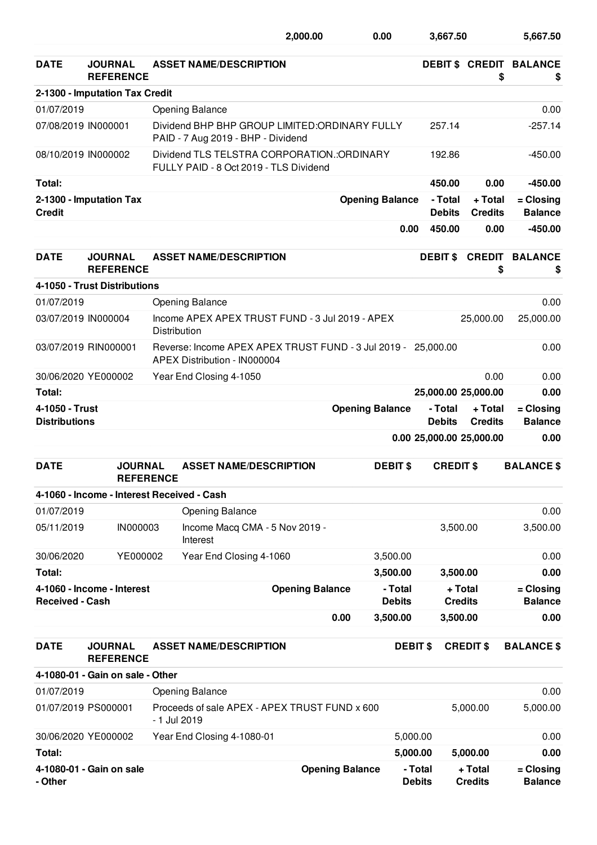| <b>DATE</b>         | <b>JOURNAL</b><br><b>REFERENCE</b> | <b>ASSET NAME/DESCRIPTION</b>                                                        |                          | <b>DEBIT'S CREDIT</b><br>\$ | <b>BALANCE</b><br>\$           |
|---------------------|------------------------------------|--------------------------------------------------------------------------------------|--------------------------|-----------------------------|--------------------------------|
|                     | 2-1300 - Imputation Tax Credit     |                                                                                      |                          |                             |                                |
| 01/07/2019          |                                    | <b>Opening Balance</b>                                                               |                          |                             | 0.00                           |
| 07/08/2019 IN000001 |                                    | Dividend BHP BHP GROUP LIMITED:ORDINARY FULLY<br>PAID - 7 Aug 2019 - BHP - Dividend  | 257.14                   |                             | $-257.14$                      |
| 08/10/2019 IN000002 |                                    | Dividend TLS TELSTRA CORPORATION: ORDINARY<br>FULLY PAID - 8 Oct 2019 - TLS Dividend | 192.86                   |                             | $-450.00$                      |
| Total:              |                                    |                                                                                      | 450.00                   | 0.00                        | -450.00                        |
| <b>Credit</b>       | 2-1300 - Imputation Tax            | <b>Opening Balance</b>                                                               | - Total<br><b>Debits</b> | + Total<br><b>Credits</b>   | $= C losing$<br><b>Balance</b> |
|                     |                                    | 0.00                                                                                 | 450.00                   | 0.00                        | $-450.00$                      |
| <b>DATE</b>         | <b>JOURNAL</b><br><b>REFERENCE</b> | <b>ASSET NAME/DESCRIPTION</b>                                                        | <b>DEBIT \$</b>          | <b>CREDIT</b><br>S          | <b>BALANCE</b><br>\$           |
|                     | 4-1050 - Trust Distributions       |                                                                                      |                          |                             |                                |
| 01/07/2019          |                                    | <b>Opening Balance</b>                                                               |                          |                             | 0.00                           |
| 03/07/2019 IN000004 |                                    | Income APEX APEX TRUST FUND - 3 Jul 2019 - APEX<br>Distribution                      |                          | 25,000.00                   | 25,000.00                      |

|                                        |                                                                                               | 0.00 25,000.00 25,000.00 |                           | 0.00                          |
|----------------------------------------|-----------------------------------------------------------------------------------------------|--------------------------|---------------------------|-------------------------------|
| 4-1050 - Trust<br><b>Distributions</b> | <b>Opening Balance</b>                                                                        | - Total<br><b>Debits</b> | + Total<br><b>Credits</b> | $=$ Closing<br><b>Balance</b> |
| Total:                                 |                                                                                               |                          | 25,000.00 25,000.00       | 0.00                          |
| 30/06/2020 YE000002                    | Year End Closing 4-1050                                                                       |                          | 0.00                      | 0.00                          |
| 03/07/2019 RIN000001                   | Reverse: Income APEX APEX TRUST FUND - 3 Jul 2019 - 25,000.00<br>APEX Distribution - IN000004 |                          |                           | 0.00                          |
| 03/07/2019 IN000004                    | Income APEX APEX TRUST FUND - 3 Jul 2019 - APEX<br><b>Distribution</b>                        |                          | 25,000.00                 | 25,000.00                     |
|                                        |                                                                                               |                          |                           |                               |

| <b>DATE</b>                                          | <b>JOURNAL</b><br><b>REFERENCE</b> | <b>ASSET NAME/DESCRIPTION</b>              | <b>DEBIT \$</b>          | <b>CREDIT \$</b>          | <b>BALANCE \$</b>           |
|------------------------------------------------------|------------------------------------|--------------------------------------------|--------------------------|---------------------------|-----------------------------|
| 4-1060 - Income - Interest Received - Cash           |                                    |                                            |                          |                           |                             |
| 01/07/2019                                           |                                    | <b>Opening Balance</b>                     |                          |                           | 0.00                        |
| 05/11/2019                                           | <b>IN000003</b>                    | Income Macq CMA - 5 Nov 2019 -<br>Interest |                          | 3,500.00                  | 3,500.00                    |
| 30/06/2020                                           | YE000002                           | Year End Closing 4-1060                    | 3,500.00                 |                           | 0.00                        |
| Total:                                               |                                    |                                            | 3,500.00                 | 3,500.00                  | 0.00                        |
| 4-1060 - Income - Interest<br><b>Received - Cash</b> |                                    | <b>Opening Balance</b>                     | - Total<br><b>Debits</b> | + Total<br><b>Credits</b> | $= C log$<br><b>Balance</b> |
|                                                      |                                    | 0.00                                       | 3,500.00                 | 3,500.00                  | 0.00                        |

#### **DATE JOURNAL REFERENCE ASSET NAME/DESCRIPTION DEBIT \$ CREDIT \$ BALANCE \$**

**4-1080-01 - Gain on sale - Other** 01/07/2019 Opening Balance 0.00 01/07/2019 PS000001 Proceeds of sale APEX - APEX TRUST FUND x 600 - 1 Jul 2019 5,000.00 5,000.00 30/06/2020 YE000002 Year End Closing 4-1080-01 5,000.00 5,000.00 6.00 **Total: 5,000.00 5,000.00 0.00 4-1080-01 - Gain on sale - Other Opening Balance - Total Debits + Total Credits = Closing Balance**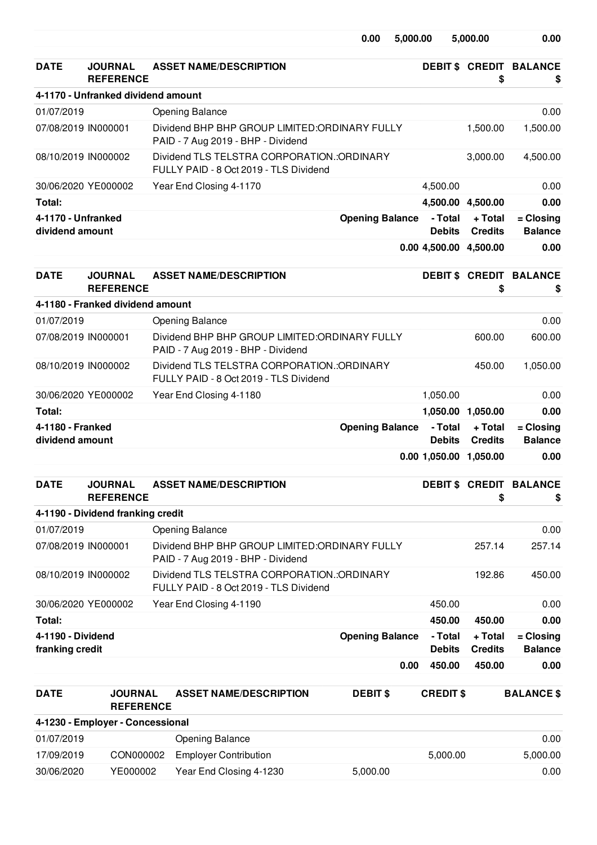| <b>DATE</b>                           | <b>JOURNAL</b><br><b>REFERENCE</b> | <b>ASSET NAME/DESCRIPTION</b>                                                         |                        |                          | \$                        | <b>DEBIT \$ CREDIT BALANCE</b><br>\$ |
|---------------------------------------|------------------------------------|---------------------------------------------------------------------------------------|------------------------|--------------------------|---------------------------|--------------------------------------|
|                                       | 4-1170 - Unfranked dividend amount |                                                                                       |                        |                          |                           |                                      |
| 01/07/2019                            |                                    | <b>Opening Balance</b>                                                                |                        |                          |                           | 0.00                                 |
| 07/08/2019 IN000001                   |                                    | Dividend BHP BHP GROUP LIMITED: ORDINARY FULLY<br>PAID - 7 Aug 2019 - BHP - Dividend  |                        |                          | 1,500.00                  | 1,500.00                             |
| 08/10/2019 IN000002                   |                                    | Dividend TLS TELSTRA CORPORATION.: ORDINARY<br>FULLY PAID - 8 Oct 2019 - TLS Dividend |                        |                          | 3,000.00                  | 4,500.00                             |
|                                       | 30/06/2020 YE000002                | Year End Closing 4-1170                                                               |                        | 4,500.00                 |                           | 0.00                                 |
| Total:                                |                                    |                                                                                       |                        | 4,500.00 4,500.00        |                           | 0.00                                 |
| 4-1170 - Unfranked<br>dividend amount |                                    |                                                                                       | <b>Opening Balance</b> | - Total<br><b>Debits</b> | + Total<br><b>Credits</b> | $= C losing$<br><b>Balance</b>       |
|                                       |                                    |                                                                                       |                        | 0.00 4,500.00 4,500.00   |                           | 0.00                                 |
| <b>DATE</b>                           | <b>JOURNAL</b><br><b>REFERENCE</b> | <b>ASSET NAME/DESCRIPTION</b>                                                         |                        |                          | \$                        | <b>DEBIT \$ CREDIT BALANCE</b><br>\$ |
|                                       | 4-1180 - Franked dividend amount   |                                                                                       |                        |                          |                           |                                      |
| 01/07/2019                            |                                    | <b>Opening Balance</b>                                                                |                        |                          |                           | 0.00                                 |
| 07/08/2019 IN000001                   |                                    | Dividend BHP BHP GROUP LIMITED: ORDINARY FULLY<br>PAID - 7 Aug 2019 - BHP - Dividend  |                        |                          | 600.00                    | 600.00                               |
| 08/10/2019 IN000002                   |                                    | Dividend TLS TELSTRA CORPORATION.: ORDINARY<br>FULLY PAID - 8 Oct 2019 - TLS Dividend |                        |                          | 450.00                    | 1,050.00                             |
|                                       | 30/06/2020 YE000002                | Year End Closing 4-1180                                                               |                        | 1,050.00                 |                           | 0.00                                 |
| Total:                                |                                    |                                                                                       |                        | 1,050.00 1,050.00        |                           | 0.00                                 |
| 4-1180 - Franked<br>dividend amount   |                                    |                                                                                       | <b>Opening Balance</b> | - Total<br><b>Debits</b> | + Total<br><b>Credits</b> | $= C losing$<br><b>Balance</b>       |
|                                       |                                    |                                                                                       |                        | 0.00 1,050.00 1,050.00   |                           | 0.00                                 |
| <b>DATE</b>                           | <b>JOURNAL</b><br><b>REFERENCE</b> | <b>ASSET NAME/DESCRIPTION</b>                                                         |                        |                          | \$                        | <b>DEBIT \$ CREDIT BALANCE</b><br>\$ |
|                                       | 4-1190 - Dividend franking credit  |                                                                                       |                        |                          |                           |                                      |
| 01/07/2019                            |                                    | <b>Opening Balance</b>                                                                |                        |                          |                           | 0.00                                 |
| 07/08/2019 IN000001                   |                                    | Dividend BHP BHP GROUP LIMITED: ORDINARY FULLY<br>PAID - 7 Aug 2019 - BHP - Dividend  |                        |                          | 257.14                    | 257.14                               |
| 08/10/2019 IN000002                   |                                    | Dividend TLS TELSTRA CORPORATION.: ORDINARY<br>FULLY PAID - 8 Oct 2019 - TLS Dividend |                        |                          | 192.86                    | 450.00                               |
|                                       | 30/06/2020 YE000002                | Year End Closing 4-1190                                                               |                        | 450.00                   |                           | 0.00                                 |
| Total:                                |                                    |                                                                                       |                        | 450.00                   | 450.00                    | 0.00                                 |
| 4-1190 - Dividend<br>franking credit  |                                    |                                                                                       | <b>Opening Balance</b> | - Total<br><b>Debits</b> | + Total<br><b>Credits</b> | $= C losing$<br><b>Balance</b>       |
|                                       |                                    |                                                                                       | 0.00                   | 450.00                   | 450.00                    | 0.00                                 |
| <b>DATE</b>                           | <b>JOURNAL</b><br><b>REFERENCE</b> | <b>ASSET NAME/DESCRIPTION</b>                                                         | <b>DEBIT \$</b>        | <b>CREDIT \$</b>         |                           | <b>BALANCE \$</b>                    |
|                                       | 4-1230 - Employer - Concessional   |                                                                                       |                        |                          |                           |                                      |
| 01/07/2019                            |                                    | <b>Opening Balance</b>                                                                |                        |                          |                           | 0.00                                 |
| 17/09/2019                            | CON000002                          | <b>Employer Contribution</b>                                                          |                        | 5,000.00                 |                           | 5,000.00                             |
| 30/06/2020                            | YE000002                           | Year End Closing 4-1230                                                               | 5,000.00               |                          |                           | 0.00                                 |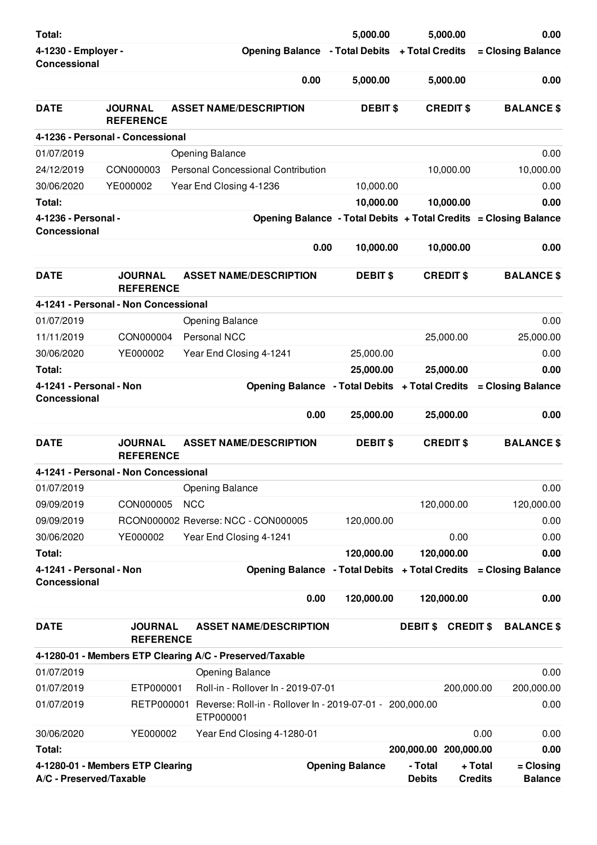| Total:                                  |                                      |                                                          |                                                          | 5,000.00               |                          | 5,000.00                  | 0.00                                                             |
|-----------------------------------------|--------------------------------------|----------------------------------------------------------|----------------------------------------------------------|------------------------|--------------------------|---------------------------|------------------------------------------------------------------|
| 4-1230 - Employer -<br>Concessional     |                                      |                                                          | Opening Balance - Total Debits + Total Credits           |                        |                          |                           | = Closing Balance                                                |
|                                         |                                      |                                                          | 0.00                                                     | 5,000.00               |                          | 5,000.00                  | 0.00                                                             |
| <b>DATE</b>                             | <b>JOURNAL</b><br><b>REFERENCE</b>   | <b>ASSET NAME/DESCRIPTION</b>                            |                                                          | <b>DEBIT \$</b>        |                          | <b>CREDIT \$</b>          | <b>BALANCE \$</b>                                                |
|                                         | 4-1236 - Personal - Concessional     |                                                          |                                                          |                        |                          |                           |                                                                  |
| 01/07/2019                              |                                      | <b>Opening Balance</b>                                   |                                                          |                        |                          |                           | 0.00                                                             |
| 24/12/2019                              | CON000003                            |                                                          | <b>Personal Concessional Contribution</b>                |                        |                          | 10,000.00                 | 10,000.00                                                        |
| 30/06/2020                              | YE000002                             | Year End Closing 4-1236                                  |                                                          | 10,000.00              |                          |                           | 0.00                                                             |
| Total:                                  |                                      |                                                          |                                                          | 10,000.00              |                          | 10,000.00                 | 0.00                                                             |
| 4-1236 - Personal -<br>Concessional     |                                      |                                                          |                                                          |                        |                          |                           | Opening Balance - Total Debits + Total Credits = Closing Balance |
|                                         |                                      |                                                          | 0.00                                                     | 10,000.00              |                          | 10,000.00                 | 0.00                                                             |
| <b>DATE</b>                             | <b>JOURNAL</b><br><b>REFERENCE</b>   |                                                          | <b>ASSET NAME/DESCRIPTION</b>                            | <b>DEBIT \$</b>        |                          | <b>CREDIT \$</b>          | <b>BALANCE \$</b>                                                |
|                                         | 4-1241 - Personal - Non Concessional |                                                          |                                                          |                        |                          |                           |                                                                  |
| 01/07/2019                              |                                      | <b>Opening Balance</b>                                   |                                                          |                        |                          |                           | 0.00                                                             |
| 11/11/2019                              | CON000004                            | Personal NCC                                             |                                                          |                        |                          | 25,000.00                 | 25,000.00                                                        |
| 30/06/2020                              | YE000002                             | Year End Closing 4-1241                                  |                                                          | 25,000.00              |                          |                           | 0.00                                                             |
| Total:                                  |                                      |                                                          |                                                          | 25,000.00              |                          | 25,000.00                 | 0.00                                                             |
| 4-1241 - Personal - Non<br>Concessional |                                      |                                                          |                                                          |                        |                          |                           | Opening Balance - Total Debits + Total Credits = Closing Balance |
|                                         |                                      |                                                          | 0.00                                                     | 25,000.00              |                          | 25,000.00                 | 0.00                                                             |
| <b>DATE</b>                             | <b>JOURNAL</b><br><b>REFERENCE</b>   |                                                          | <b>ASSET NAME/DESCRIPTION</b>                            | <b>DEBIT \$</b>        |                          | <b>CREDIT \$</b>          | <b>BALANCE \$</b>                                                |
|                                         | 4-1241 - Personal - Non Concessional |                                                          |                                                          |                        |                          |                           |                                                                  |
| 01/07/2019                              |                                      | <b>Opening Balance</b>                                   |                                                          |                        |                          |                           | 0.00                                                             |
| 09/09/2019                              | CON000005                            | <b>NCC</b>                                               |                                                          |                        |                          | 120,000.00                | 120,000.00                                                       |
| 09/09/2019                              |                                      | RCON000002 Reverse: NCC - CON000005                      |                                                          | 120,000.00             |                          |                           | 0.00                                                             |
| 30/06/2020                              | YE000002                             | Year End Closing 4-1241                                  |                                                          |                        |                          | 0.00                      | 0.00                                                             |
| Total:                                  |                                      |                                                          |                                                          | 120,000.00             |                          | 120,000.00                | 0.00                                                             |
| 4-1241 - Personal - Non<br>Concessional |                                      |                                                          | Opening Balance - Total Debits + Total Credits           |                        |                          |                           | = Closing Balance                                                |
|                                         |                                      |                                                          | 0.00                                                     | 120,000.00             |                          | 120,000.00                | 0.00                                                             |
| <b>DATE</b>                             | <b>JOURNAL</b><br><b>REFERENCE</b>   |                                                          | <b>ASSET NAME/DESCRIPTION</b>                            |                        | <b>DEBIT \$</b>          | <b>CREDIT \$</b>          | <b>BALANCE \$</b>                                                |
|                                         |                                      | 4-1280-01 - Members ETP Clearing A/C - Preserved/Taxable |                                                          |                        |                          |                           |                                                                  |
| 01/07/2019                              |                                      | <b>Opening Balance</b>                                   |                                                          |                        |                          |                           | 0.00                                                             |
| 01/07/2019                              | ETP000001                            |                                                          | Roll-in - Rollover In - 2019-07-01                       |                        |                          | 200,000.00                | 200,000.00                                                       |
| 01/07/2019                              | RETP000001                           | ETP000001                                                | Reverse: Roll-in - Rollover In - 2019-07-01 - 200,000.00 |                        |                          |                           | 0.00                                                             |
| 30/06/2020                              | YE000002                             |                                                          | Year End Closing 4-1280-01                               |                        |                          |                           | 0.00<br>0.00                                                     |
| Total:                                  |                                      |                                                          |                                                          |                        | 200,000.00 200,000.00    |                           | 0.00                                                             |
| A/C - Preserved/Taxable                 | 4-1280-01 - Members ETP Clearing     |                                                          |                                                          | <b>Opening Balance</b> | - Total<br><b>Debits</b> | + Total<br><b>Credits</b> | $= C losing$<br><b>Balance</b>                                   |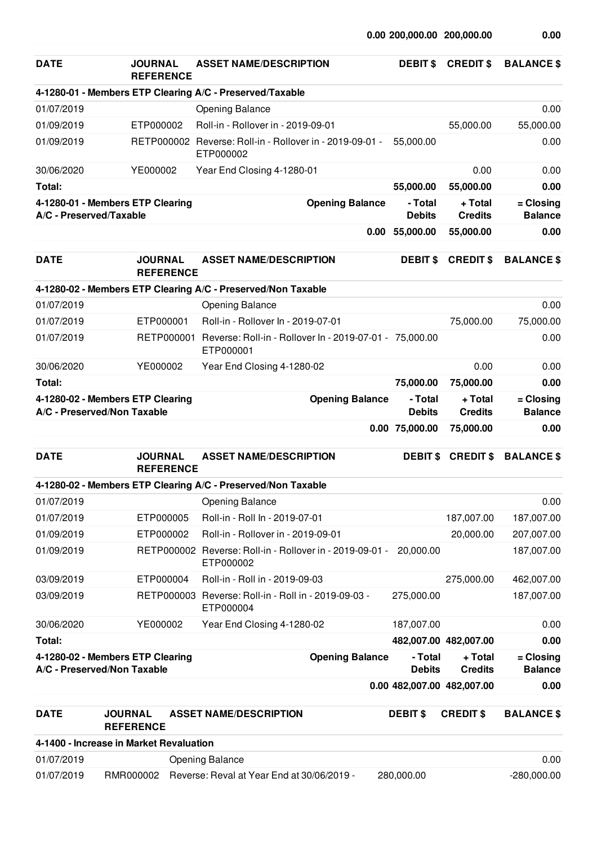| <b>DATE</b>                                                     | <b>JOURNAL</b>                     | <b>ASSET NAME/DESCRIPTION</b>                                         |                            | <b>DEBIT \$ CREDIT \$</b> | <b>BALANCE \$</b>              |
|-----------------------------------------------------------------|------------------------------------|-----------------------------------------------------------------------|----------------------------|---------------------------|--------------------------------|
|                                                                 | <b>REFERENCE</b>                   | 4-1280-01 - Members ETP Clearing A/C - Preserved/Taxable              |                            |                           |                                |
| 01/07/2019                                                      |                                    | <b>Opening Balance</b>                                                |                            |                           | 0.00                           |
| 01/09/2019                                                      | ETP000002                          | Roll-in - Rollover in - 2019-09-01                                    |                            | 55,000.00                 | 55,000.00                      |
| 01/09/2019                                                      |                                    | RETP000002 Reverse: Roll-in - Rollover in - 2019-09-01 -<br>ETP000002 | 55,000.00                  |                           | 0.00                           |
| 30/06/2020                                                      | YE000002                           | Year End Closing 4-1280-01                                            |                            | 0.00                      | 0.00                           |
| Total:                                                          |                                    |                                                                       | 55,000.00                  | 55,000.00                 | 0.00                           |
| 4-1280-01 - Members ETP Clearing<br>A/C - Preserved/Taxable     |                                    | <b>Opening Balance</b>                                                | - Total<br><b>Debits</b>   | + Total<br><b>Credits</b> | $= C losing$<br><b>Balance</b> |
|                                                                 |                                    |                                                                       | 0.00 55,000.00             | 55,000.00                 | 0.00                           |
| <b>DATE</b>                                                     | <b>JOURNAL</b><br><b>REFERENCE</b> | <b>ASSET NAME/DESCRIPTION</b>                                         | <b>DEBIT \$</b>            | <b>CREDIT \$</b>          | <b>BALANCE \$</b>              |
|                                                                 |                                    | 4-1280-02 - Members ETP Clearing A/C - Preserved/Non Taxable          |                            |                           |                                |
| 01/07/2019                                                      |                                    | <b>Opening Balance</b>                                                |                            |                           | 0.00                           |
| 01/07/2019                                                      | ETP000001                          | Roll-in - Rollover In - 2019-07-01                                    |                            | 75,000.00                 | 75,000.00                      |
| 01/07/2019                                                      | RETP000001                         | Reverse: Roll-in - Rollover In - 2019-07-01 - 75,000.00<br>ETP000001  |                            |                           | 0.00                           |
| 30/06/2020                                                      | YE000002                           | Year End Closing 4-1280-02                                            |                            | 0.00                      | 0.00                           |
| Total:                                                          |                                    |                                                                       | 75,000.00                  | 75,000.00                 | 0.00                           |
| 4-1280-02 - Members ETP Clearing<br>A/C - Preserved/Non Taxable |                                    | <b>Opening Balance</b>                                                | - Total<br><b>Debits</b>   | + Total<br><b>Credits</b> | $= C losing$<br><b>Balance</b> |
|                                                                 |                                    |                                                                       | 0.00 75,000.00             | 75,000.00                 | 0.00                           |
| <b>DATE</b>                                                     | <b>JOURNAL</b><br><b>REFERENCE</b> | <b>ASSET NAME/DESCRIPTION</b>                                         |                            | <b>DEBIT \$ CREDIT \$</b> | <b>BALANCE \$</b>              |
|                                                                 |                                    | 4-1280-02 - Members ETP Clearing A/C - Preserved/Non Taxable          |                            |                           |                                |
| 01/07/2019                                                      |                                    | <b>Opening Balance</b>                                                |                            |                           | 0.00                           |
| 01/07/2019                                                      | ETP000005                          | Roll-in - Roll In - 2019-07-01                                        |                            | 187,007.00                | 187,007.00                     |
| 01/09/2019                                                      | ETP000002                          | Roll-in - Rollover in - 2019-09-01                                    |                            | 20,000.00                 | 207,007.00                     |
| 01/09/2019                                                      |                                    | RETP000002 Reverse: Roll-in - Rollover in - 2019-09-01 -<br>ETP000002 | 20,000.00                  |                           | 187,007.00                     |
| 03/09/2019                                                      | ETP000004                          | Roll-in - Roll in - 2019-09-03                                        |                            | 275,000.00                | 462,007.00                     |
| 03/09/2019                                                      | RETP000003                         | Reverse: Roll-in - Roll in - 2019-09-03 -<br>ETP000004                | 275,000.00                 |                           | 187,007.00                     |
| 30/06/2020                                                      | YE000002                           | Year End Closing 4-1280-02                                            | 187,007.00                 |                           | 0.00                           |
| Total:                                                          |                                    |                                                                       |                            | 482,007.00 482,007.00     | 0.00                           |
| 4-1280-02 - Members ETP Clearing<br>A/C - Preserved/Non Taxable |                                    | <b>Opening Balance</b>                                                | - Total<br><b>Debits</b>   | + Total<br><b>Credits</b> | $= C losing$<br><b>Balance</b> |
|                                                                 |                                    |                                                                       | 0.00 482,007.00 482,007.00 |                           | 0.00                           |
|                                                                 |                                    |                                                                       |                            |                           |                                |

 $\overline{a}$ 

 $\overline{a}$ 

| <b>DATE</b> | <b>JOURNAL</b><br><b>REFERENCE</b>      | <b>ASSET NAME/DESCRIPTION</b><br><b>DEBIT \$</b> |            | <b>CREDIT \$</b> | <b>BALANCES</b> |
|-------------|-----------------------------------------|--------------------------------------------------|------------|------------------|-----------------|
|             | 4-1400 - Increase in Market Revaluation |                                                  |            |                  |                 |
| 01/07/2019  |                                         | <b>Opening Balance</b>                           |            |                  | 0.00            |
| 01/07/2019  | RMR000002                               | Reverse: Reval at Year End at 30/06/2019 -       | 280,000.00 |                  | -280,000.00     |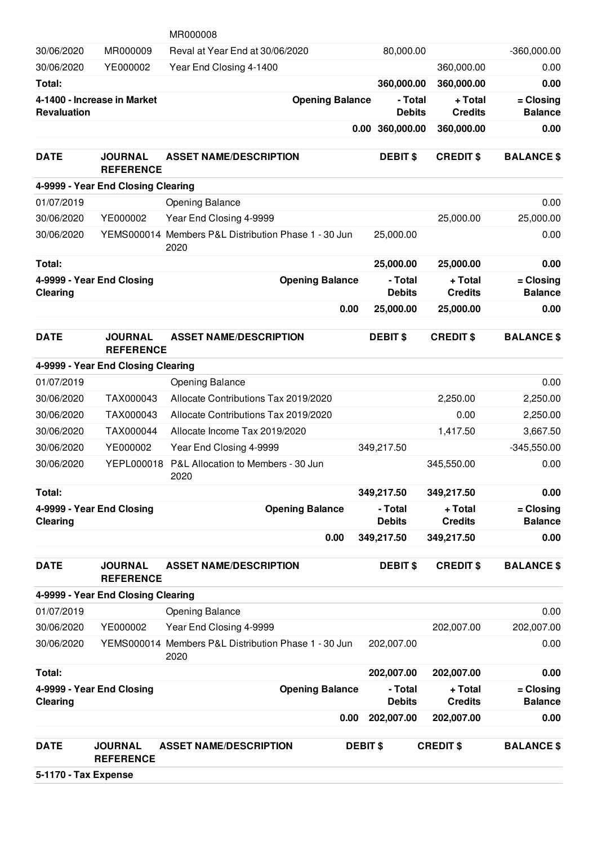|                      |                                    | MR000008                                                     |                 |                          |                           |                                |
|----------------------|------------------------------------|--------------------------------------------------------------|-----------------|--------------------------|---------------------------|--------------------------------|
| 30/06/2020           | MR000009                           | Reval at Year End at 30/06/2020                              |                 | 80,000.00                |                           | $-360,000.00$                  |
| 30/06/2020           | YE000002                           | Year End Closing 4-1400                                      |                 |                          | 360,000.00                | 0.00                           |
| Total:               |                                    |                                                              |                 | 360,000.00               | 360,000.00                | 0.00                           |
| <b>Revaluation</b>   | 4-1400 - Increase in Market        | <b>Opening Balance</b>                                       |                 | - Total<br><b>Debits</b> | + Total<br><b>Credits</b> | $= C losing$<br><b>Balance</b> |
|                      |                                    |                                                              | 0.00            | 360,000.00               | 360,000.00                | 0.00                           |
| <b>DATE</b>          | <b>JOURNAL</b><br><b>REFERENCE</b> | <b>ASSET NAME/DESCRIPTION</b>                                |                 | <b>DEBIT \$</b>          | <b>CREDIT \$</b>          | <b>BALANCE \$</b>              |
|                      | 4-9999 - Year End Closing Clearing |                                                              |                 |                          |                           |                                |
| 01/07/2019           |                                    | <b>Opening Balance</b>                                       |                 |                          |                           | 0.00                           |
| 30/06/2020           | YE000002                           | Year End Closing 4-9999                                      |                 |                          | 25,000.00                 | 25,000.00                      |
| 30/06/2020           |                                    | YEMS000014 Members P&L Distribution Phase 1 - 30 Jun<br>2020 |                 | 25,000.00                |                           | 0.00                           |
| Total:               |                                    |                                                              |                 | 25,000.00                | 25,000.00                 | 0.00                           |
| <b>Clearing</b>      | 4-9999 - Year End Closing          | <b>Opening Balance</b>                                       |                 | - Total<br><b>Debits</b> | + Total<br><b>Credits</b> | $= C losing$<br><b>Balance</b> |
|                      |                                    |                                                              | 0.00            | 25,000.00                | 25,000.00                 | 0.00                           |
| <b>DATE</b>          | <b>JOURNAL</b><br><b>REFERENCE</b> | <b>ASSET NAME/DESCRIPTION</b>                                |                 | <b>DEBIT \$</b>          | <b>CREDIT \$</b>          | <b>BALANCE \$</b>              |
|                      | 4-9999 - Year End Closing Clearing |                                                              |                 |                          |                           |                                |
| 01/07/2019           |                                    | <b>Opening Balance</b>                                       |                 |                          |                           | 0.00                           |
| 30/06/2020           | TAX000043                          | Allocate Contributions Tax 2019/2020                         |                 |                          | 2,250.00                  | 2,250.00                       |
| 30/06/2020           | TAX000043                          | Allocate Contributions Tax 2019/2020                         |                 |                          | 0.00                      | 2,250.00                       |
| 30/06/2020           | TAX000044                          | Allocate Income Tax 2019/2020                                |                 |                          | 1,417.50                  | 3,667.50                       |
| 30/06/2020           | YE000002                           | Year End Closing 4-9999                                      |                 | 349,217.50               |                           | $-345,550.00$                  |
| 30/06/2020           | YEPL000018                         | P&L Allocation to Members - 30 Jun<br>2020                   |                 |                          | 345,550.00                | 0.00                           |
| Total:               |                                    |                                                              |                 | 349,217.50               | 349,217.50                | 0.00                           |
| <b>Clearing</b>      | 4-9999 - Year End Closing          | <b>Opening Balance</b>                                       |                 | - Total<br><b>Debits</b> | + Total<br><b>Credits</b> | $=$ Closing<br><b>Balance</b>  |
|                      |                                    | 0.00                                                         |                 | 349,217.50               | 349,217.50                | 0.00                           |
| <b>DATE</b>          | <b>JOURNAL</b><br><b>REFERENCE</b> | <b>ASSET NAME/DESCRIPTION</b>                                |                 | <b>DEBIT \$</b>          | <b>CREDIT \$</b>          | <b>BALANCE \$</b>              |
|                      | 4-9999 - Year End Closing Clearing |                                                              |                 |                          |                           |                                |
| 01/07/2019           |                                    | <b>Opening Balance</b>                                       |                 |                          |                           | 0.00                           |
| 30/06/2020           | YE000002                           | Year End Closing 4-9999                                      |                 |                          | 202,007.00                | 202,007.00                     |
| 30/06/2020           |                                    | YEMS000014 Members P&L Distribution Phase 1 - 30 Jun<br>2020 |                 | 202,007.00               |                           | 0.00                           |
| Total:               |                                    |                                                              |                 | 202,007.00               | 202,007.00                | 0.00                           |
| <b>Clearing</b>      | 4-9999 - Year End Closing          | <b>Opening Balance</b>                                       |                 | - Total<br><b>Debits</b> | + Total<br><b>Credits</b> | $= C losing$<br><b>Balance</b> |
|                      |                                    |                                                              | 0.00            | 202,007.00               | 202,007.00                | 0.00                           |
| <b>DATE</b>          | <b>JOURNAL</b><br><b>REFERENCE</b> | <b>ASSET NAME/DESCRIPTION</b>                                | <b>DEBIT \$</b> |                          | <b>CREDIT \$</b>          | <b>BALANCE \$</b>              |
| 5-1170 - Tax Expense |                                    |                                                              |                 |                          |                           |                                |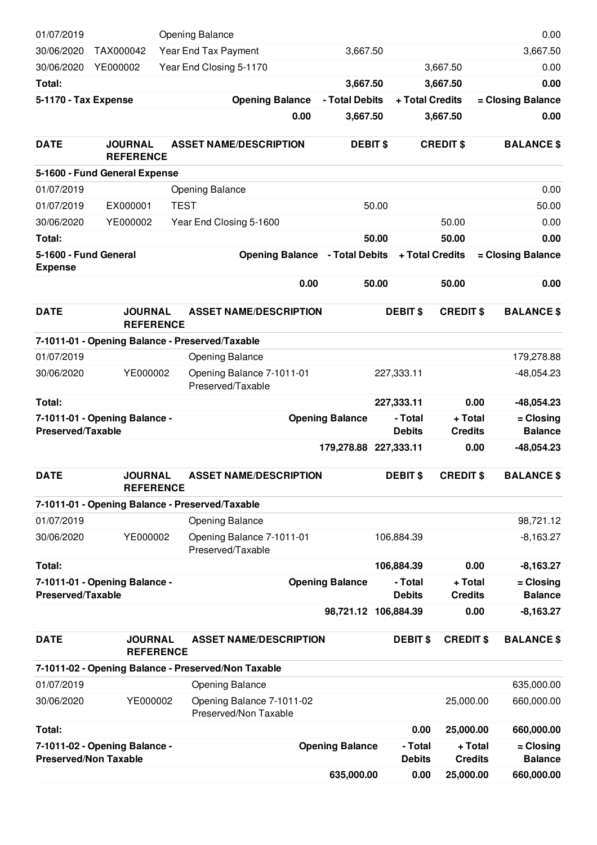|                                         |                                                   |                  |                                                     |                        | 635,000.00                            |       | 0.00                     | 25,000.00                 |                | 660,000.00                     |
|-----------------------------------------|---------------------------------------------------|------------------|-----------------------------------------------------|------------------------|---------------------------------------|-------|--------------------------|---------------------------|----------------|--------------------------------|
| <b>Preserved/Non Taxable</b>            |                                                   |                  |                                                     |                        |                                       |       | <b>Debits</b>            |                           | <b>Credits</b> | <b>Balance</b>                 |
| Total:                                  | 7-1011-02 - Opening Balance -                     |                  |                                                     |                        | <b>Opening Balance</b>                |       | 0.00<br>- Total          | 25,000.00                 | + Total        | 660,000.00<br>$= C losing$     |
| 30/06/2020                              | YE000002                                          |                  | Opening Balance 7-1011-02<br>Preserved/Non Taxable  |                        |                                       |       |                          | 25,000.00                 |                | 660,000.00                     |
| 01/07/2019                              |                                                   |                  | <b>Opening Balance</b>                              |                        |                                       |       |                          |                           |                | 635,000.00                     |
|                                         |                                                   |                  | 7-1011-02 - Opening Balance - Preserved/Non Taxable |                        |                                       |       |                          |                           |                |                                |
| <b>DATE</b>                             | <b>JOURNAL</b>                                    | <b>REFERENCE</b> | <b>ASSET NAME/DESCRIPTION</b>                       |                        |                                       |       | <b>DEBIT \$</b>          | <b>CREDIT \$</b>          |                | <b>BALANCE \$</b>              |
|                                         |                                                   |                  |                                                     |                        | 98,721.12 106,884.39                  |       |                          |                           | 0.00           | $-8,163.27$                    |
| <b>Preserved/Taxable</b>                | 7-1011-01 - Opening Balance -                     |                  |                                                     |                        | <b>Opening Balance</b>                |       | - Total<br><b>Debits</b> | + Total<br><b>Credits</b> |                | $= C losing$<br><b>Balance</b> |
| Total:                                  |                                                   |                  |                                                     |                        |                                       |       | 106,884.39               |                           | 0.00           | $-8,163.27$                    |
| 30/06/2020                              | YE000002                                          |                  | Opening Balance 7-1011-01<br>Preserved/Taxable      |                        |                                       |       | 106,884.39               |                           |                | $-8,163.27$                    |
| 01/07/2019                              |                                                   |                  | <b>Opening Balance</b>                              |                        |                                       |       |                          |                           |                | 98,721.12                      |
|                                         |                                                   |                  | 7-1011-01 - Opening Balance - Preserved/Taxable     |                        |                                       |       |                          |                           |                |                                |
| <b>DATE</b>                             | <b>JOURNAL</b><br><b>REFERENCE</b>                |                  | <b>ASSET NAME/DESCRIPTION</b>                       |                        |                                       |       | <b>DEBIT \$</b>          | <b>CREDIT \$</b>          |                | <b>BALANCE \$</b>              |
|                                         |                                                   |                  |                                                     |                        | 179,278.88 227,333.11                 |       |                          |                           | 0.00           | $-48,054.23$                   |
| <b>Preserved/Taxable</b>                | 7-1011-01 - Opening Balance -                     |                  |                                                     |                        | <b>Opening Balance</b>                |       | - Total<br><b>Debits</b> | + Total<br><b>Credits</b> |                | $=$ Closing<br><b>Balance</b>  |
| Total:                                  |                                                   |                  |                                                     |                        |                                       |       | 227,333.11               |                           | 0.00           | $-48,054.23$                   |
| 30/06/2020                              | YE000002                                          |                  | Opening Balance 7-1011-01<br>Preserved/Taxable      |                        |                                       |       | 227,333.11               |                           |                | $-48,054.23$                   |
| 01/07/2019                              |                                                   |                  | <b>Opening Balance</b>                              |                        |                                       |       |                          |                           |                | 179,278.88                     |
|                                         |                                                   |                  | 7-1011-01 - Opening Balance - Preserved/Taxable     |                        |                                       |       |                          |                           |                |                                |
| <b>DATE</b>                             | <b>JOURNAL</b><br><b>REFERENCE</b>                |                  | <b>ASSET NAME/DESCRIPTION</b>                       |                        |                                       |       | <b>DEBIT \$</b>          | <b>CREDIT \$</b>          |                | <b>BALANCE \$</b>              |
|                                         |                                                   |                  |                                                     | 0.00                   |                                       | 50.00 |                          | 50.00                     |                | 0.00                           |
| 5-1600 - Fund General<br><b>Expense</b> |                                                   |                  |                                                     |                        | <b>Opening Balance - Total Debits</b> |       |                          | + Total Credits           |                | = Closing Balance              |
| Total:                                  |                                                   |                  |                                                     |                        |                                       | 50.00 |                          | 50.00                     |                | 0.00                           |
| 30/06/2020                              | YE000002                                          |                  | Year End Closing 5-1600                             |                        |                                       |       |                          | 50.00                     |                | 0.00                           |
| 01/07/2019                              | EX000001                                          | <b>TEST</b>      |                                                     |                        |                                       | 50.00 |                          |                           |                | 50.00                          |
| 01/07/2019                              |                                                   |                  | <b>Opening Balance</b>                              |                        |                                       |       |                          |                           |                | 0.00                           |
|                                         | <b>REFERENCE</b><br>5-1600 - Fund General Expense |                  |                                                     |                        |                                       |       |                          |                           |                |                                |
| <b>DATE</b>                             | <b>JOURNAL</b>                                    |                  | <b>ASSET NAME/DESCRIPTION</b>                       |                        | <b>DEBIT \$</b>                       |       |                          | <b>CREDIT \$</b>          |                | <b>BALANCE \$</b>              |
|                                         |                                                   |                  |                                                     | 0.00                   | 3,667.50                              |       |                          | 3,667.50                  |                | 0.00                           |
| Total:<br>5-1170 - Tax Expense          |                                                   |                  |                                                     | <b>Opening Balance</b> | 3,667.50<br>- Total Debits            |       | + Total Credits          | 3,667.50                  |                | 0.00<br>= Closing Balance      |
| 30/06/2020                              | YE000002                                          |                  | Year End Closing 5-1170                             |                        |                                       |       |                          | 3,667.50                  |                | 0.00                           |
| 30/06/2020                              | TAX000042                                         |                  | Year End Tax Payment                                |                        | 3,667.50                              |       |                          |                           |                | 3,667.50                       |
| 01/07/2019                              |                                                   |                  | <b>Opening Balance</b>                              |                        |                                       |       |                          |                           |                | 0.00                           |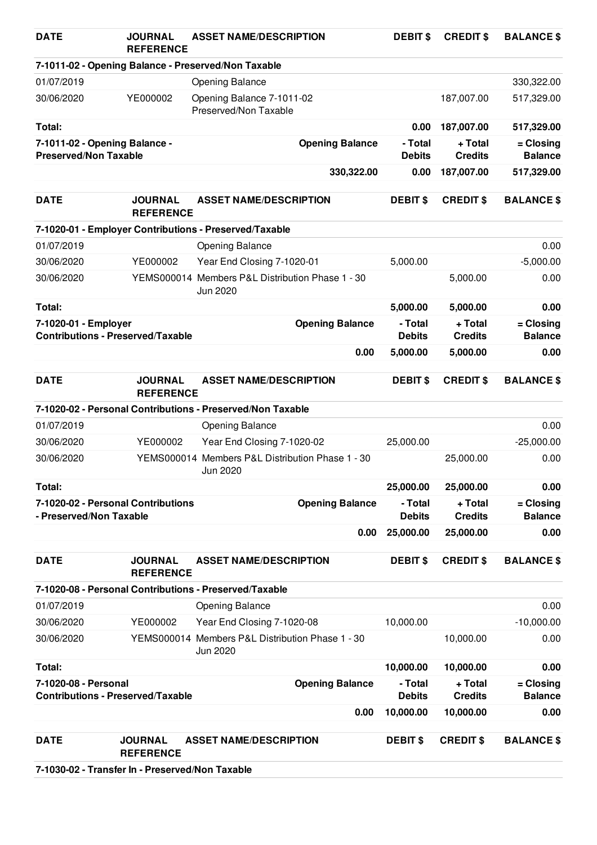| <b>DATE</b>                                                      | <b>JOURNAL</b><br><b>REFERENCE</b> | <b>ASSET NAME/DESCRIPTION</b>                                |                        | <b>DEBIT \$</b>          | <b>CREDIT \$</b>          | <b>BALANCE \$</b>              |
|------------------------------------------------------------------|------------------------------------|--------------------------------------------------------------|------------------------|--------------------------|---------------------------|--------------------------------|
|                                                                  |                                    | 7-1011-02 - Opening Balance - Preserved/Non Taxable          |                        |                          |                           |                                |
| 01/07/2019                                                       |                                    | <b>Opening Balance</b>                                       |                        |                          |                           | 330,322.00                     |
| 30/06/2020                                                       | YE000002                           | Opening Balance 7-1011-02<br>Preserved/Non Taxable           |                        |                          | 187,007.00                | 517,329.00                     |
| Total:                                                           |                                    |                                                              |                        | 0.00                     | 187,007.00                | 517,329.00                     |
| 7-1011-02 - Opening Balance -                                    |                                    |                                                              | <b>Opening Balance</b> | - Total                  | + Total                   | $=$ Closing                    |
| <b>Preserved/Non Taxable</b>                                     |                                    |                                                              |                        | <b>Debits</b>            | <b>Credits</b>            | <b>Balance</b>                 |
|                                                                  |                                    |                                                              | 330,322.00             | 0.00                     | 187,007.00                | 517,329.00                     |
| <b>DATE</b>                                                      | <b>JOURNAL</b><br><b>REFERENCE</b> | <b>ASSET NAME/DESCRIPTION</b>                                |                        | <b>DEBIT \$</b>          | <b>CREDIT \$</b>          | <b>BALANCE \$</b>              |
|                                                                  |                                    | 7-1020-01 - Employer Contributions - Preserved/Taxable       |                        |                          |                           |                                |
| 01/07/2019                                                       |                                    | <b>Opening Balance</b>                                       |                        |                          |                           | 0.00                           |
| 30/06/2020                                                       | YE000002                           | Year End Closing 7-1020-01                                   |                        | 5,000.00                 |                           | $-5,000.00$                    |
| 30/06/2020                                                       |                                    | YEMS000014 Members P&L Distribution Phase 1 - 30<br>Jun 2020 |                        |                          | 5,000.00                  | 0.00                           |
| Total:                                                           |                                    |                                                              |                        | 5,000.00                 | 5,000.00                  | 0.00                           |
| 7-1020-01 - Employer<br><b>Contributions - Preserved/Taxable</b> |                                    |                                                              | <b>Opening Balance</b> | - Total<br><b>Debits</b> | + Total<br><b>Credits</b> | $= C losing$<br><b>Balance</b> |
|                                                                  |                                    |                                                              | 0.00                   | 5,000.00                 | 5,000.00                  | 0.00                           |
| <b>DATE</b>                                                      | <b>JOURNAL</b><br><b>REFERENCE</b> | <b>ASSET NAME/DESCRIPTION</b>                                |                        | <b>DEBIT \$</b>          | <b>CREDIT \$</b>          | <b>BALANCE \$</b>              |
|                                                                  |                                    | 7-1020-02 - Personal Contributions - Preserved/Non Taxable   |                        |                          |                           |                                |
| 01/07/2019                                                       |                                    | <b>Opening Balance</b>                                       |                        |                          |                           | 0.00                           |
| 30/06/2020                                                       | YE000002                           | Year End Closing 7-1020-02                                   |                        | 25,000.00                |                           | $-25,000.00$                   |
| 30/06/2020                                                       |                                    | YEMS000014 Members P&L Distribution Phase 1 - 30<br>Jun 2020 |                        |                          | 25,000.00                 | 0.00                           |
| Total:                                                           |                                    |                                                              |                        | 25,000.00                | 25,000.00                 | 0.00                           |
| 7-1020-02 - Personal Contributions<br>- Preserved/Non Taxable    |                                    |                                                              | <b>Opening Balance</b> | - Total<br><b>Debits</b> | + Total<br><b>Credits</b> | $= C losing$<br><b>Balance</b> |
|                                                                  |                                    |                                                              | 0.00                   | 25,000.00                | 25,000.00                 | 0.00                           |
| <b>DATE</b>                                                      | <b>JOURNAL</b><br><b>REFERENCE</b> | <b>ASSET NAME/DESCRIPTION</b>                                |                        | <b>DEBIT \$</b>          | <b>CREDIT \$</b>          | <b>BALANCE \$</b>              |
|                                                                  |                                    | 7-1020-08 - Personal Contributions - Preserved/Taxable       |                        |                          |                           |                                |
| 01/07/2019                                                       |                                    | <b>Opening Balance</b>                                       |                        |                          |                           | 0.00                           |
| 30/06/2020                                                       | YE000002                           | Year End Closing 7-1020-08                                   |                        | 10,000.00                |                           | $-10,000.00$                   |
| 30/06/2020                                                       |                                    | YEMS000014 Members P&L Distribution Phase 1 - 30<br>Jun 2020 |                        |                          | 10,000.00                 | 0.00                           |
| Total:                                                           |                                    |                                                              |                        | 10,000.00                | 10,000.00                 | 0.00                           |
| 7-1020-08 - Personal<br><b>Contributions - Preserved/Taxable</b> |                                    |                                                              | <b>Opening Balance</b> | - Total<br><b>Debits</b> | + Total<br><b>Credits</b> | $= C losing$<br><b>Balance</b> |
|                                                                  |                                    |                                                              | 0.00                   | 10,000.00                | 10,000.00                 | 0.00                           |
| <b>DATE</b>                                                      | <b>JOURNAL</b><br><b>REFERENCE</b> | <b>ASSET NAME/DESCRIPTION</b>                                |                        | <b>DEBIT \$</b>          | <b>CREDIT \$</b>          | <b>BALANCE \$</b>              |
| 7-1030-02 - Transfer In - Preserved/Non Taxable                  |                                    |                                                              |                        |                          |                           |                                |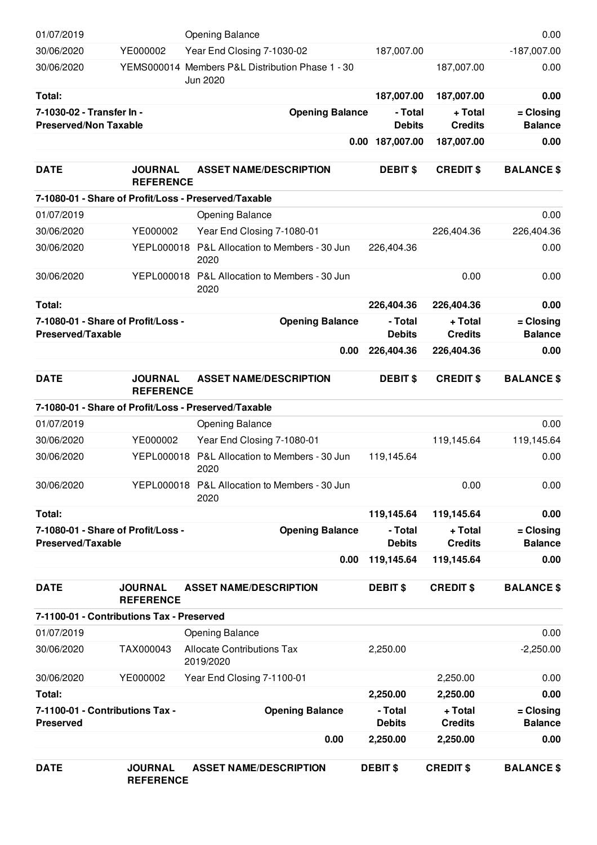| <b>DATE</b>                                                    | <b>JOURNAL</b><br><b>REFERENCE</b> | <b>ASSET NAME/DESCRIPTION</b>                                | <b>DEBIT \$</b>                     | <b>CREDIT \$</b>             | <b>BALANCE \$</b>              |
|----------------------------------------------------------------|------------------------------------|--------------------------------------------------------------|-------------------------------------|------------------------------|--------------------------------|
|                                                                |                                    | 0.00                                                         | 2,250.00                            | 2,250.00                     | 0.00                           |
| 7-1100-01 - Contributions Tax -<br><b>Preserved</b>            |                                    | <b>Opening Balance</b>                                       | - Total<br><b>Debits</b>            | + Total<br><b>Credits</b>    | $= C losing$<br><b>Balance</b> |
| Total:                                                         |                                    |                                                              | 2,250.00                            | 2,250.00                     | 0.00                           |
| 30/06/2020                                                     | YE000002                           | Year End Closing 7-1100-01                                   |                                     | 2,250.00                     | 0.00                           |
| 30/06/2020                                                     | TAX000043                          | <b>Allocate Contributions Tax</b><br>2019/2020               | 2,250.00                            |                              | $-2,250.00$                    |
| 01/07/2019                                                     |                                    | <b>Opening Balance</b>                                       |                                     |                              | 0.00                           |
| 7-1100-01 - Contributions Tax - Preserved                      |                                    |                                                              |                                     |                              |                                |
| <b>DATE</b>                                                    | <b>JOURNAL</b><br><b>REFERENCE</b> | <b>ASSET NAME/DESCRIPTION</b>                                | <b>DEBIT \$</b>                     | <b>CREDIT \$</b>             | <b>BALANCE \$</b>              |
|                                                                |                                    | 0.00                                                         | 119,145.64                          | 119,145.64                   | 0.00                           |
| <b>Preserved/Taxable</b>                                       |                                    |                                                              | <b>Debits</b>                       | <b>Credits</b>               | <b>Balance</b>                 |
| 7-1080-01 - Share of Profit/Loss -                             |                                    | <b>Opening Balance</b>                                       | - Total                             | + Total                      | $= C losing$                   |
| Total:                                                         |                                    | 2020                                                         | 119,145.64                          | 119,145.64                   | 0.00                           |
| 30/06/2020                                                     |                                    | YEPL000018 P&L Allocation to Members - 30 Jun                |                                     | 0.00                         | 0.00                           |
| 30/06/2020                                                     |                                    | YEPL000018 P&L Allocation to Members - 30 Jun<br>2020        | 119,145.64                          |                              | 0.00                           |
| 30/06/2020                                                     | YE000002                           | Year End Closing 7-1080-01                                   |                                     | 119,145.64                   | 119,145.64                     |
| 01/07/2019                                                     |                                    | <b>Opening Balance</b>                                       |                                     |                              | 0.00                           |
|                                                                |                                    | 7-1080-01 - Share of Profit/Loss - Preserved/Taxable         |                                     |                              |                                |
| <b>DATE</b>                                                    | <b>JOURNAL</b><br><b>REFERENCE</b> | <b>ASSET NAME/DESCRIPTION</b>                                | <b>DEBIT \$</b>                     | <b>CREDIT \$</b>             | <b>BALANCE \$</b>              |
|                                                                |                                    | 0.00                                                         | 226,404.36                          | 226,404.36                   | 0.00                           |
| 7-1080-01 - Share of Profit/Loss -<br><b>Preserved/Taxable</b> |                                    | <b>Opening Balance</b>                                       | - Total<br><b>Debits</b>            | + Total<br><b>Credits</b>    | $= C losing$<br><b>Balance</b> |
| Total:                                                         |                                    |                                                              | 226,404.36                          | 226,404.36                   | 0.00                           |
| 30/06/2020                                                     |                                    | YEPL000018 P&L Allocation to Members - 30 Jun<br>2020        |                                     | 0.00                         | 0.00                           |
|                                                                |                                    | 2020                                                         |                                     |                              |                                |
| 30/06/2020                                                     |                                    | YEPL000018 P&L Allocation to Members - 30 Jun                | 226,404.36                          |                              | 0.00                           |
| 01/07/2019<br>30/06/2020                                       | YE000002                           | <b>Opening Balance</b><br>Year End Closing 7-1080-01         |                                     | 226,404.36                   | 0.00<br>226,404.36             |
|                                                                |                                    | 7-1080-01 - Share of Profit/Loss - Preserved/Taxable         |                                     |                              |                                |
|                                                                | <b>REFERENCE</b>                   |                                                              |                                     |                              |                                |
| <b>DATE</b>                                                    | <b>JOURNAL</b>                     | <b>ASSET NAME/DESCRIPTION</b>                                | <b>DEBIT \$</b>                     | <b>CREDIT \$</b>             | <b>BALANCE \$</b>              |
| <b>Preserved/Non Taxable</b>                                   |                                    |                                                              | <b>Debits</b><br>187,007.00<br>0.00 | <b>Credits</b><br>187,007.00 | <b>Balance</b><br>0.00         |
| 7-1030-02 - Transfer In -                                      |                                    | <b>Opening Balance</b>                                       | - Total                             | + Total                      | $= C losing$                   |
| Total:                                                         |                                    |                                                              | 187,007.00                          | 187,007.00                   | 0.00                           |
| 30/06/2020                                                     |                                    | YEMS000014 Members P&L Distribution Phase 1 - 30<br>Jun 2020 |                                     | 187,007.00                   | 0.00                           |
| 30/06/2020                                                     | YE000002                           | Year End Closing 7-1030-02                                   | 187,007.00                          |                              | $-187,007.00$                  |
| 01/07/2019                                                     |                                    | <b>Opening Balance</b>                                       |                                     |                              | 0.00                           |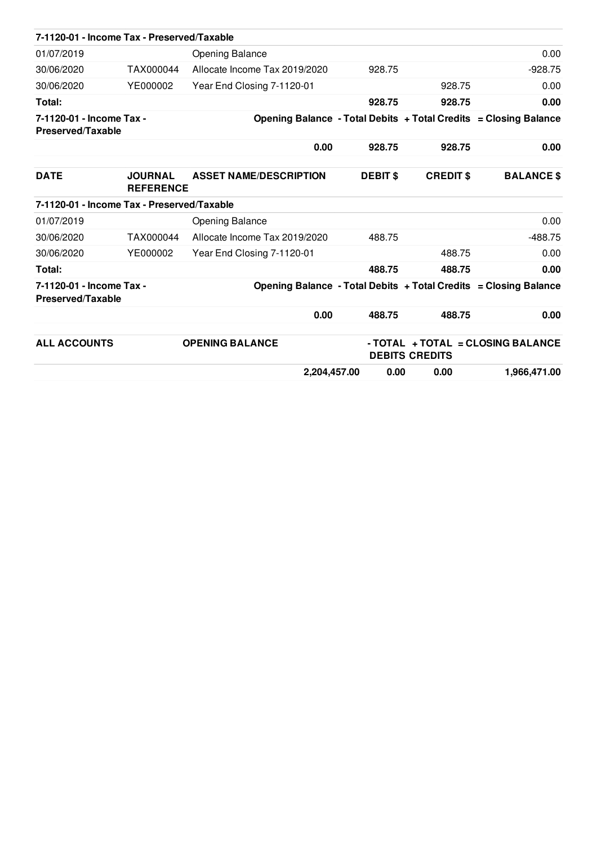| 7-1120-01 - Income Tax - Preserved/Taxable    |                                    |                               |              |                 |                       |                                                                  |
|-----------------------------------------------|------------------------------------|-------------------------------|--------------|-----------------|-----------------------|------------------------------------------------------------------|
| 01/07/2019                                    |                                    | <b>Opening Balance</b>        |              |                 |                       | 0.00                                                             |
| 30/06/2020                                    | TAX000044                          | Allocate Income Tax 2019/2020 |              | 928.75          |                       | $-928.75$                                                        |
| 30/06/2020                                    | YE000002                           | Year End Closing 7-1120-01    |              |                 | 928.75                | 0.00                                                             |
| Total:                                        |                                    |                               |              | 928.75          | 928.75                | 0.00                                                             |
| 7-1120-01 - Income Tax -<br>Preserved/Taxable |                                    |                               |              |                 |                       | Opening Balance - Total Debits + Total Credits = Closing Balance |
|                                               |                                    |                               | 0.00         | 928.75          | 928.75                | 0.00                                                             |
| <b>DATE</b>                                   | <b>JOURNAL</b><br><b>REFERENCE</b> | <b>ASSET NAME/DESCRIPTION</b> |              | <b>DEBIT \$</b> | <b>CREDIT \$</b>      | <b>BALANCE \$</b>                                                |
| 7-1120-01 - Income Tax - Preserved/Taxable    |                                    |                               |              |                 |                       |                                                                  |
| 01/07/2019                                    |                                    | <b>Opening Balance</b>        |              |                 |                       | 0.00                                                             |
| 30/06/2020                                    | TAX000044                          | Allocate Income Tax 2019/2020 |              | 488.75          |                       | $-488.75$                                                        |
| 30/06/2020                                    | YE000002                           | Year End Closing 7-1120-01    |              |                 | 488.75                | 0.00                                                             |
| Total:                                        |                                    |                               |              | 488.75          | 488.75                | 0.00                                                             |
| 7-1120-01 - Income Tax -<br>Preserved/Taxable |                                    |                               |              |                 |                       | Opening Balance - Total Debits + Total Credits = Closing Balance |
|                                               |                                    |                               | 0.00         | 488.75          | 488.75                | 0.00                                                             |
| <b>ALL ACCOUNTS</b>                           |                                    | <b>OPENING BALANCE</b>        |              |                 | <b>DEBITS CREDITS</b> | - TOTAL + TOTAL = CLOSING BALANCE                                |
|                                               |                                    |                               | 2,204,457.00 | 0.00            | 0.00                  | 1,966,471.00                                                     |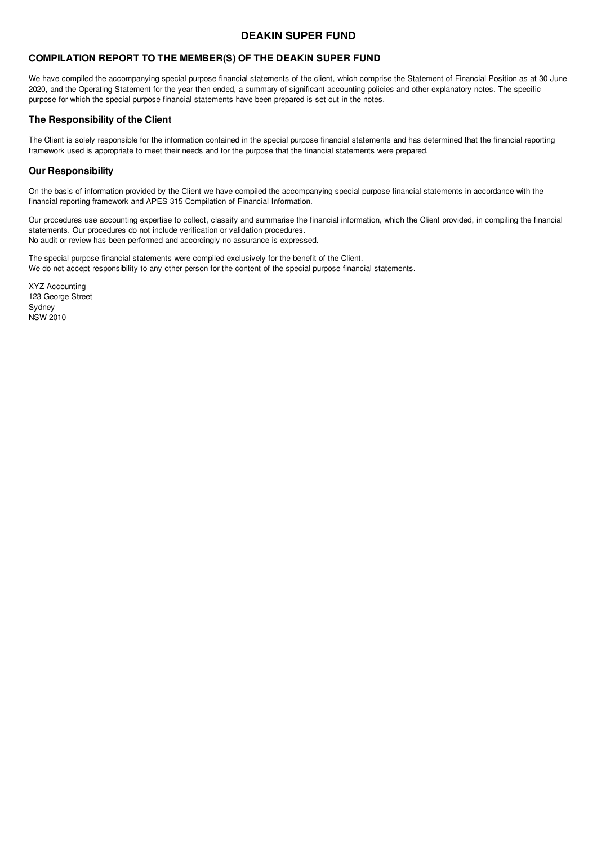## **DEAKIN SUPER FUND**

## **COMPILATION REPORT TO THE MEMBER(S) OF THE DEAKIN SUPER FUND**

We have compiled the accompanying special purpose financial statements of the client, which comprise the Statement of Financial Position as at 30 June 2020, and the Operating Statement for the year then ended, a summary of significant accounting policies and other explanatory notes. The specific purpose for which the special purpose financial statements have been prepared is set out in the notes.

## **The Responsibility of the Client**

The Client is solely responsible for the information contained in the special purpose financial statements and has determined that the financial reporting framework used is appropriate to meet their needs and for the purpose that the financial statements were prepared.

## **Our Responsibility**

On the basis of information provided by the Client we have compiled the accompanying special purpose financial statements in accordance with the financial reporting framework and APES 315 Compilation of Financial Information.

Our procedures use accounting expertise to collect, classify and summarise the financial information, which the Client provided, in compiling the financial statements. Our procedures do not include verification or validation procedures. No audit or review has been performed and accordingly no assurance is expressed.

The special purpose financial statements were compiled exclusively for the benefit of the Client. We do not accept responsibility to any other person for the content of the special purpose financial statements.

XYZ Accounting 123 George Street Sydney NSW 2010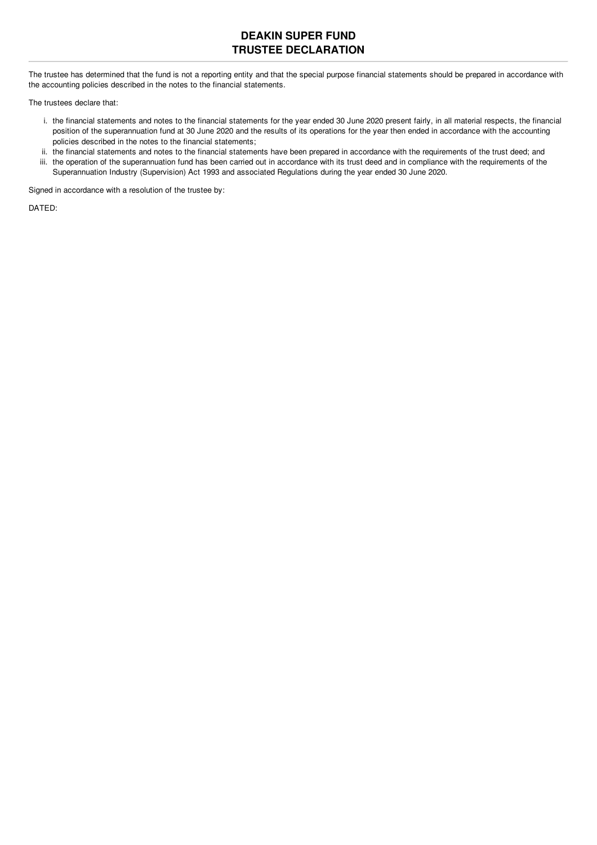## **DEAKIN SUPER FUND TRUSTEE DECLARATION**

The trustee has determined that the fund is not a reporting entity and that the special purpose financial statements should be prepared in accordance with the accounting policies described in the notes to the financial statements.

The trustees declare that:

- i. the financial statements and notes to the financial statements for the year ended 30 June 2020 present fairly, in all material respects, the financial position of the superannuation fund at 30 June 2020 and the results of its operations for the year then ended in accordance with the accounting policies described in the notes to the financial statements;
- ii. the financial statements and notes to the financial statements have been prepared in accordance with the requirements of the trust deed; and
- iii. the operation of the superannuation fund has been carried out in accordance with its trust deed and in compliance with the requirements of the Superannuation Industry (Supervision) Act 1993 and associated Regulations during the year ended 30 June 2020.

Signed in accordance with a resolution of the trustee by:

DATED: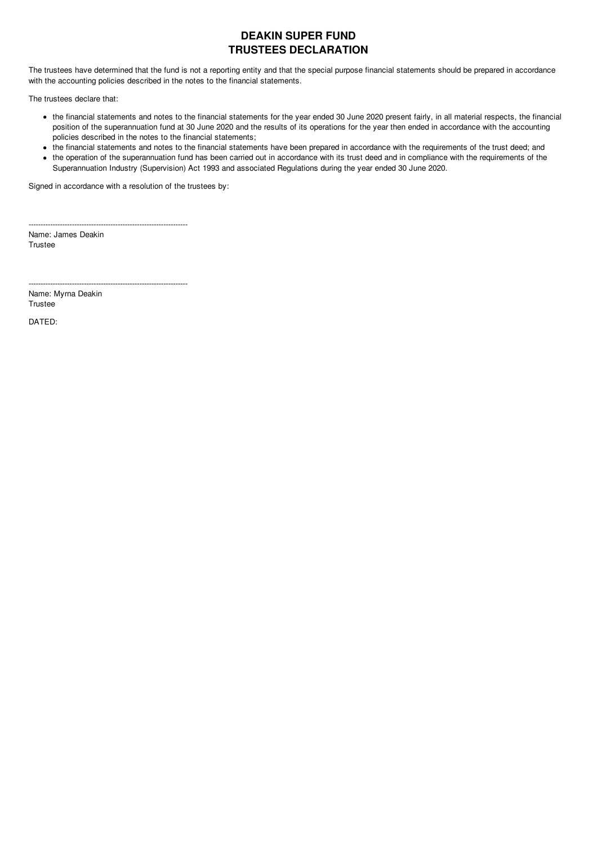## **DEAKIN SUPER FUND TRUSTEES DECLARATION**

The trustees have determined that the fund is not a reporting entity and that the special purpose financial statements should be prepared in accordance with the accounting policies described in the notes to the financial statements.

The trustees declare that:

- the financial statements and notes to the financial statements for the year ended 30 June 2020 present fairly, in all material respects, the financial position of the superannuation fund at 30 June 2020 and the results of its operations for the year then ended in accordance with the accounting policies described in the notes to the financial statements;
- the financial statements and notes to the financial statements have been prepared in accordance with the requirements of the trust deed; and the operation of the superannuation fund has been carried out in accordance with its trust deed and in compliance with the requirements of the
- Superannuation Industry (Supervision) Act 1993 and associated Regulations during the year ended 30 June 2020.

Signed in accordance with a resolution of the trustees by:

------------------------------------------------------------------

Name: James Deakin **Trustee** 

------------------------------------------------------------------ Name: Myrna Deakin Trustee

DATED: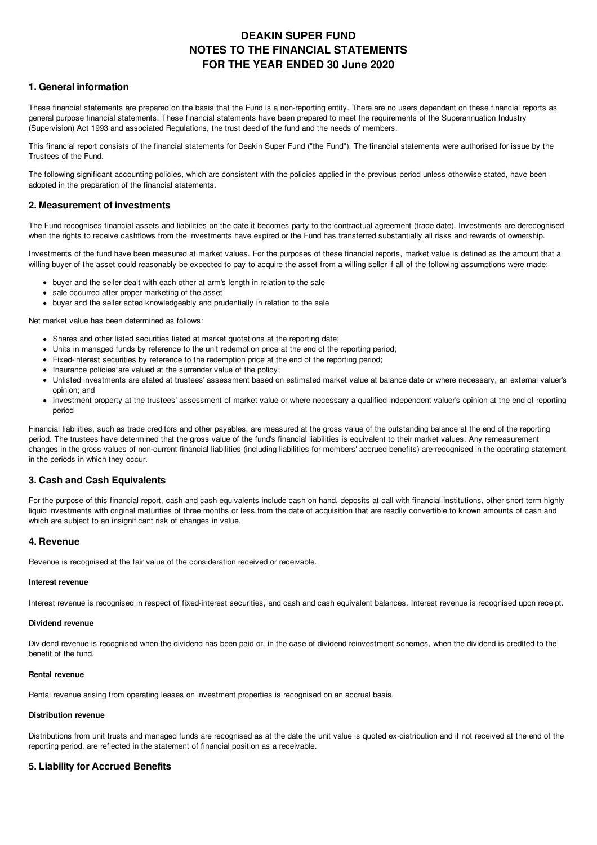## **DEAKIN SUPER FUND NOTES TO THE FINANCIAL STATEMENTS FOR THE YEAR ENDED 30 June 2020**

## **1. General information**

These financial statements are prepared on the basis that the Fund is a non-reporting entity. There are no users dependant on these financial reports as general purpose financial statements. These financial statements have been prepared to meet the requirements of the Superannuation Industry (Supervision) Act 1993 and associated Regulations, the trust deed of the fund and the needs of members.

This financial report consists of the financial statements for Deakin Super Fund ("the Fund"). The financial statements were authorised for issue by the Trustees of the Fund.

The following significant accounting policies, which are consistent with the policies applied in the previous period unless otherwise stated, have been adopted in the preparation of the financial statements.

## **2. Measurement of investments**

The Fund recognises financial assets and liabilities on the date it becomes party to the contractual agreement (trade date). Investments are derecognised when the rights to receive cashflows from the investments have expired or the Fund has transferred substantially all risks and rewards of ownership.

Investments of the fund have been measured at market values. For the purposes of these financial reports, market value is defined as the amount that a willing buyer of the asset could reasonably be expected to pay to acquire the asset from a willing seller if all of the following assumptions were made:

- buyer and the seller dealt with each other at arm's length in relation to the sale
- sale occurred after proper marketing of the asset
- buyer and the seller acted knowledgeably and prudentially in relation to the sale

Net market value has been determined as follows:

- Shares and other listed securities listed at market quotations at the reporting date;
- Units in managed funds by reference to the unit redemption price at the end of the reporting period;
- Fixed-interest securities by reference to the redemption price at the end of the reporting period;
- Insurance policies are valued at the surrender value of the policy;
- Unlisted investments are stated at trustees' assessment based on estimated market value at balance date or where necessary, an external valuer's opinion; and
- Investment property at the trustees' assessment of market value or where necessary a qualified independent valuer's opinion at the end of reporting period

Financial liabilities, such as trade creditors and other payables, are measured at the gross value of the outstanding balance at the end of the reporting period. The trustees have determined that the gross value of the fund's financial liabilities is equivalent to their market values. Any remeasurement changes in the gross values of non-current financial liabilities (including liabilities for members' accrued benefits) are recognised in the operating statement in the periods in which they occur.

## **3. Cash and Cash Equivalents**

For the purpose of this financial report, cash and cash equivalents include cash on hand, deposits at call with financial institutions, other short term highly liquid investments with original maturities of three months or less from the date of acquisition that are readily convertible to known amounts of cash and which are subject to an insignificant risk of changes in value.

## **4. Revenue**

Revenue is recognised at the fair value of the consideration received or receivable.

### **Interest revenue**

Interest revenue is recognised in respect of fixed-interest securities, and cash and cash equivalent balances. Interest revenue is recognised upon receipt.

#### **Dividend revenue**

Dividend revenue is recognised when the dividend has been paid or, in the case of dividend reinvestment schemes, when the dividend is credited to the benefit of the fund.

#### **Rental revenue**

Rental revenue arising from operating leases on investment properties is recognised on an accrual basis.

#### **Distribution revenue**

Distributions from unit trusts and managed funds are recognised as at the date the unit value is quoted ex-distribution and if not received at the end of the reporting period, are reflected in the statement of financial position as a receivable.

## **5. Liability for Accrued Benefits**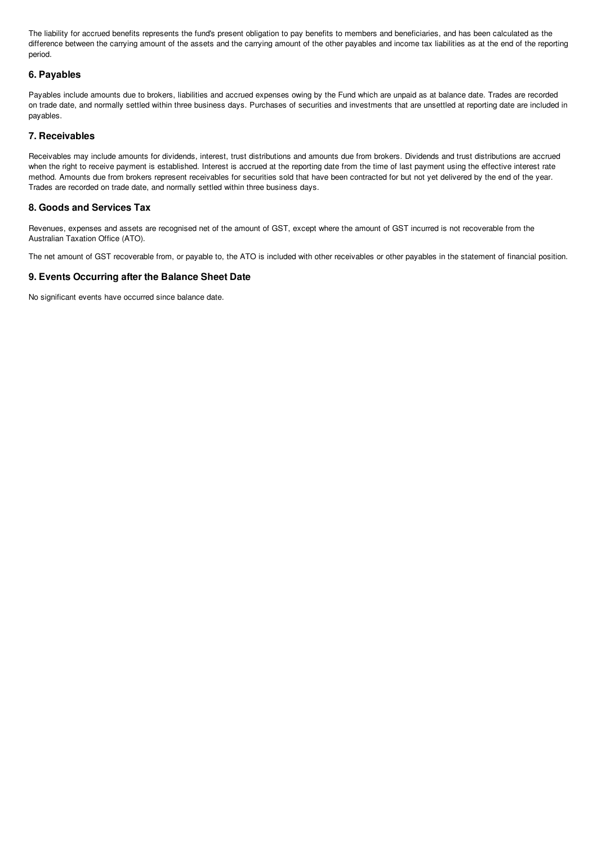The liability for accrued benefits represents the fund's present obligation to pay benefits to members and beneficiaries, and has been calculated as the difference between the carrying amount of the assets and the carrying amount of the other payables and income tax liabilities as at the end of the reporting period.

## **6. Payables**

Payables include amounts due to brokers, liabilities and accrued expenses owing by the Fund which are unpaid as at balance date. Trades are recorded on trade date, and normally settled within three business days. Purchases of securities and investments that are unsettled at reporting date are included in payables.

## **7. Receivables**

Receivables may include amounts for dividends, interest, trust distributions and amounts due from brokers. Dividends and trust distributions are accrued when the right to receive payment is established. Interest is accrued at the reporting date from the time of last payment using the effective interest rate method. Amounts due from brokers represent receivables for securities sold that have been contracted for but not yet delivered by the end of the year. Trades are recorded on trade date, and normally settled within three business days.

## **8. Goods and Services Tax**

Revenues, expenses and assets are recognised net of the amount of GST, except where the amount of GST incurred is not recoverable from the Australian Taxation Office (ATO).

The net amount of GST recoverable from, or payable to, the ATO is included with other receivables or other payables in the statement of financial position.

## **9. Events Occurring after the Balance Sheet Date**

No significant events have occurred since balance date.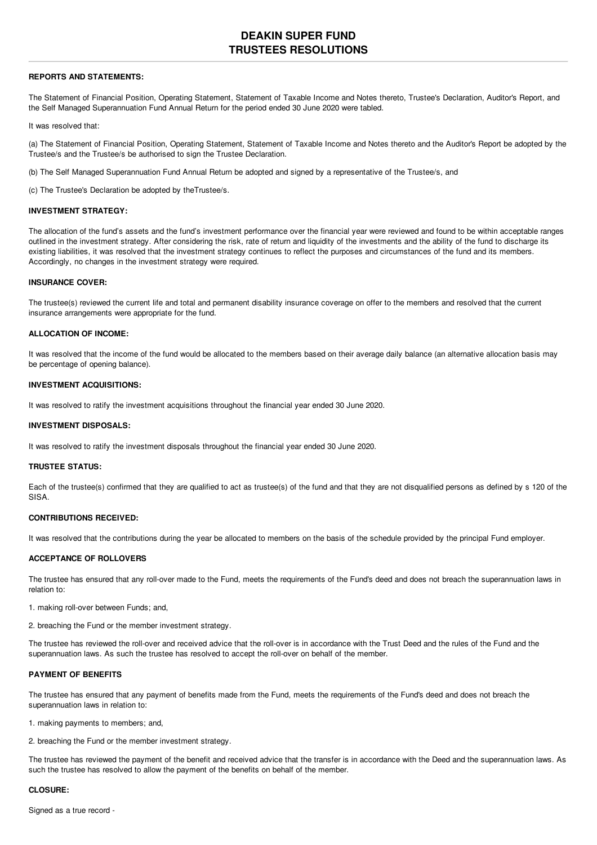## **DEAKIN SUPER FUND TRUSTEES RESOLUTIONS**

### **REPORTS AND STATEMENTS:**

The Statement of Financial Position, Operating Statement, Statement of Taxable Income and Notes thereto, Trustee's Declaration, Auditor's Report, and the Self Managed Superannuation Fund Annual Return for the period ended 30 June 2020 were tabled.

It was resolved that:

(a) The Statement of Financial Position, Operating Statement, Statement of Taxable Income and Notes thereto and the Auditor's Report be adopted by the Trustee/s and the Trustee/s be authorised to sign the Trustee Declaration.

(b) The Self Managed Superannuation Fund Annual Return be adopted and signed by a representative of the Trustee/s, and

(c) The Trustee's Declaration be adopted by theTrustee/s.

#### **INVESTMENT STRATEGY:**

The allocation of the fund's assets and the fund's investment performance over the financial year were reviewed and found to be within acceptable ranges outlined in the investment strategy. After considering the risk, rate of return and liquidity of the investments and the ability of the fund to discharge its existing liabilities, it was resolved that the investment strategy continues to reflect the purposes and circumstances of the fund and its members. Accordingly, no changes in the investment strategy were required.

#### **INSURANCE COVER:**

The trustee(s) reviewed the current life and total and permanent disability insurance coverage on offer to the members and resolved that the current insurance arrangements were appropriate for the fund.

### **ALLOCATION OF INCOME:**

It was resolved that the income of the fund would be allocated to the members based on their average daily balance (an alternative allocation basis may be percentage of opening balance).

#### **INVESTMENT ACQUISITIONS:**

It was resolved to ratify the investment acquisitions throughout the financial year ended 30 June 2020.

### **INVESTMENT DISPOSALS:**

It was resolved to ratify the investment disposals throughout the financial year ended 30 June 2020.

#### **TRUSTEE STATUS:**

Each of the trustee(s) confirmed that they are qualified to act as trustee(s) of the fund and that they are not disqualified persons as defined by s 120 of the SISA.

#### **CONTRIBUTIONS RECEIVED:**

It was resolved that the contributions during the year be allocated to members on the basis of the schedule provided by the principal Fund employer.

### **ACCEPTANCE OF ROLLOVERS**

The trustee has ensured that any roll-over made to the Fund, meets the requirements of the Fund's deed and does not breach the superannuation laws in relation to:

1. making roll-over between Funds; and,

2. breaching the Fund or the member investment strategy.

The trustee has reviewed the roll-over and received advice that the roll-over is in accordance with the Trust Deed and the rules of the Fund and the superannuation laws. As such the trustee has resolved to accept the roll-over on behalf of the member.

### **PAYMENT OF BENEFITS**

The trustee has ensured that any payment of benefits made from the Fund, meets the requirements of the Fund's deed and does not breach the superannuation laws in relation to:

1. making payments to members; and,

2. breaching the Fund or the member investment strategy.

The trustee has reviewed the payment of the benefit and received advice that the transfer is in accordance with the Deed and the superannuation laws. As such the trustee has resolved to allow the payment of the benefits on behalf of the member.

## **CLOSURE:**

Signed as a true record -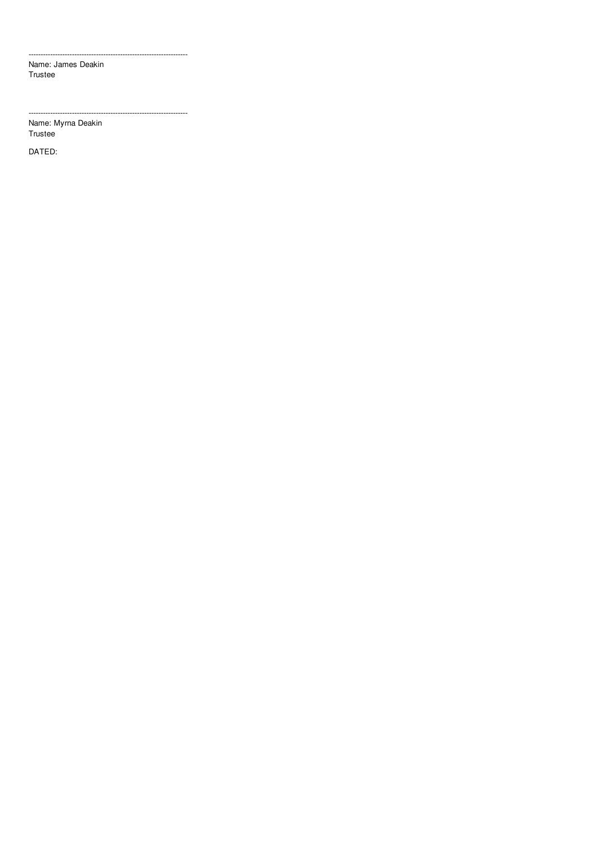Name: James Deakin Trustee

-------------------------

Ξ.

---------------------- $\overline{\phantom{a}}$ Name: Myrna Deakin

Trustee

DATED: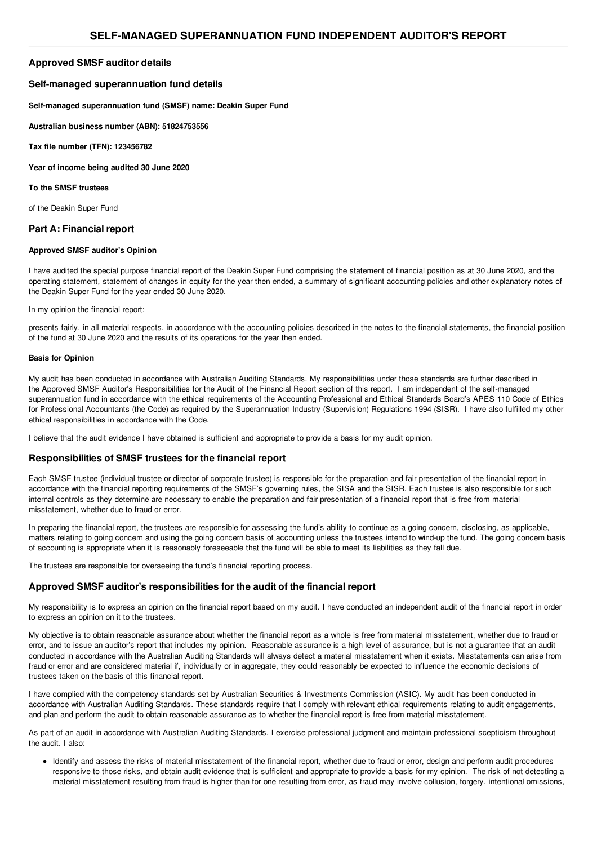## **Approved SMSF auditor details**

### **Self-managed superannuation fund details**

**Self-managed superannuation fund (SMSF) name: Deakin Super Fund**

**Australian business number (ABN): 51824753556**

**Tax file number (TFN): 123456782**

**Year of income being audited 30 June 2020**

#### **To the SMSF trustees**

of the Deakin Super Fund

## **Part A: Financial report**

#### **Approved SMSF auditor's Opinion**

I have audited the special purpose financial report of the Deakin Super Fund comprising the statement of financial position as at 30 June 2020, and the operating statement, statement of changes in equity for the year then ended, a summary of significant accounting policies and other explanatory notes of the Deakin Super Fund for the year ended 30 June 2020.

#### In my opinion the financial report:

presents fairly, in all material respects, in accordance with the accounting policies described in the notes to the financial statements, the financial position of the fund at 30 June 2020 and the results of its operations for the year then ended.

#### **Basis for Opinion**

My audit has been conducted in accordance with Australian Auditing Standards. My responsibilities under those standards are further described in the Approved SMSF Auditor's Responsibilities for the Audit of the Financial Report section of this report. I am independent of the self-managed superannuation fund in accordance with the ethical requirements of the Accounting Professional and Ethical Standards Board's APES 110 Code of Ethics for Professional Accountants (the Code) as required by the Superannuation Industry (Supervision) Regulations 1994 (SISR). I have also fulfilled my other ethical responsibilities in accordance with the Code.

I believe that the audit evidence I have obtained is sufficient and appropriate to provide a basis for my audit opinion.

### **Responsibilities of SMSF trustees for the financial report**

Each SMSF trustee (individual trustee or director of corporate trustee) is responsible for the preparation and fair presentation of the financial report in accordance with the financial reporting requirements of the SMSF's governing rules, the SISA and the SISR. Each trustee is also responsible for such internal controls as they determine are necessary to enable the preparation and fair presentation of a financial report that is free from material misstatement, whether due to fraud or error.

In preparing the financial report, the trustees are responsible for assessing the fund's ability to continue as a going concern, disclosing, as applicable, matters relating to going concern and using the going concern basis of accounting unless the trustees intend to wind-up the fund. The going concern basis of accounting is appropriate when it is reasonably foreseeable that the fund will be able to meet its liabilities as they fall due.

The trustees are responsible for overseeing the fund's financial reporting process.

## **Approved SMSF auditor's responsibilities for the audit of the financial report**

My responsibility is to express an opinion on the financial report based on my audit. I have conducted an independent audit of the financial report in order to express an opinion on it to the trustees.

My objective is to obtain reasonable assurance about whether the financial report as a whole is free from material misstatement, whether due to fraud or error, and to issue an auditor's report that includes my opinion. Reasonable assurance is a high level of assurance, but is not a guarantee that an audit conducted in accordance with the Australian Auditing Standards will always detect a material misstatement when it exists. Misstatements can arise from fraud or error and are considered material if, individually or in aggregate, they could reasonably be expected to influence the economic decisions of trustees taken on the basis of this financial report.

I have complied with the competency standards set by Australian Securities & Investments Commission (ASIC). My audit has been conducted in accordance with Australian Auditing Standards. These standards require that I comply with relevant ethical requirements relating to audit engagements, and plan and perform the audit to obtain reasonable assurance as to whether the financial report is free from material misstatement.

As part of an audit in accordance with Australian Auditing Standards, I exercise professional judgment and maintain professional scepticism throughout the audit. I also:

Identify and assess the risks of material misstatement of the financial report, whether due to fraud or error, design and perform audit procedures responsive to those risks, and obtain audit evidence that is sufficient and appropriate to provide a basis for my opinion. The risk of not detecting a material misstatement resulting from fraud is higher than for one resulting from error, as fraud may involve collusion, forgery, intentional omissions,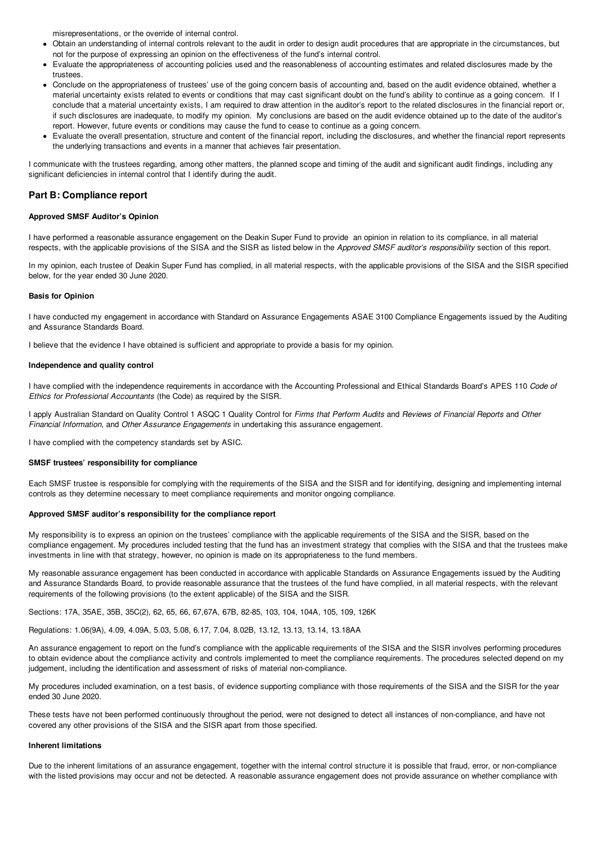misrepresentations, or the override of internal control.

- Obtain an understanding of internal controls relevant to the audit in order to design audit procedures that are appropriate in the circumstances, but not for the purpose of expressing an opinion on the effectiveness of the fund's internal control.
- Evaluate the appropriateness of accounting policies used and the reasonableness of accounting estimates and related disclosures made by the trustees.
- Conclude on the appropriateness of trustees' use of the going concern basis of accounting and, based on the audit evidence obtained, whether a material uncertainty exists related to events or conditions that may cast significant doubt on the fund's ability to continue as a going concern. If I conclude that a material uncertainty exists, I am required to draw attention in the auditor's report to the related disclosures in the financial report or, if such disclosures are inadequate, to modify my opinion. My conclusions are based on the audit evidence obtained up to the date of the auditor's report. However, future events or conditions may cause the fund to cease to continue as a going concern.
- Evaluate the overall presentation, structure and content of the financial report, including the disclosures, and whether the financial report represents the underlying transactions and events in a manner that achieves fair presentation.

I communicate with the trustees regarding, among other matters, the planned scope and timing of the audit and significant audit findings, including any significant deficiencies in internal control that I identify during the audit.

## **Part B: Compliance report**

### **Approved SMSF Auditor's Opinion**

I have performed a reasonable assurance engagement on the Deakin Super Fund to provide an opinion in relation to its compliance, in all material respects, with the applicable provisions of the SISA and the SISR as listed below in the *Approved SMSF auditor's responsibility* section of this report.

In my opinion, each trustee of Deakin Super Fund has complied, in all material respects, with the applicable provisions of the SISA and the SISR specified below, for the year ended 30 June 2020.

#### **Basis for Opinion**

I have conducted my engagement in accordance with Standard on Assurance Engagements ASAE 3100 Compliance Engagements issued by the Auditing and Assurance Standards Board.

I believe that the evidence I have obtained is sufficient and appropriate to provide a basis for my opinion.

#### **Independence and quality control**

I have complied with the independence requirements in accordance with the Accounting Professional and Ethical Standards Board's APES 110 *Code of Ethics for Professional Accountants* (the Code) as required by the SISR.

I apply Australian Standard on Quality Control 1 ASQC 1 Quality Control for *Firms that Perform Audits* and *Reviews of Financial Reports* and *Other Financial Information*, and *Other Assurance Engagements* in undertaking this assurance engagement.

I have complied with the competency standards set by ASIC.

### **SMSF trustees' responsibility for compliance**

Each SMSF trustee is responsible for complying with the requirements of the SISA and the SISR and for identifying, designing and implementing internal controls as they determine necessary to meet compliance requirements and monitor ongoing compliance.

#### **Approved SMSF auditor's responsibility for the compliance report**

My responsibility is to express an opinion on the trustees' compliance with the applicable requirements of the SISA and the SISR, based on the compliance engagement. My procedures included testing that the fund has an investment strategy that complies with the SISA and that the trustees make investments in line with that strategy, however, no opinion is made on its appropriateness to the fund members.

My reasonable assurance engagement has been conducted in accordance with applicable Standards on Assurance Engagements issued by the Auditing and Assurance Standards Board, to provide reasonable assurance that the trustees of the fund have complied, in all material respects, with the relevant requirements of the following provisions (to the extent applicable) of the SISA and the SISR.

Sections: 17A, 35AE, 35B, 35C(2), 62, 65, 66, 67,67A, 67B, 82-85, 103, 104, 104A, 105, 109, 126K

Regulations: 1.06(9A), 4.09, 4.09A, 5.03, 5.08, 6.17, 7.04, 8.02B, 13.12, 13.13, 13.14, 13.18AA

An assurance engagement to report on the fund's compliance with the applicable requirements of the SISA and the SISR involves performing procedures to obtain evidence about the compliance activity and controls implemented to meet the compliance requirements. The procedures selected depend on my judgement, including the identification and assessment of risks of material non-compliance.

My procedures included examination, on a test basis, of evidence supporting compliance with those requirements of the SISA and the SISR for the year ended 30 June 2020.

These tests have not been performed continuously throughout the period, were not designed to detect all instances of non-compliance, and have not covered any other provisions of the SISA and the SISR apart from those specified.

#### **Inherent limitations**

Due to the inherent limitations of an assurance engagement, together with the internal control structure it is possible that fraud, error, or non-compliance with the listed provisions may occur and not be detected. A reasonable assurance engagement does not provide assurance on whether compliance with